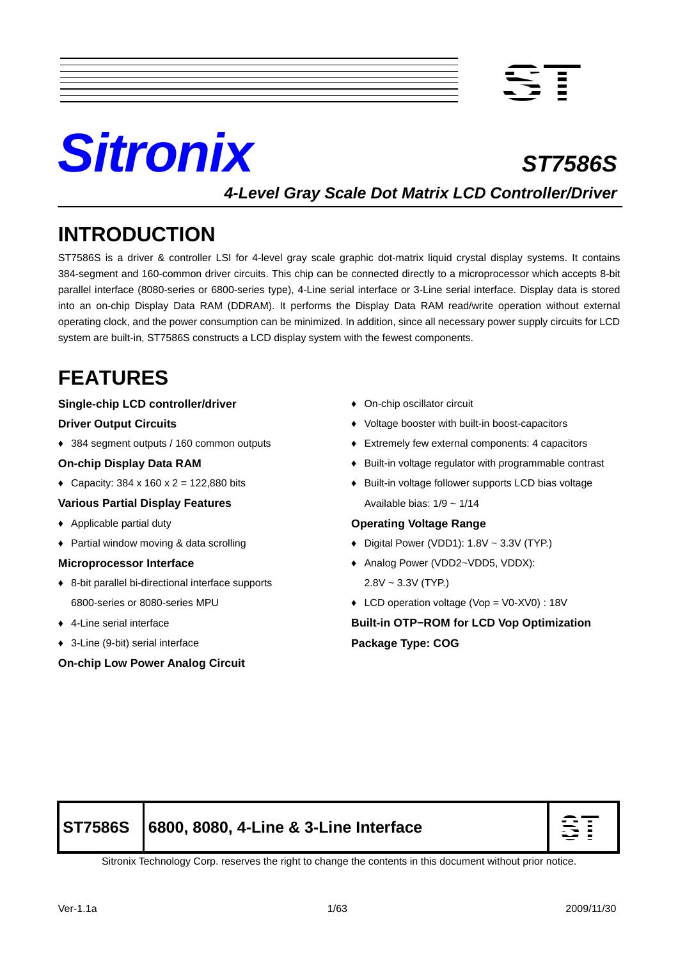



**4-Level Gray Scale Dot Matrix LCD Controller/Driver**

# **INTRODUCTION**

ST7586S is a driver & controller LSI for 4-level gray scale graphic dot-matrix liquid crystal display systems. It contains 384-segment and 160-common driver circuits. This chip can be connected directly to a microprocessor which accepts 8-bit parallel interface (8080-series or 6800-series type), 4-Line serial interface or 3-Line serial interface. Display data is stored into an on-chip Display Data RAM (DDRAM). It performs the Display Data RAM read/write operation without external operating clock, and the power consumption can be minimized. In addition, since all necessary power supply circuits for LCD system are built-in, ST7586S constructs a LCD display system with the fewest components.

# **FEATURES**

#### **Single-chip LCD controller/driver**

#### **Driver Output Circuits**

♦ 384 segment outputs / 160 common outputs

#### **On-chip Display Data RAM**

• Capacity:  $384 \times 160 \times 2 = 122,880$  bits

#### **Various Partial Display Features**

- ♦ Applicable partial duty
- ♦ Partial window moving & data scrolling

#### **Microprocessor Interface**

- ♦ 8-bit parallel bi-directional interface supports 6800-series or 8080-series MPU
- ♦ 4-Line serial interface
- ♦ 3-Line (9-bit) serial interface

#### **On-chip Low Power Analog Circuit**

- ♦ On-chip oscillator circuit
- ♦ Voltage booster with built-in boost-capacitors
- ♦ Extremely few external components: 4 capacitors
- ♦ Built-in voltage regulator with programmable contrast
- ♦ Built-in voltage follower supports LCD bias voltage Available bias:  $1/9 \sim 1/14$

#### **Operating Voltage Range**

- $\bullet$  Digital Power (VDD1): 1.8V ~ 3.3V (TYP.)
- ♦ Analog Power (VDD2~VDD5, VDDX):  $2.8V \sim 3.3V$  (TYP.)
- ♦ LCD operation voltage (Vop = V0-XV0) : 18V

**Built-in OTP−ROM for LCD Vop Optimization Package Type: COG** 

# **ST7586S 6800, 8080, 4-Line & 3-Line Interface**



Sitronix Technology Corp. reserves the right to change the contents in this document without prior notice.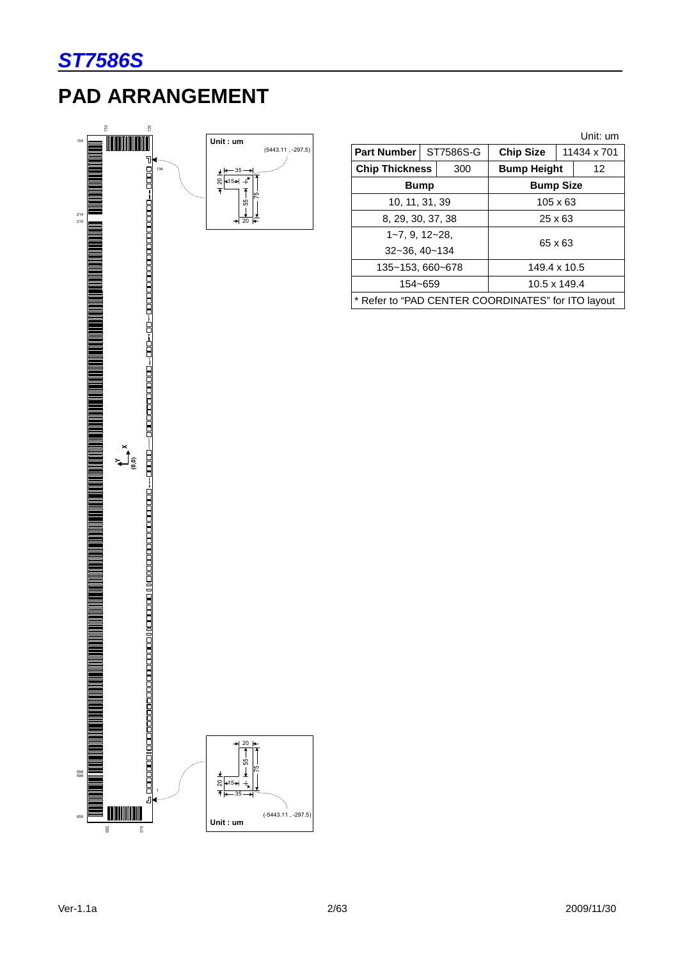

# **PAD ARRANGEMENT**



|                                                    |             |                 |                    |  | Unit: um    |
|----------------------------------------------------|-------------|-----------------|--------------------|--|-------------|
| Part Number ST7586S-G                              |             |                 | <b>Chip Size</b>   |  | 11434 x 701 |
| <b>Chip Thickness</b>                              |             | 300             | <b>Bump Height</b> |  | 12          |
|                                                    | <b>Bump</b> |                 | <b>Bump Size</b>   |  |             |
| 10, 11, 31, 39                                     |             | $105 \times 63$ |                    |  |             |
| 8, 29, 30, 37, 38                                  |             | $25 \times 63$  |                    |  |             |
| $1 - 7, 9, 12 - 28,$                               |             |                 |                    |  |             |
| 32~36, 40~134                                      |             | 65 x 63         |                    |  |             |
| 135~153, 660~678                                   |             | 149.4 x 10.5    |                    |  |             |
| 154~659<br>10.5 x 149.4                            |             |                 |                    |  |             |
| * Refer to "PAD CENTER COORDINATES" for ITO layout |             |                 |                    |  |             |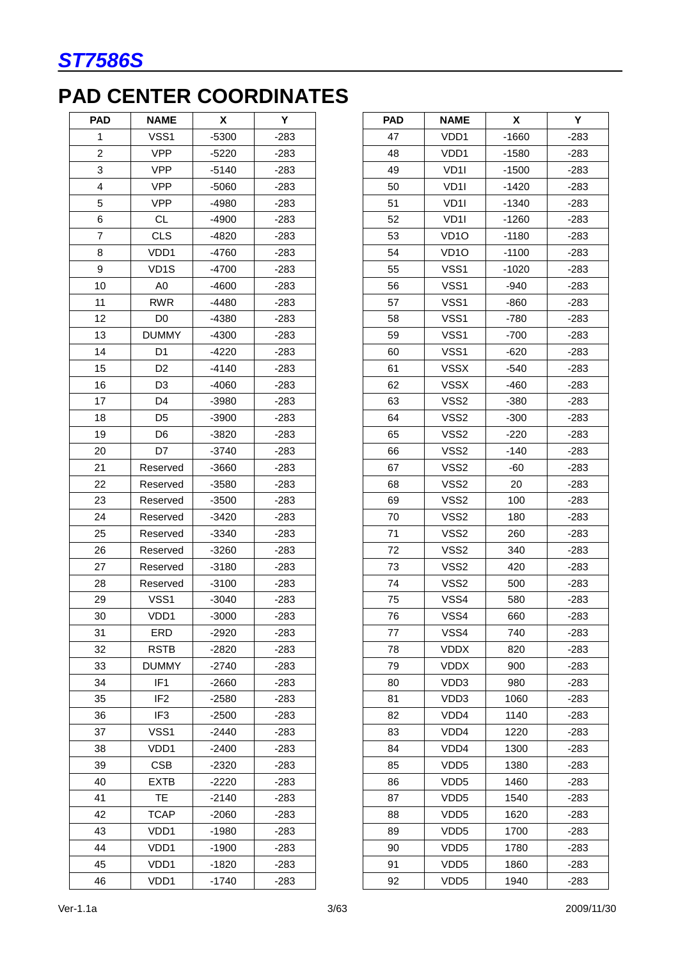# **PAD CENTER COORDINATES**

| <b>PAD</b>     | <b>NAME</b>       | X       | Y      |
|----------------|-------------------|---------|--------|
| 1              | VSS1              | $-5300$ | $-283$ |
| $\overline{2}$ | <b>VPP</b>        | $-5220$ | $-283$ |
| 3              | <b>VPP</b>        | $-5140$ | $-283$ |
| 4              | <b>VPP</b>        | $-5060$ | $-283$ |
| 5              | <b>VPP</b>        | -4980   | $-283$ |
| 6              | <b>CL</b>         | $-4900$ | $-283$ |
| 7              | <b>CLS</b>        | -4820   | -283   |
| 8              | VDD1              | $-4760$ | $-283$ |
| 9              | VD <sub>1</sub> S | $-4700$ | -283   |
| 10             | A <sub>0</sub>    | $-4600$ | $-283$ |
| 11             | <b>RWR</b>        | $-4480$ | $-283$ |
| 12             | D <sub>0</sub>    | -4380   | $-283$ |
| 13             | <b>DUMMY</b>      | $-4300$ | $-283$ |
| 14             | D <sub>1</sub>    | $-4220$ | $-283$ |
| 15             | D <sub>2</sub>    | $-4140$ | $-283$ |
| 16             | D3                | $-4060$ | $-283$ |
| 17             | D4                | -3980   | $-283$ |
| 18             | D <sub>5</sub>    | $-3900$ | $-283$ |
| 19             | D <sub>6</sub>    | -3820   | $-283$ |
| 20             | D7                | $-3740$ | $-283$ |
| 21             | Reserved          | $-3660$ | $-283$ |
| 22             | Reserved          | $-3580$ | $-283$ |
| 23             | Reserved          | $-3500$ | $-283$ |
| 24             | Reserved          | $-3420$ | $-283$ |
| 25             | Reserved          | $-3340$ | -283   |
| 26             | Reserved          | $-3260$ | $-283$ |
| 27             | Reserved          | $-3180$ | $-283$ |
| 28             | Reserved          | $-3100$ | $-283$ |
| 29             | VSS1              | $-3040$ | $-283$ |
| 30             | VDD1              | $-3000$ | $-283$ |
| 31             | ERD               | -2920   | $-283$ |
| 32             | RSTB              | -2820   | -283   |
| 33             | <b>DUMMY</b>      | $-2740$ | -283   |
| 34             | IF <sub>1</sub>   | -2660   | -283   |
| 35             | IF <sub>2</sub>   | $-2580$ | $-283$ |
| 36             | IF <sub>3</sub>   | $-2500$ | -283   |
| 37             | VSS1              | $-2440$ | -283   |
| 38             | VDD1              | $-2400$ | -283   |
| 39             | <b>CSB</b>        | $-2320$ | $-283$ |
| 40             | <b>EXTB</b>       | -2220   | -283   |
| 41             | TE                | -2140   | -283   |
| 42             | <b>TCAP</b>       | $-2060$ | -283   |
| 43             | VDD1              | -1980   | -283   |
| 44             | VDD1              | $-1900$ | $-283$ |
| 45             | VDD1              | $-1820$ | -283   |
| 46             | VDD1              | $-1740$ | $-283$ |

| <b>PAD</b> | <b>NAME</b>       | X       | Υ      |
|------------|-------------------|---------|--------|
| 47         | VDD1              | $-1660$ | $-283$ |
| 48         | VDD1              | $-1580$ | $-283$ |
| 49         | VD <sub>1</sub>   | $-1500$ | $-283$ |
| 50         | VD <sub>1</sub>   | $-1420$ | -283   |
| 51         | VD1I              | $-1340$ | -283   |
| 52         | VD <sub>11</sub>  | $-1260$ | $-283$ |
| 53         | VD <sub>10</sub>  | $-1180$ | $-283$ |
| 54         | VD <sub>1</sub> O | $-1100$ | $-283$ |
| 55         | VSS1              | $-1020$ | $-283$ |
| 56         | VSS1              | $-940$  | -283   |
| 57         | VSS1              | $-860$  | $-283$ |
| 58         | VSS1              | $-780$  | $-283$ |
| 59         | VSS1              | $-700$  | $-283$ |
| 60         | VSS1              | $-620$  | $-283$ |
| 61         | <b>VSSX</b>       | $-540$  | $-283$ |
| 62         | <b>VSSX</b>       | $-460$  | $-283$ |
| 63         | VSS2              | $-380$  | -283   |
| 64         | VSS2              | $-300$  | $-283$ |
| 65         | VSS2              | $-220$  | $-283$ |
| 66         | VSS <sub>2</sub>  | $-140$  | $-283$ |
| 67         | VSS <sub>2</sub>  | $-60$   | $-283$ |
| 68         | VSS2              | 20      | -283   |
| 69         | VSS <sub>2</sub>  | 100     | $-283$ |
| 70         | VSS <sub>2</sub>  | 180     | $-283$ |
| 71         | VSS2              | 260     | $-283$ |
| 72         | VSS <sub>2</sub>  | 340     | $-283$ |
| 73         | VSS2              | 420     | -283   |
| 74         | VSS2              | 500     | $-283$ |
| 75         | VSS4              | 580     | $-283$ |
| 76         | VSS4              | 660     | $-283$ |
| 77         | VSS4              | 740     | -283   |
| 78         | VDDX              | 820     | -283   |
| 79         | <b>VDDX</b>       | 900     | $-283$ |
| 80         | VDD3              | 980     | -283   |
| 81         | VDD3              | 1060    | -283   |
| 82         | VDD4              | 1140    | -283   |
| 83         | VDD4              | 1220    | -283   |
| 84         | VDD4              | 1300    | -283   |
| 85         | VDD <sub>5</sub>  | 1380    | -283   |
| 86         | VDD5              | 1460    | -283   |
| 87         | VDD <sub>5</sub>  | 1540    | -283   |
| 88         | VDD <sub>5</sub>  | 1620    | $-283$ |
| 89         | VDD <sub>5</sub>  | 1700    | $-283$ |
| 90         | VDD5              | 1780    | -283   |
| 91         | VDD <sub>5</sub>  | 1860    | $-283$ |
| 92         | VDD <sub>5</sub>  | 1940    | -283   |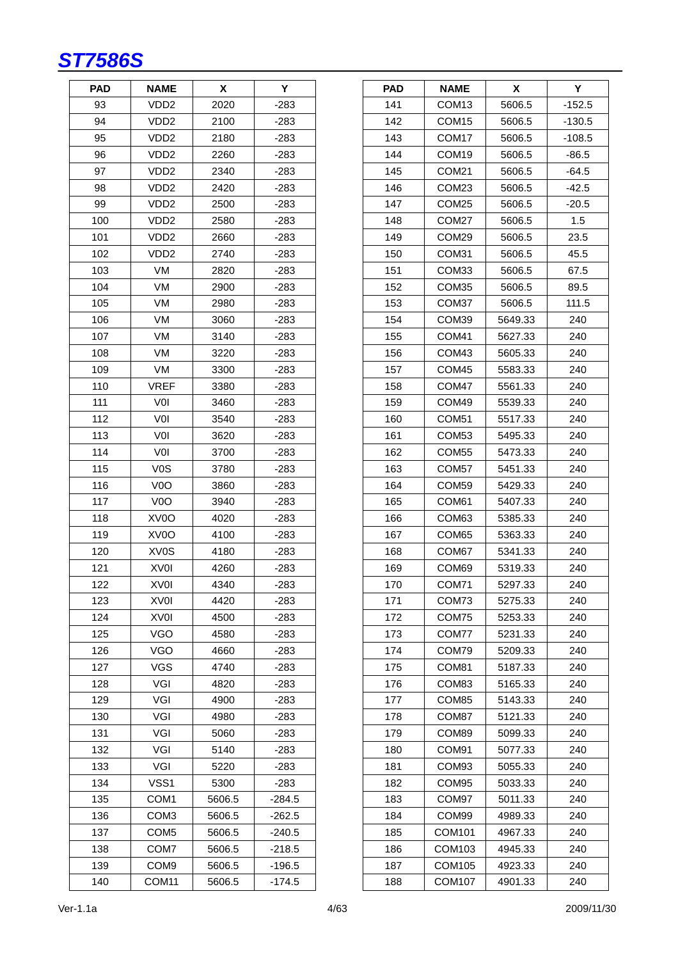| <b>PAD</b> | <b>NAME</b>       | х      | Y        |
|------------|-------------------|--------|----------|
| 93         | VDD <sub>2</sub>  | 2020   | $-283$   |
| 94         | VDD <sub>2</sub>  | 2100   | -283     |
| 95         | VDD2              | 2180   | -283     |
| 96         | VDD <sub>2</sub>  | 2260   | $-283$   |
| 97         | VDD2              | 2340   | -283     |
| 98         | VDD <sub>2</sub>  | 2420   | $-283$   |
| 99         | VDD <sub>2</sub>  | 2500   | -283     |
| 100        | VDD <sub>2</sub>  | 2580   | $-283$   |
| 101        | VDD <sub>2</sub>  | 2660   | $-283$   |
| 102        | VDD <sub>2</sub>  | 2740   | -283     |
| 103        | VM                | 2820   | $-283$   |
| 104        | VM                | 2900   | $-283$   |
| 105        | VM                | 2980   | -283     |
| 106        | VM                | 3060   | -283     |
| 107        | VM                | 3140   | $-283$   |
| 108        | VM                | 3220   | $-283$   |
| 109        | VM                | 3300   | -283     |
| 110        | <b>VREF</b>       | 3380   | -283     |
| 111        | V <sub>0</sub>    | 3460   | $-283$   |
| 112        | VOI               | 3540   | $-283$   |
| 113        | VOI               | 3620   | $-283$   |
| 114        | VOI               | 3700   | -283     |
| 115        | V <sub>0</sub> S  | 3780   | $-283$   |
| 116        | V <sub>0</sub> O  | 3860   | $-283$   |
| 117        | V <sub>0</sub> O  | 3940   | -283     |
| 118        | XV <sub>0</sub> O | 4020   | -283     |
| 119        | XV0O              | 4100   | -283     |
| 120        | XV <sub>0</sub> S | 4180   | $-283$   |
| 121        | <b>XVOI</b>       | 4260   | -283     |
| 122        | XV <sub>0</sub>   | 4340   | $-283$   |
| 123        | <b>XVOI</b>       | 4420   | -283     |
| 124        | XVOI              | 4500   | -283     |
| 125        | VGO               | 4580   | -283     |
| 126        | VGO               | 4660   | -283     |
| 127        | VGS               | 4740   | $-283$   |
| 128        | VGI               | 4820   | $-283$   |
| 129        | VGI               | 4900   | -283     |
| 130        | VGI               | 4980   | -283     |
| 131        | VGI               | 5060   | -283     |
| 132        | VGI               | 5140   | $-283$   |
| 133        | VGI               | 5220   | -283     |
| 134        | VSS1              | 5300   | $-283$   |
| 135        | COM1              | 5606.5 | $-284.5$ |
| 136        | COM3              | 5606.5 | $-262.5$ |
| 137        | COM <sub>5</sub>  | 5606.5 | $-240.5$ |
| 138        | COM7              | 5606.5 | $-218.5$ |
| 139        | COM <sub>9</sub>  | 5606.5 | $-196.5$ |
| 140        | COM <sub>11</sub> | 5606.5 | $-174.5$ |

| PAD | <b>NAME</b>       | Χ       | Y        |
|-----|-------------------|---------|----------|
| 141 | COM <sub>13</sub> | 5606.5  | $-152.5$ |
| 142 | COM <sub>15</sub> | 5606.5  | $-130.5$ |
| 143 | COM <sub>17</sub> | 5606.5  | $-108.5$ |
| 144 | COM <sub>19</sub> | 5606.5  | $-86.5$  |
| 145 | COM <sub>21</sub> | 5606.5  | $-64.5$  |
| 146 | COM <sub>23</sub> | 5606.5  | $-42.5$  |
| 147 | COM25             | 5606.5  | $-20.5$  |
| 148 | COM27             | 5606.5  | 1.5      |
| 149 | COM <sub>29</sub> | 5606.5  | 23.5     |
| 150 | COM31             | 5606.5  | 45.5     |
| 151 | COM33             | 5606.5  | 67.5     |
| 152 | COM35             | 5606.5  | 89.5     |
| 153 | COM37             | 5606.5  | 111.5    |
| 154 | COM39             | 5649.33 | 240      |
| 155 | COM <sub>41</sub> | 5627.33 | 240      |
| 156 | COM43             | 5605.33 | 240      |
| 157 | COM45             | 5583.33 | 240      |
| 158 | COM47             | 5561.33 | 240      |
| 159 | COM49             | 5539.33 | 240      |
| 160 | COM <sub>51</sub> | 5517.33 | 240      |
| 161 | COM <sub>53</sub> | 5495.33 | 240      |
| 162 | COM <sub>55</sub> | 5473.33 | 240      |
| 163 | COM57             | 5451.33 | 240      |
| 164 | COM59             | 5429.33 | 240      |
| 165 | COM61             | 5407.33 | 240      |
| 166 | COM63             | 5385.33 | 240      |
| 167 | COM65             | 5363.33 | 240      |
| 168 | COM67             | 5341.33 | 240      |
| 169 | COM69             | 5319.33 | 240      |
| 170 | COM71             | 5297.33 | 240      |
| 171 | COM73             | 5275.33 | 240      |
| 172 | COM75             | 5253.33 | 240      |
| 173 | COM77             | 5231.33 | 240      |
| 174 | COM79             | 5209.33 | 240      |
| 175 | COM81             | 5187.33 | 240      |
| 176 | COM83             | 5165.33 | 240      |
| 177 | COM85             | 5143.33 | 240      |
| 178 | COM87             | 5121.33 | 240      |
| 179 | COM89             | 5099.33 | 240      |
| 180 | COM91             | 5077.33 | 240      |
| 181 | COM <sub>93</sub> | 5055.33 | 240      |
| 182 | COM <sub>95</sub> | 5033.33 | 240      |
| 183 | COM97             | 5011.33 | 240      |
| 184 | COM99             | 4989.33 | 240      |
| 185 | COM101            | 4967.33 | 240      |
| 186 | COM103            | 4945.33 | 240      |
| 187 | COM105            | 4923.33 | 240      |
| 188 | COM107            | 4901.33 | 240      |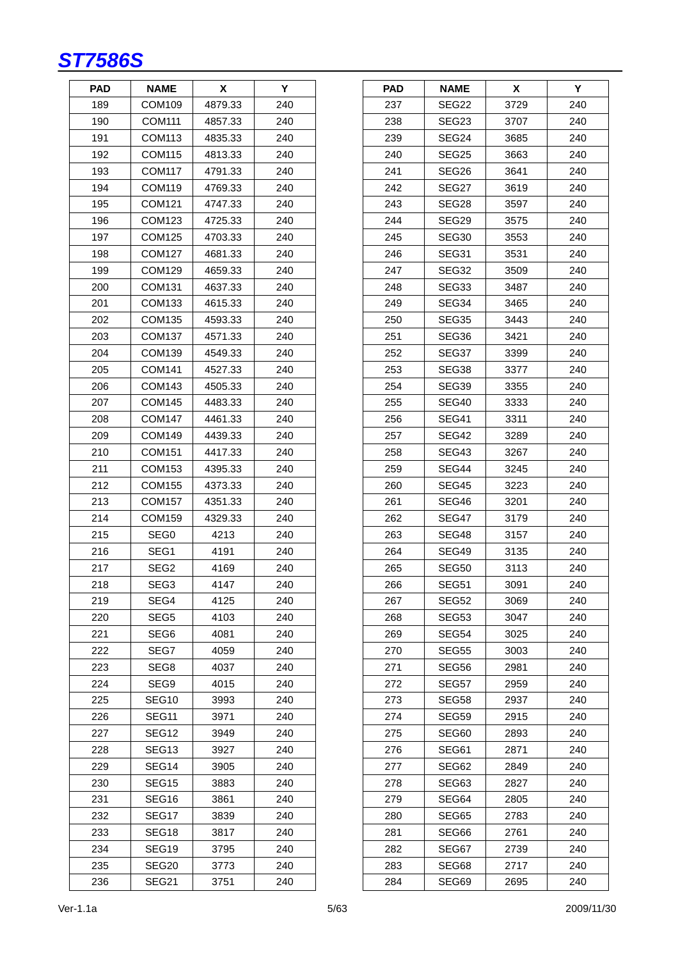

| <b>PAD</b> | NAME              | х       | Y   |
|------------|-------------------|---------|-----|
| 189        | COM109            | 4879.33 | 240 |
| 190        | <b>COM111</b>     | 4857.33 | 240 |
| 191        | COM113            | 4835.33 | 240 |
| 192        | <b>COM115</b>     | 4813.33 | 240 |
| 193        | COM117            | 4791.33 | 240 |
| 194        | COM119            | 4769.33 | 240 |
| 195        | COM121            | 4747.33 | 240 |
| 196        | COM123            | 4725.33 | 240 |
| 197        | <b>COM125</b>     | 4703.33 | 240 |
| 198        | COM127            | 4681.33 | 240 |
| 199        | COM129            | 4659.33 | 240 |
| 200        | COM131            | 4637.33 | 240 |
| 201        | COM133            | 4615.33 | 240 |
| 202        | COM135            | 4593.33 | 240 |
| 203        | <b>COM137</b>     | 4571.33 | 240 |
| 204        | COM139            | 4549.33 | 240 |
| 205        | COM141            | 4527.33 | 240 |
| 206        | COM143            | 4505.33 | 240 |
| 207        | <b>COM145</b>     | 4483.33 | 240 |
| 208        | <b>COM147</b>     | 4461.33 | 240 |
| 209        | COM149            | 4439.33 | 240 |
| 210        | COM151            | 4417.33 | 240 |
| 211        | COM153            | 4395.33 | 240 |
| 212        | COM155            | 4373.33 | 240 |
| 213        | <b>COM157</b>     | 4351.33 | 240 |
| 214        | COM159            | 4329.33 | 240 |
| 215        | SEG0              | 4213    | 240 |
| 216        | SEG1              | 4191    | 240 |
| 217        | SEG2              | 4169    | 240 |
| 218        | SEG <sub>3</sub>  | 4147    | 240 |
| 219        | SEG4              | 4125    | 240 |
| 220        | SEG5              | 4103    | 240 |
| 221        | SEG6              | 4081    | 240 |
| 222        | SEG7              | 4059    | 240 |
| 223        | SEG8              | 4037    | 240 |
| 224        | SEG9              | 4015    | 240 |
| 225        | SEG10             | 3993    | 240 |
| 226        | SEG11             | 3971    | 240 |
| 227        | SEG12             | 3949    | 240 |
| 228        | SEG <sub>13</sub> | 3927    | 240 |
| 229        | SEG14             | 3905    | 240 |
| 230        | SEG15             | 3883    | 240 |
| 231        | SEG16             | 3861    | 240 |
| 232        | SEG17             | 3839    | 240 |
| 233        | SEG18             | 3817    | 240 |
| 234        | SEG19             | 3795    | 240 |
| 235        | SEG20             | 3773    | 240 |
| 236        | SEG21             | 3751    | 240 |

| <b>PAD</b> | <b>NAME</b> | X    | Y   |
|------------|-------------|------|-----|
| 237        | SEG22       | 3729 | 240 |
| 238        | SEG23       | 3707 | 240 |
| 239        | SEG24       | 3685 | 240 |
| 240        | SEG25       | 3663 | 240 |
| 241        | SEG26       | 3641 | 240 |
| 242        | SEG27       | 3619 | 240 |
| 243        | SEG28       | 3597 | 240 |
| 244        | SEG29       | 3575 | 240 |
| 245        | SEG30       | 3553 | 240 |
| 246        | SEG31       | 3531 | 240 |
| 247        | SEG32       | 3509 | 240 |
| 248        | SEG33       | 3487 | 240 |
| 249        | SEG34       | 3465 | 240 |
| 250        | SEG35       | 3443 | 240 |
| 251        | SEG36       | 3421 | 240 |
| 252        | SEG37       | 3399 | 240 |
| 253        | SEG38       | 3377 | 240 |
| 254        | SEG39       | 3355 | 240 |
| 255        | SEG40       | 3333 | 240 |
| 256        | SEG41       | 3311 | 240 |
| 257        | SEG42       | 3289 | 240 |
| 258        | SEG43       | 3267 | 240 |
| 259        | SEG44       | 3245 | 240 |
| 260        | SEG45       | 3223 | 240 |
| 261        | SEG46       | 3201 | 240 |
| 262        | SEG47       | 3179 | 240 |
| 263        | SEG48       | 3157 | 240 |
| 264        | SEG49       | 3135 | 240 |
| 265        | SEG50       | 3113 | 240 |
| 266        | SEG51       | 3091 | 240 |
| 267        | SEG52       | 3069 | 240 |
| 268        | SEG53       | 3047 | 240 |
| 269        | SEG54       | 3025 | 240 |
| 270        | SEG55       | 3003 | 240 |
| 271        | SEG56       | 2981 | 240 |
| 272        | SEG57       | 2959 | 240 |
| 273        | SEG58       | 2937 | 240 |
| 274        | SEG59       | 2915 | 240 |
| 275        | SEG60       | 2893 | 240 |
| 276        | SEG61       | 2871 | 240 |
| 277        | SEG62       | 2849 | 240 |
| 278        | SEG63       | 2827 | 240 |
| 279        | SEG64       | 2805 | 240 |
| 280        | SEG65       | 2783 | 240 |
| 281        | SEG66       | 2761 | 240 |
| 282        | SEG67       | 2739 | 240 |
| 283        | SEG68       | 2717 | 240 |
| 284        | SEG69       | 2695 | 240 |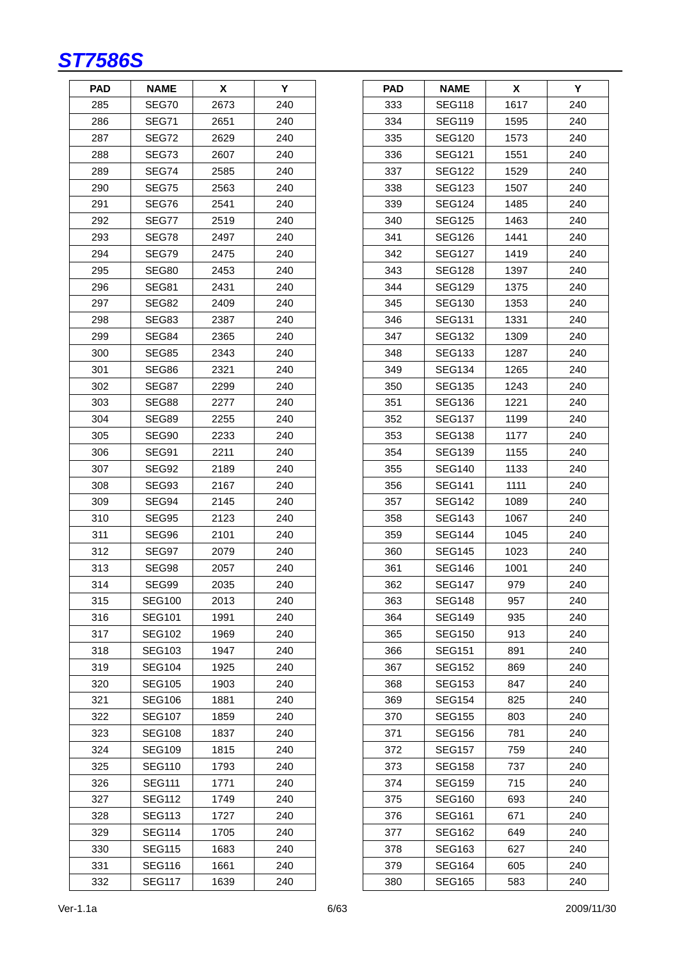| <b>PAD</b> | <b>NAME</b>   | X    | Y   |
|------------|---------------|------|-----|
| 285        | SEG70         | 2673 | 240 |
| 286        | <b>SEG71</b>  | 2651 | 240 |
| 287        | SEG72         | 2629 | 240 |
| 288        | SEG73         | 2607 | 240 |
| 289        | SEG74         | 2585 | 240 |
| 290        | SEG75         | 2563 | 240 |
| 291        | SEG76         | 2541 | 240 |
| 292        | SEG77         | 2519 | 240 |
| 293        | SEG78         | 2497 | 240 |
| 294        | SEG79         | 2475 | 240 |
| 295        | SEG80         | 2453 | 240 |
| 296        | SEG81         | 2431 | 240 |
| 297        | SEG82         | 2409 | 240 |
| 298        | SEG83         | 2387 | 240 |
| 299        | SEG84         | 2365 | 240 |
| 300        | SEG85         | 2343 | 240 |
| 301        | SEG86         | 2321 | 240 |
| 302        | SEG87         | 2299 | 240 |
| 303        | SEG88         | 2277 | 240 |
| 304        | SEG89         | 2255 | 240 |
| 305        | SEG90         | 2233 | 240 |
| 306        | SEG91         | 2211 | 240 |
| 307        | SEG92         | 2189 | 240 |
| 308        | SEG93         | 2167 | 240 |
| 309        | SEG94         | 2145 | 240 |
| 310        | SEG95         | 2123 | 240 |
| 311        | SEG96         | 2101 | 240 |
| 312        | SEG97         | 2079 | 240 |
| 313        | SEG98         | 2057 | 240 |
| 314        | SEG99         | 2035 | 240 |
| 315        | <b>SEG100</b> | 2013 | 240 |
| 316        | <b>SEG101</b> | 1991 | 240 |
| 317        | SEG102        | 1969 | 240 |
| 318        | <b>SEG103</b> | 1947 | 240 |
| 319        | <b>SEG104</b> | 1925 | 240 |
| 320        | <b>SEG105</b> | 1903 | 240 |
| 321        | <b>SEG106</b> | 1881 | 240 |
| 322        | <b>SEG107</b> | 1859 | 240 |
| 323        | <b>SEG108</b> | 1837 | 240 |
| 324        | <b>SEG109</b> | 1815 | 240 |
| 325        | <b>SEG110</b> | 1793 | 240 |
| 326        | <b>SEG111</b> | 1771 | 240 |
| 327        | <b>SEG112</b> | 1749 | 240 |
| 328        | <b>SEG113</b> | 1727 | 240 |
| 329        | <b>SEG114</b> | 1705 | 240 |
| 330        | <b>SEG115</b> | 1683 | 240 |
| 331        | <b>SEG116</b> | 1661 | 240 |
| 332        | <b>SEG117</b> | 1639 | 240 |

| <b>PAD</b> | <b>NAME</b>   | X    | Y   |
|------------|---------------|------|-----|
| 333        | <b>SEG118</b> | 1617 | 240 |
| 334        | <b>SEG119</b> | 1595 | 240 |
| 335        | <b>SEG120</b> | 1573 | 240 |
| 336        | <b>SEG121</b> | 1551 | 240 |
| 337        | SEG122        | 1529 | 240 |
| 338        | <b>SEG123</b> | 1507 | 240 |
| 339        | <b>SEG124</b> | 1485 | 240 |
| 340        | <b>SEG125</b> | 1463 | 240 |
| 341        | <b>SEG126</b> | 1441 | 240 |
| 342        | SEG127        | 1419 | 240 |
| 343        | <b>SEG128</b> | 1397 | 240 |
| 344        | <b>SEG129</b> | 1375 | 240 |
| 345        | <b>SEG130</b> | 1353 | 240 |
| 346        | <b>SEG131</b> | 1331 | 240 |
| 347        | <b>SEG132</b> | 1309 | 240 |
| 348        | SEG133        | 1287 | 240 |
| 349        | SEG134        | 1265 | 240 |
| 350        | <b>SEG135</b> | 1243 | 240 |
| 351        | <b>SEG136</b> | 1221 | 240 |
| 352        | <b>SEG137</b> | 1199 | 240 |
| 353        | SEG138        | 1177 | 240 |
| 354        | <b>SEG139</b> | 1155 | 240 |
| 355        | <b>SEG140</b> | 1133 | 240 |
| 356        | <b>SEG141</b> | 1111 | 240 |
| 357        | <b>SEG142</b> | 1089 | 240 |
| 358        | <b>SEG143</b> | 1067 | 240 |
| 359        | <b>SEG144</b> | 1045 | 240 |
| 360        | <b>SEG145</b> | 1023 | 240 |
| 361        | <b>SEG146</b> | 1001 | 240 |
| 362        | <b>SEG147</b> | 979  | 240 |
| 363        | SEG148        | 957  | 240 |
| 364        | <b>SEG149</b> | 935  | 240 |
| 365        | <b>SEG150</b> | 913  | 240 |
| 366        | <b>SEG151</b> | 891  | 240 |
| 367        | SEG152        | 869  | 240 |
| 368        | <b>SEG153</b> | 847  | 240 |
| 369        | <b>SEG154</b> | 825  | 240 |
| 370        | <b>SEG155</b> | 803  | 240 |
| 371        | <b>SEG156</b> | 781  | 240 |
| 372        | <b>SEG157</b> | 759  | 240 |
| 373        | SEG158        | 737  | 240 |
| 374        | SEG159        | 715  | 240 |
| 375        | SEG160        | 693  | 240 |
| 376        | <b>SEG161</b> | 671  | 240 |
| 377        | SEG162        | 649  | 240 |
| 378        | SEG163        | 627  | 240 |
| 379        | <b>SEG164</b> | 605  | 240 |
| 380        | SEG165        | 583  | 240 |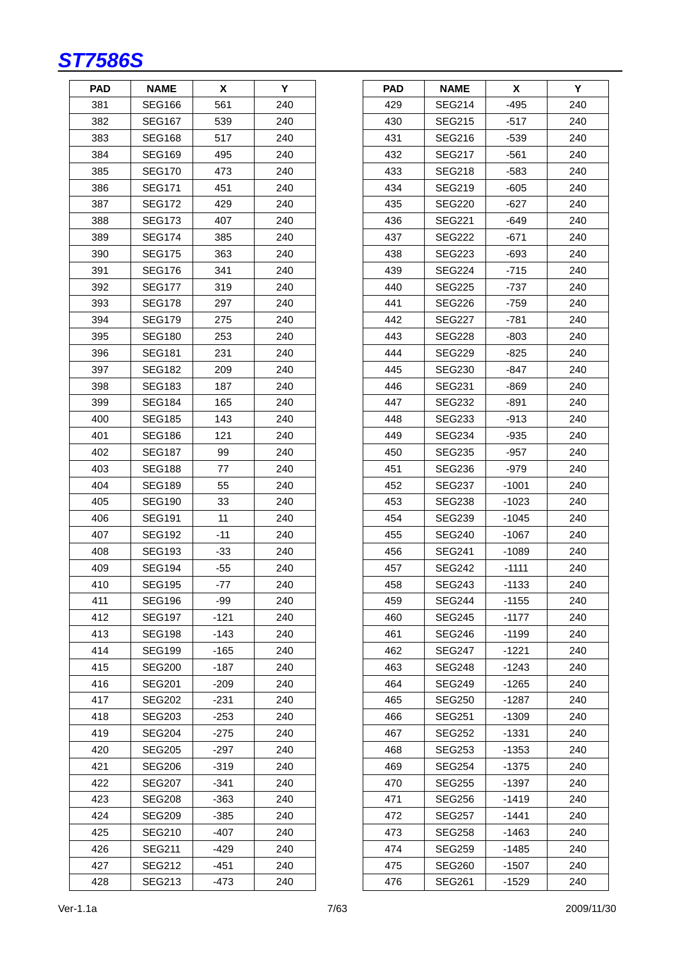| PAD | <b>NAME</b>   | X      | Y   |
|-----|---------------|--------|-----|
| 381 | SEG166        | 561    | 240 |
| 382 | SEG167        | 539    | 240 |
| 383 | <b>SEG168</b> | 517    | 240 |
| 384 | <b>SEG169</b> | 495    | 240 |
| 385 | <b>SEG170</b> | 473    | 240 |
| 386 | SEG171        | 451    | 240 |
| 387 | <b>SEG172</b> | 429    | 240 |
| 388 | <b>SEG173</b> | 407    | 240 |
| 389 | SEG174        | 385    | 240 |
| 390 | <b>SEG175</b> | 363    | 240 |
| 391 | <b>SEG176</b> | 341    | 240 |
| 392 | <b>SEG177</b> | 319    | 240 |
| 393 | <b>SEG178</b> | 297    | 240 |
| 394 | <b>SEG179</b> | 275    | 240 |
| 395 | <b>SEG180</b> | 253    | 240 |
| 396 | SEG181        | 231    | 240 |
| 397 | <b>SEG182</b> | 209    | 240 |
| 398 | <b>SEG183</b> | 187    | 240 |
| 399 | SEG184        | 165    | 240 |
| 400 | SEG185        | 143    | 240 |
| 401 | SEG186        | 121    | 240 |
| 402 | <b>SEG187</b> | 99     | 240 |
| 403 | <b>SEG188</b> | 77     | 240 |
| 404 | <b>SEG189</b> | 55     | 240 |
| 405 | <b>SEG190</b> | 33     | 240 |
| 406 | SEG191        | 11     | 240 |
| 407 | SEG192        | -11    | 240 |
| 408 | <b>SEG193</b> | $-33$  | 240 |
| 409 | <b>SEG194</b> | $-55$  | 240 |
| 410 | <b>SEG195</b> | -77    | 240 |
| 411 | SEG196        | $-99$  | 240 |
| 412 | <b>SEG197</b> | $-121$ | 240 |
| 413 | SEG198        | -143   | 240 |
| 414 | <b>SEG199</b> | -165   | 240 |
| 415 | <b>SEG200</b> | $-187$ | 240 |
| 416 | <b>SEG201</b> | -209   | 240 |
| 417 | SEG202        | -231   | 240 |
| 418 | SEG203        | -253   | 240 |
| 419 | SEG204        | -275   | 240 |
| 420 | <b>SEG205</b> | $-297$ | 240 |
| 421 | <b>SEG206</b> | $-319$ | 240 |
| 422 | SEG207        | $-341$ | 240 |
| 423 | <b>SEG208</b> | -363   | 240 |
| 424 | SEG209        | -385   | 240 |
| 425 | <b>SEG210</b> | $-407$ | 240 |
| 426 | <b>SEG211</b> | -429   | 240 |
| 427 | <b>SEG212</b> | $-451$ | 240 |
| 428 | <b>SEG213</b> | -473   | 240 |

| <b>PAD</b> | <b>NAME</b>   | X       | Y   |
|------------|---------------|---------|-----|
| 429        | <b>SEG214</b> | $-495$  | 240 |
| 430        | <b>SEG215</b> | $-517$  | 240 |
| 431        | <b>SEG216</b> | $-539$  | 240 |
| 432        | <b>SEG217</b> | -561    | 240 |
| 433        | <b>SEG218</b> | -583    | 240 |
| 434        | <b>SEG219</b> | $-605$  | 240 |
| 435        | SEG220        | $-627$  | 240 |
| 436        | <b>SEG221</b> | -649    | 240 |
| 437        | <b>SEG222</b> | $-671$  | 240 |
| 438        | SEG223        | -693    | 240 |
| 439        | <b>SEG224</b> | $-715$  | 240 |
| 440        | <b>SEG225</b> | $-737$  | 240 |
| 441        | SEG226        | -759    | 240 |
| 442        | SEG227        | -781    | 240 |
| 443        | <b>SEG228</b> | $-803$  | 240 |
| 444        | <b>SEG229</b> | $-825$  | 240 |
| 445        | <b>SEG230</b> | -847    | 240 |
| 446        | <b>SEG231</b> | -869    | 240 |
| 447        | <b>SEG232</b> | -891    | 240 |
| 448        | SEG233        | -913    | 240 |
| 449        | <b>SEG234</b> | $-935$  | 240 |
| 450        | <b>SEG235</b> | -957    | 240 |
| 451        | <b>SEG236</b> | $-979$  | 240 |
| 452        | <b>SEG237</b> | $-1001$ | 240 |
| 453        | SEG238        | $-1023$ | 240 |
| 454        | SEG239        | $-1045$ | 240 |
| 455        | <b>SEG240</b> | $-1067$ | 240 |
| 456        | <b>SEG241</b> | $-1089$ | 240 |
| 457        | <b>SEG242</b> | $-1111$ | 240 |
| 458        | <b>SEG243</b> | $-1133$ | 240 |
| 459        | <b>SEG244</b> | $-1155$ | 240 |
| 460        | SEG245        | $-1177$ | 240 |
| 461        | <b>SEG246</b> | $-1199$ | 240 |
| 462        | <b>SEG247</b> | $-1221$ | 240 |
| 463        | <b>SEG248</b> | -1243   | 240 |
| 464        | <b>SEG249</b> | $-1265$ | 240 |
| 465        | <b>SEG250</b> | $-1287$ | 240 |
| 466        | <b>SEG251</b> | $-1309$ | 240 |
| 467        | <b>SEG252</b> | -1331   | 240 |
| 468        | <b>SEG253</b> | $-1353$ | 240 |
| 469        | <b>SEG254</b> | -1375   | 240 |
| 470        | <b>SEG255</b> | -1397   | 240 |
| 471        | <b>SEG256</b> | $-1419$ | 240 |
| 472        | SEG257        | $-1441$ | 240 |
| 473        | SEG258        | $-1463$ | 240 |
| 474        | <b>SEG259</b> | $-1485$ | 240 |
| 475        | <b>SEG260</b> | $-1507$ | 240 |
| 476        | <b>SEG261</b> | -1529   | 240 |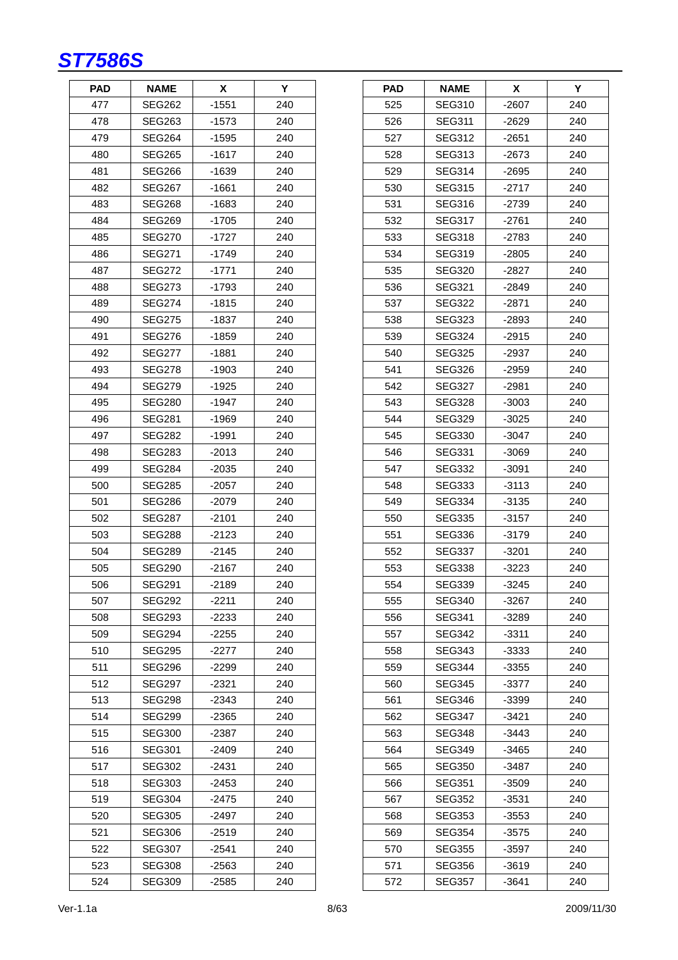| <b>PAD</b> | NAME          | X       | Y   |
|------------|---------------|---------|-----|
| 477        | SEG262        | $-1551$ | 240 |
| 478        | SEG263        | -1573   | 240 |
| 479        | <b>SEG264</b> | -1595   | 240 |
| 480        | <b>SEG265</b> | -1617   | 240 |
| 481        | SEG266        | -1639   | 240 |
| 482        | <b>SEG267</b> | -1661   | 240 |
| 483        | SEG268        | -1683   | 240 |
| 484        | SEG269        | -1705   | 240 |
| 485        | <b>SEG270</b> | $-1727$ | 240 |
| 486        | SEG271        | -1749   | 240 |
| 487        | SEG272        | -1771   | 240 |
| 488        | <b>SEG273</b> | -1793   | 240 |
| 489        | SEG274        | $-1815$ | 240 |
| 490        | SEG275        | -1837   | 240 |
| 491        | <b>SEG276</b> | -1859   | 240 |
| 492        | SEG277        | $-1881$ | 240 |
| 493        | SEG278        | -1903   | 240 |
| 494        | <b>SEG279</b> | $-1925$ | 240 |
| 495        | <b>SEG280</b> | -1947   | 240 |
| 496        | SEG281        | -1969   | 240 |
| 497        | SEG282        | -1991   | 240 |
| 498        | SEG283        | -2013   | 240 |
| 499        | <b>SEG284</b> | $-2035$ | 240 |
| 500        | <b>SEG285</b> | -2057   | 240 |
| 501        | SEG286        | -2079   | 240 |
| 502        | SEG287        | -2101   | 240 |
| 503        | <b>SEG288</b> | -2123   | 240 |
| 504        | <b>SEG289</b> | $-2145$ | 240 |
| 505        | SEG290        | -2167   | 240 |
| 506        | <b>SEG291</b> | $-2189$ | 240 |
| 507        | <b>SEG292</b> | -2211   | 240 |
| 508        | SEG293        | -2233   | 240 |
| 509        | SEG294        | $-2255$ | 240 |
| 510        | <b>SEG295</b> | -2277   | 240 |
| 511        | <b>SEG296</b> | -2299   | 240 |
| 512        | <b>SEG297</b> | $-2321$ | 240 |
| 513        | SEG298        | -2343   | 240 |
| 514        | SEG299        | -2365   | 240 |
| 515        | SEG300        | $-2387$ | 240 |
| 516        | <b>SEG301</b> | -2409   | 240 |
| 517        | SEG302        | -2431   | 240 |
| 518        | <b>SEG303</b> | -2453   | 240 |
| 519        | <b>SEG304</b> | -2475   | 240 |
| 520        | SEG305        | -2497   | 240 |
| 521        | <b>SEG306</b> | -2519   | 240 |
| 522        | <b>SEG307</b> | -2541   | 240 |
| 523        | <b>SEG308</b> | -2563   | 240 |
| 524        | SEG309        | -2585   | 240 |

| <b>PAD</b> | <b>NAME</b>   | X       | Υ   |
|------------|---------------|---------|-----|
| 525        | <b>SEG310</b> | $-2607$ | 240 |
| 526        | <b>SEG311</b> | $-2629$ | 240 |
| 527        | <b>SEG312</b> | -2651   | 240 |
| 528        | SEG313        | $-2673$ | 240 |
| 529        | <b>SEG314</b> | $-2695$ | 240 |
| 530        | <b>SEG315</b> | $-2717$ | 240 |
| 531        | <b>SEG316</b> | -2739   | 240 |
| 532        | <b>SEG317</b> | $-2761$ | 240 |
| 533        | <b>SEG318</b> | $-2783$ | 240 |
| 534        | SEG319        | $-2805$ | 240 |
| 535        | <b>SEG320</b> | $-2827$ | 240 |
| 536        | SEG321        | -2849   | 240 |
| 537        | <b>SEG322</b> | -2871   | 240 |
| 538        | <b>SEG323</b> | -2893   | 240 |
| 539        | <b>SEG324</b> | $-2915$ | 240 |
| 540        | SEG325        | -2937   | 240 |
| 541        | SEG326        | $-2959$ | 240 |
| 542        | <b>SEG327</b> | $-2981$ | 240 |
| 543        | <b>SEG328</b> | -3003   | 240 |
| 544        | <b>SEG329</b> | $-3025$ | 240 |
| 545        | <b>SEG330</b> | -3047   | 240 |
| 546        | SEG331        | $-3069$ | 240 |
| 547        | <b>SEG332</b> | $-3091$ | 240 |
| 548        | <b>SEG333</b> | -3113   | 240 |
| 549        | <b>SEG334</b> | $-3135$ | 240 |
| 550        | SEG335        | $-3157$ | 240 |
| 551        | SEG336        | $-3179$ | 240 |
| 552        | <b>SEG337</b> | -3201   | 240 |
| 553        | SEG338        | -3223   | 240 |
| 554        | <b>SEG339</b> | $-3245$ | 240 |
| 555        | SEG340        | -3267   | 240 |
| 556        | SEG341        | -3289   | 240 |
| 557        | <b>SEG342</b> | -3311   | 240 |
| 558        | SEG343        | -3333   | 240 |
| 559        | SEG344        | -3355   | 240 |
| 560        | SEG345        | -3377   | 240 |
| 561        | <b>SEG346</b> | -3399   | 240 |
| 562        | <b>SEG347</b> | $-3421$ | 240 |
| 563        | SEG348        | -3443   | 240 |
| 564        | SEG349        | -3465   | 240 |
| 565        | SEG350        | -3487   | 240 |
| 566        | <b>SEG351</b> | -3509   | 240 |
| 567        | SEG352        | -3531   | 240 |
| 568        | <b>SEG353</b> | $-3553$ | 240 |
| 569        | SEG354        | -3575   | 240 |
| 570        | <b>SEG355</b> | $-3597$ | 240 |
| 571        | <b>SEG356</b> | -3619   | 240 |
| 572        | SEG357        | -3641   | 240 |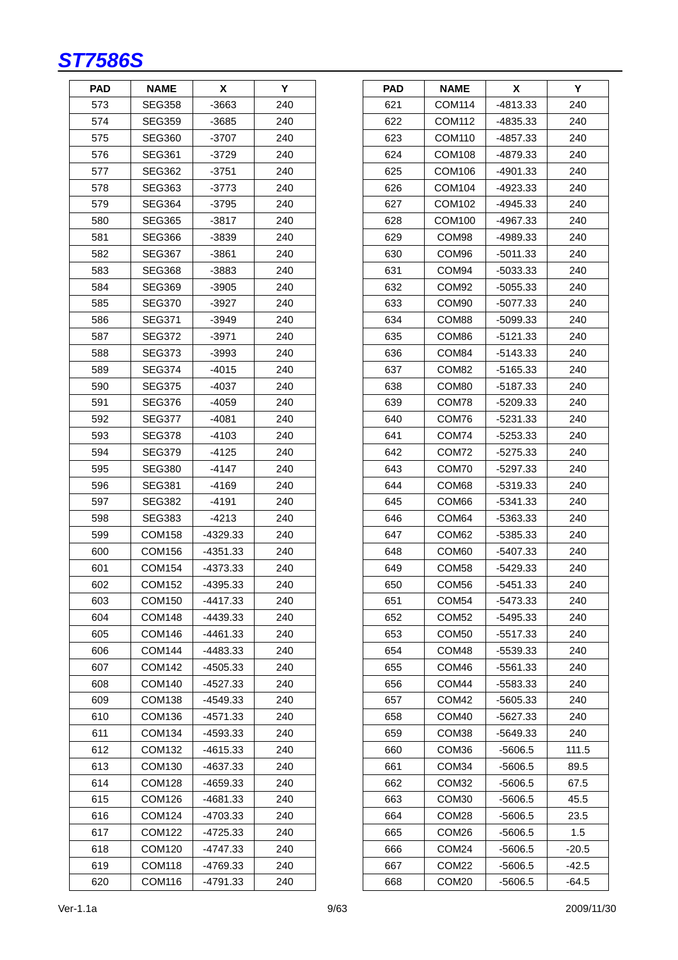| <b>PAD</b> | NAME          | X          | Y   |
|------------|---------------|------------|-----|
| 573        | SEG358        | $-3663$    | 240 |
| 574        | SEG359        | -3685      | 240 |
| 575        | SEG360        | $-3707$    | 240 |
| 576        | <b>SEG361</b> | -3729      | 240 |
| 577        | SEG362        | -3751      | 240 |
| 578        | <b>SEG363</b> | $-3773$    | 240 |
| 579        | SEG364        | -3795      | 240 |
| 580        | SEG365        | -3817      | 240 |
| 581        | SEG366        | -3839      | 240 |
| 582        | SEG367        | -3861      | 240 |
| 583        | SEG368        | $-3883$    | 240 |
| 584        | SEG369        | -3905      | 240 |
| 585        | SEG370        | -3927      | 240 |
| 586        | SEG371        | -3949      | 240 |
| 587        | SEG372        | -3971      | 240 |
| 588        | SEG373        | -3993      | 240 |
| 589        | SEG374        | -4015      | 240 |
| 590        | <b>SEG375</b> | -4037      | 240 |
| 591        | SEG376        | -4059      | 240 |
| 592        | SEG377        | -4081      | 240 |
| 593        | SEG378        | -4103      | 240 |
| 594        | SEG379        | -4125      | 240 |
| 595        | <b>SEG380</b> | -4147      | 240 |
| 596        | SEG381        | $-4169$    | 240 |
| 597        | SEG382        | $-4191$    | 240 |
| 598        | SEG383        | -4213      | 240 |
| 599        | COM158        | -4329.33   | 240 |
| 600        | <b>COM156</b> | $-4351.33$ | 240 |
| 601        | <b>COM154</b> | -4373.33   | 240 |
| 602        | <b>COM152</b> | -4395.33   | 240 |
| 603        | COM150        | -4417.33   | 240 |
| 604        | COM148        | -4439.33   | 240 |
| 605        | COM146        | -4461.33   | 240 |
| 606        | <b>COM144</b> | -4483.33   | 240 |
| 607        | <b>COM142</b> | -4505.33   | 240 |
| 608        | COM140        | -4527.33   | 240 |
| 609        | COM138        | -4549.33   | 240 |
| 610        | COM136        | $-4571.33$ | 240 |
| 611        | COM134        | -4593.33   | 240 |
| 612        | COM132        | -4615.33   | 240 |
| 613        | COM130        | -4637.33   | 240 |
| 614        | <b>COM128</b> | -4659.33   | 240 |
| 615        | COM126        | -4681.33   | 240 |
| 616        | COM124        | -4703.33   | 240 |
| 617        | COM122        | -4725.33   | 240 |
| 618        | COM120        | $-4747.33$ | 240 |
| 619        | <b>COM118</b> | -4769.33   | 240 |
| 620        | COM116        | -4791.33   | 240 |

| <b>PAD</b> | <b>NAME</b>       | х          | Y       |
|------------|-------------------|------------|---------|
| 621        | COM114            | -4813.33   | 240     |
| 622        | COM112            | -4835.33   | 240     |
| 623        | COM110            | -4857.33   | 240     |
| 624        | <b>COM108</b>     | -4879.33   | 240     |
| 625        | COM106            | -4901.33   | 240     |
| 626        | COM104            | -4923.33   | 240     |
| 627        | COM102            | -4945.33   | 240     |
| 628        | COM100            | -4967.33   | 240     |
| 629        | COM98             | -4989.33   | 240     |
| 630        | COM <sub>96</sub> | -5011.33   | 240     |
| 631        | COM94             | $-5033.33$ | 240     |
| 632        | COM92             | $-5055.33$ | 240     |
| 633        | COM <sub>90</sub> | -5077.33   | 240     |
| 634        | COM88             | -5099.33   | 240     |
| 635        | COM86             | $-5121.33$ | 240     |
| 636        | COM84             | $-5143.33$ | 240     |
| 637        | COM82             | -5165.33   | 240     |
| 638        | COM80             | -5187.33   | 240     |
| 639        | COM78             | $-5209.33$ | 240     |
| 640        | COM76             | -5231.33   | 240     |
| 641        | COM74             | $-5253.33$ | 240     |
| 642        | COM72             | $-5275.33$ | 240     |
| 643        | COM70             | -5297.33   | 240     |
| 644        | COM68             | -5319.33   | 240     |
| 645        | COM66             | -5341.33   | 240     |
| 646        | COM64             | -5363.33   | 240     |
| 647        | COM62             | -5385.33   | 240     |
| 648        | COM60             | -5407.33   | 240     |
| 649        | COM58             | $-5429.33$ | 240     |
| 650        | COM56             | -5451.33   | 240     |
| 651        | COM54             | -5473.33   | 240     |
| 652        | COM <sub>52</sub> | -5495.33   | 240     |
| 653        | COM50             | -5517.33   | 240     |
| 654        | COM48             | -5539.33   | 240     |
| 655        | COM46             | -5561.33   | 240     |
| 656        | COM44             | -5583.33   | 240     |
| 657        | COM42             | -5605.33   | 240     |
| 658        | COM <sub>40</sub> | -5627.33   | 240     |
| 659        | COM38             | -5649.33   | 240     |
| 660        | COM36             | $-5606.5$  | 111.5   |
| 661        | COM34             | -5606.5    | 89.5    |
| 662        | COM32             | $-5606.5$  | 67.5    |
| 663        | COM30             | $-5606.5$  | 45.5    |
| 664        | COM28             | -5606.5    | 23.5    |
| 665        | COM26             | -5606.5    | 1.5     |
| 666        | COM <sub>24</sub> | $-5606.5$  | $-20.5$ |
| 667        | COM <sub>22</sub> | $-5606.5$  | $-42.5$ |
| 668        | COM <sub>20</sub> | -5606.5    | $-64.5$ |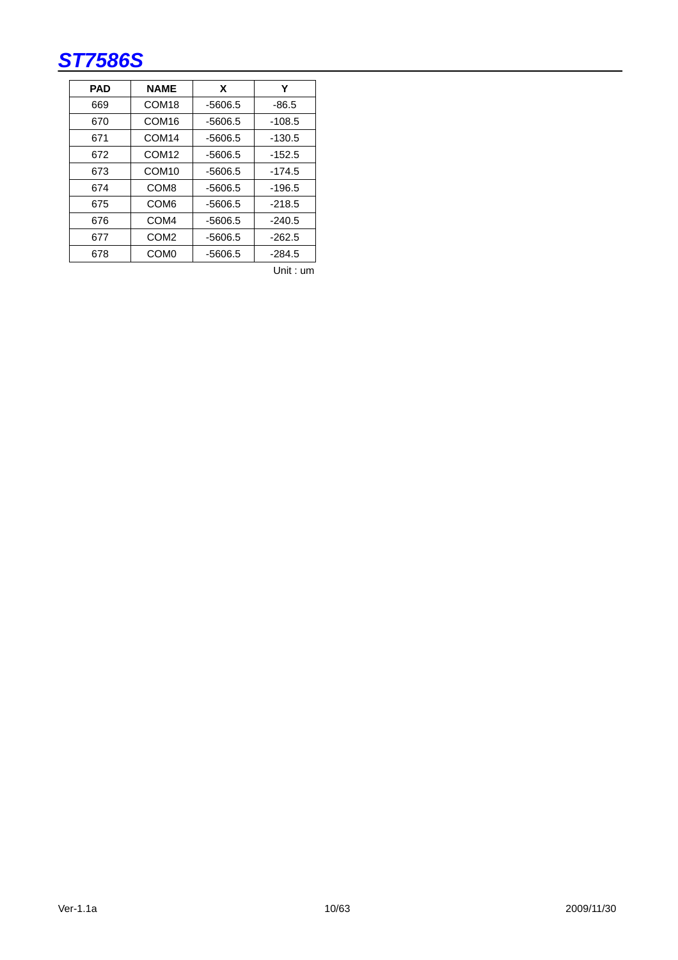| <b>PAD</b> | <b>NAME</b>       | X         | Υ        |
|------------|-------------------|-----------|----------|
| 669        | COM <sub>18</sub> | $-5606.5$ | $-86.5$  |
| 670        | COM <sub>16</sub> | $-5606.5$ | $-108.5$ |
| 671        | COM <sub>14</sub> | $-5606.5$ | $-130.5$ |
| 672        | COM <sub>12</sub> | $-5606.5$ | $-152.5$ |
| 673        | COM <sub>10</sub> | $-5606.5$ | $-174.5$ |
| 674        | COM <sub>8</sub>  | $-5606.5$ | $-196.5$ |
| 675        | COM <sub>6</sub>  | $-5606.5$ | $-218.5$ |
| 676        | COM <sub>4</sub>  | $-5606.5$ | $-240.5$ |
| 677        | COM <sub>2</sub>  | $-5606.5$ | $-262.5$ |
| 678        | COM <sub>0</sub>  | $-5606.5$ | $-284.5$ |

Unit : um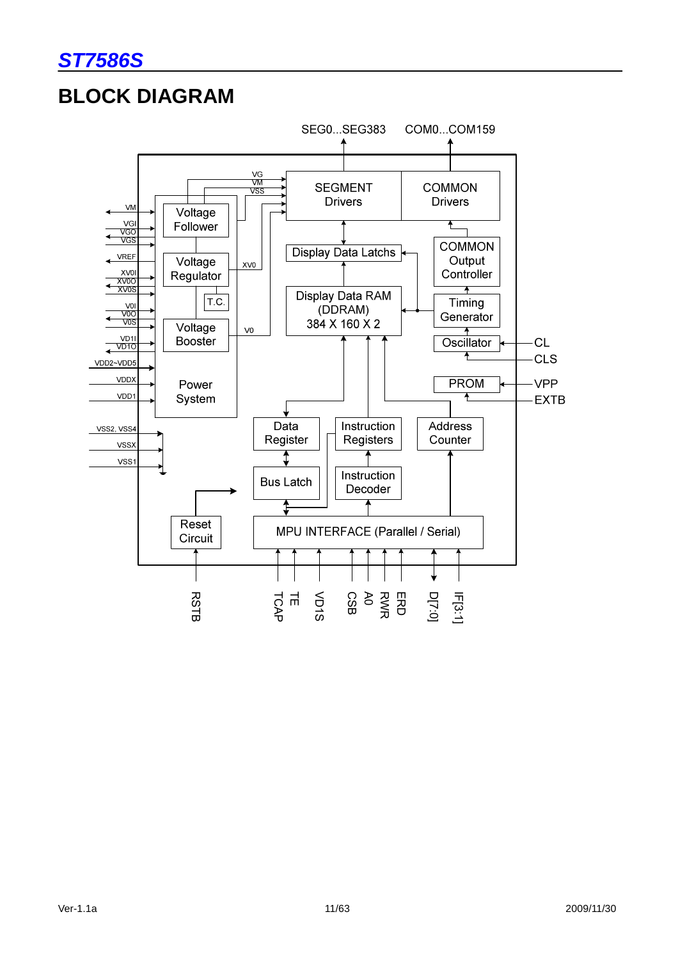

# **BLOCK DIAGRAM**

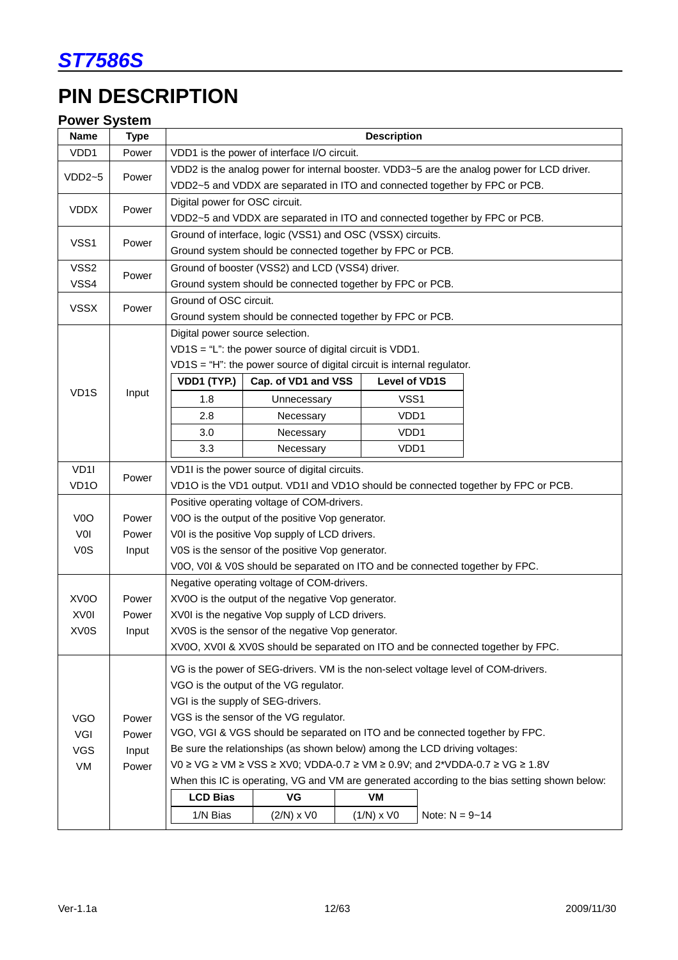

# **PIN DESCRIPTION**

# **Power System**

| Name              | <b>Type</b> | <b>Description</b>                                                                         |                                                                                    |              |                    |                                                                                               |  |  |
|-------------------|-------------|--------------------------------------------------------------------------------------------|------------------------------------------------------------------------------------|--------------|--------------------|-----------------------------------------------------------------------------------------------|--|--|
| VDD1              | Power       | VDD1 is the power of interface I/O circuit.                                                |                                                                                    |              |                    |                                                                                               |  |  |
| $VDD2-5$          | Power       | VDD2 is the analog power for internal booster. VDD3~5 are the analog power for LCD driver. |                                                                                    |              |                    |                                                                                               |  |  |
|                   |             | VDD2~5 and VDDX are separated in ITO and connected together by FPC or PCB.                 |                                                                                    |              |                    |                                                                                               |  |  |
| <b>VDDX</b>       | Power       | Digital power for OSC circuit.                                                             |                                                                                    |              |                    |                                                                                               |  |  |
|                   |             |                                                                                            | VDD2~5 and VDDX are separated in ITO and connected together by FPC or PCB.         |              |                    |                                                                                               |  |  |
| VSS1              | Power       |                                                                                            | Ground of interface, logic (VSS1) and OSC (VSSX) circuits.                         |              |                    |                                                                                               |  |  |
|                   |             |                                                                                            | Ground system should be connected together by FPC or PCB.                          |              |                    |                                                                                               |  |  |
| VSS2              | Power       |                                                                                            | Ground of booster (VSS2) and LCD (VSS4) driver.                                    |              |                    |                                                                                               |  |  |
| VSS4              |             |                                                                                            | Ground system should be connected together by FPC or PCB.                          |              |                    |                                                                                               |  |  |
| <b>VSSX</b>       | Power       | Ground of OSC circuit.                                                                     | Ground system should be connected together by FPC or PCB.                          |              |                    |                                                                                               |  |  |
|                   |             | Digital power source selection.                                                            |                                                                                    |              |                    |                                                                                               |  |  |
|                   |             |                                                                                            | $VD1S = "L":$ the power source of digital circuit is VDD1.                         |              |                    |                                                                                               |  |  |
|                   |             |                                                                                            | $VD1S = "H":$ the power source of digital circuit is internal regulator.           |              |                    |                                                                                               |  |  |
|                   |             | VDD1 (TYP.)                                                                                | Cap. of VD1 and VSS                                                                |              | Level of VD1S      |                                                                                               |  |  |
| VD <sub>1</sub> S | Input       | 1.8                                                                                        | Unnecessary                                                                        |              | VSS <sub>1</sub>   |                                                                                               |  |  |
|                   |             | 2.8                                                                                        | Necessary                                                                          |              | VD <sub>D1</sub>   |                                                                                               |  |  |
|                   |             | 3.0                                                                                        | Necessary                                                                          |              | VDD1               |                                                                                               |  |  |
|                   |             | 3.3                                                                                        | Necessary                                                                          |              | VDD1               |                                                                                               |  |  |
| VD <sub>1</sub>   |             |                                                                                            | VD1I is the power source of digital circuits.                                      |              |                    |                                                                                               |  |  |
| VD <sub>10</sub>  | Power       |                                                                                            |                                                                                    |              |                    | VD1O is the VD1 output. VD1I and VD1O should be connected together by FPC or PCB.             |  |  |
|                   |             |                                                                                            | Positive operating voltage of COM-drivers.                                         |              |                    |                                                                                               |  |  |
| V <sub>0</sub> O  | Power       |                                                                                            | V0O is the output of the positive Vop generator.                                   |              |                    |                                                                                               |  |  |
| VOI               | Power       |                                                                                            | V0I is the positive Vop supply of LCD drivers.                                     |              |                    |                                                                                               |  |  |
| V <sub>0</sub> S  | Input       |                                                                                            | V0S is the sensor of the positive Vop generator.                                   |              |                    |                                                                                               |  |  |
|                   |             |                                                                                            | V0O, V0I & V0S should be separated on ITO and be connected together by FPC.        |              |                    |                                                                                               |  |  |
|                   |             |                                                                                            | Negative operating voltage of COM-drivers.                                         |              |                    |                                                                                               |  |  |
| XV <sub>0</sub> O | Power       |                                                                                            | XV0O is the output of the negative Vop generator.                                  |              |                    |                                                                                               |  |  |
| XV <sub>0</sub>   | Power       |                                                                                            | XV0I is the negative Vop supply of LCD drivers.                                    |              |                    |                                                                                               |  |  |
| XV0S              | Input       |                                                                                            | XV0S is the sensor of the negative Vop generator.                                  |              |                    |                                                                                               |  |  |
|                   |             |                                                                                            |                                                                                    |              |                    | XV0O, XV0I & XV0S should be separated on ITO and be connected together by FPC.                |  |  |
|                   |             |                                                                                            | VG is the power of SEG-drivers. VM is the non-select voltage level of COM-drivers. |              |                    |                                                                                               |  |  |
|                   |             |                                                                                            | VGO is the output of the VG regulator.                                             |              |                    |                                                                                               |  |  |
|                   |             |                                                                                            | VGI is the supply of SEG-drivers.                                                  |              |                    |                                                                                               |  |  |
| <b>VGO</b>        | Power       |                                                                                            | VGS is the sensor of the VG regulator.                                             |              |                    |                                                                                               |  |  |
| VGI               | Power       |                                                                                            | VGO, VGI & VGS should be separated on ITO and be connected together by FPC.        |              |                    |                                                                                               |  |  |
| <b>VGS</b>        | Input       | Be sure the relationships (as shown below) among the LCD driving voltages:                 |                                                                                    |              |                    |                                                                                               |  |  |
| VM                | Power       |                                                                                            | V0 ≥ VG ≥ VM ≥ VSS ≥ XV0; VDDA-0.7 ≥ VM ≥ 0.9V; and 2*VDDA-0.7 ≥ VG ≥ 1.8V         |              |                    |                                                                                               |  |  |
|                   |             |                                                                                            | VG                                                                                 |              |                    | When this IC is operating, VG and VM are generated according to the bias setting shown below: |  |  |
|                   |             | <b>LCD Bias</b>                                                                            |                                                                                    | VM           |                    |                                                                                               |  |  |
|                   |             | 1/N Bias                                                                                   | $(2/N)$ x VO                                                                       | $(1/N)$ x VO | Note: $N = 9 - 14$ |                                                                                               |  |  |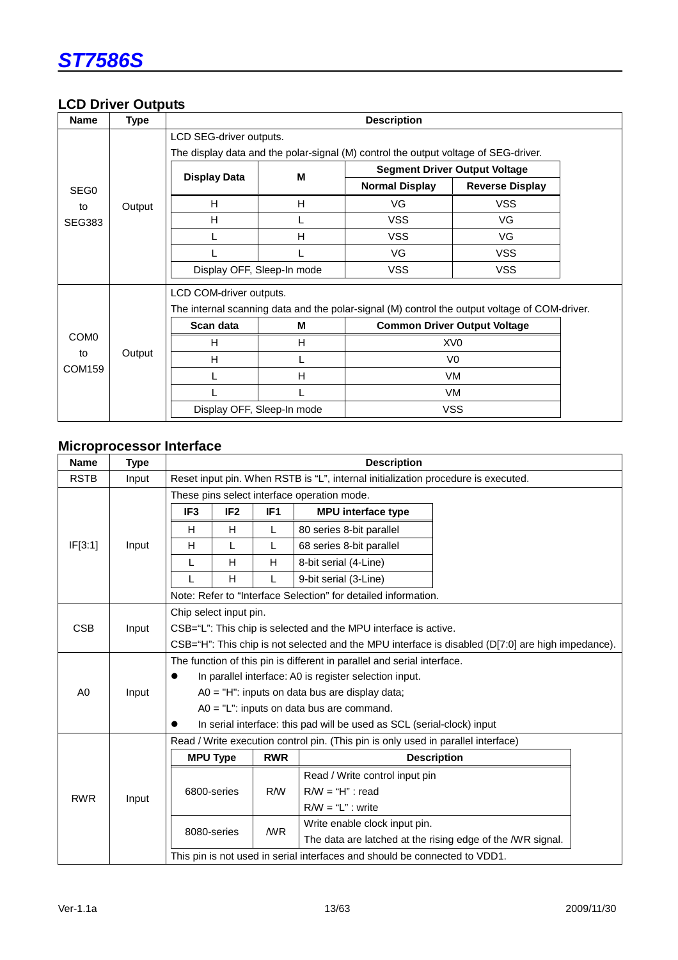

### **LCD Driver Outputs**

| <b>Name</b>                      | <b>Type</b> | <b>Description</b>                                                                  |   |                       |                                                                                               |  |  |  |  |
|----------------------------------|-------------|-------------------------------------------------------------------------------------|---|-----------------------|-----------------------------------------------------------------------------------------------|--|--|--|--|
|                                  |             | LCD SEG-driver outputs.                                                             |   |                       |                                                                                               |  |  |  |  |
|                                  |             | The display data and the polar-signal (M) control the output voltage of SEG-driver. |   |                       |                                                                                               |  |  |  |  |
|                                  |             | <b>Display Data</b>                                                                 | M |                       | <b>Segment Driver Output Voltage</b>                                                          |  |  |  |  |
| SEG <sub>0</sub>                 |             |                                                                                     |   | <b>Normal Display</b> | <b>Reverse Display</b>                                                                        |  |  |  |  |
| to                               | Output      | н                                                                                   | H | VG                    | <b>VSS</b>                                                                                    |  |  |  |  |
| <b>SEG383</b>                    |             | H                                                                                   |   | <b>VSS</b>            | VG                                                                                            |  |  |  |  |
|                                  |             | L                                                                                   | H | <b>VSS</b>            | VG                                                                                            |  |  |  |  |
|                                  |             |                                                                                     |   | VG.                   | <b>VSS</b>                                                                                    |  |  |  |  |
|                                  |             | Display OFF, Sleep-In mode                                                          |   | <b>VSS</b>            | <b>VSS</b>                                                                                    |  |  |  |  |
|                                  |             | LCD COM-driver outputs.                                                             |   |                       |                                                                                               |  |  |  |  |
|                                  |             |                                                                                     |   |                       | The internal scanning data and the polar-signal (M) control the output voltage of COM-driver. |  |  |  |  |
|                                  |             | Scan data                                                                           | М |                       | <b>Common Driver Output Voltage</b>                                                           |  |  |  |  |
| COM <sub>0</sub><br>to<br>COM159 |             | н                                                                                   | H |                       | XV <sub>0</sub>                                                                               |  |  |  |  |
|                                  | Output      | H                                                                                   | L | V <sub>0</sub>        |                                                                                               |  |  |  |  |
|                                  |             |                                                                                     | н |                       | VM.                                                                                           |  |  |  |  |
|                                  |             |                                                                                     |   |                       | <b>VM</b>                                                                                     |  |  |  |  |
|                                  |             | Display OFF, Sleep-In mode                                                          |   |                       | <b>VSS</b>                                                                                    |  |  |  |  |

# **Microprocessor Interface**

| <b>Name</b>                                                                                       | <b>Type</b> | <b>Description</b>                                                  |                 |                 |                                                                                   |                                                            |  |  |
|---------------------------------------------------------------------------------------------------|-------------|---------------------------------------------------------------------|-----------------|-----------------|-----------------------------------------------------------------------------------|------------------------------------------------------------|--|--|
| <b>RSTB</b>                                                                                       | Input       |                                                                     |                 |                 | Reset input pin. When RSTB is "L", internal initialization procedure is executed. |                                                            |  |  |
|                                                                                                   |             | These pins select interface operation mode.                         |                 |                 |                                                                                   |                                                            |  |  |
|                                                                                                   |             | IF <sub>3</sub>                                                     | IF <sub>2</sub> | IF <sub>1</sub> | <b>MPU</b> interface type                                                         |                                                            |  |  |
|                                                                                                   |             | Н                                                                   | H               | L               | 80 series 8-bit parallel                                                          |                                                            |  |  |
| IF[3:1]                                                                                           | Input       | H                                                                   | L               | L               | 68 series 8-bit parallel                                                          |                                                            |  |  |
|                                                                                                   |             | L                                                                   | H               | H               | 8-bit serial (4-Line)                                                             |                                                            |  |  |
|                                                                                                   |             |                                                                     | H               |                 | 9-bit serial (3-Line)                                                             |                                                            |  |  |
|                                                                                                   |             |                                                                     |                 |                 | Note: Refer to "Interface Selection" for detailed information.                    |                                                            |  |  |
|                                                                                                   |             | Chip select input pin.                                              |                 |                 |                                                                                   |                                                            |  |  |
| <b>CSB</b>                                                                                        | Input       | CSB="L": This chip is selected and the MPU interface is active.     |                 |                 |                                                                                   |                                                            |  |  |
| CSB="H": This chip is not selected and the MPU interface is disabled (D[7:0] are high impedance). |             |                                                                     |                 |                 |                                                                                   |                                                            |  |  |
|                                                                                                   |             |                                                                     |                 |                 | The function of this pin is different in parallel and serial interface.           |                                                            |  |  |
|                                                                                                   |             | In parallel interface: A0 is register selection input.<br>$\bullet$ |                 |                 |                                                                                   |                                                            |  |  |
| A0                                                                                                | Input       | $AO = "H":$ inputs on data bus are display data;                    |                 |                 |                                                                                   |                                                            |  |  |
|                                                                                                   |             |                                                                     |                 |                 | $AO = "L":$ inputs on data bus are command.                                       |                                                            |  |  |
|                                                                                                   |             |                                                                     |                 |                 | In serial interface: this pad will be used as SCL (serial-clock) input            |                                                            |  |  |
|                                                                                                   |             |                                                                     |                 |                 | Read / Write execution control pin. (This pin is only used in parallel interface) |                                                            |  |  |
|                                                                                                   |             | <b>MPU Type</b>                                                     |                 | <b>RWR</b>      |                                                                                   | <b>Description</b>                                         |  |  |
|                                                                                                   |             |                                                                     |                 |                 | Read / Write control input pin                                                    |                                                            |  |  |
| <b>RWR</b>                                                                                        | Input       | 6800-series                                                         |                 | R/W             | $R/W = "H"$ : read                                                                |                                                            |  |  |
|                                                                                                   |             |                                                                     |                 |                 | $R/W = "L"$ : write                                                               |                                                            |  |  |
|                                                                                                   |             | 8080-series                                                         |                 | /WR             | Write enable clock input pin.                                                     |                                                            |  |  |
|                                                                                                   |             |                                                                     |                 |                 |                                                                                   | The data are latched at the rising edge of the /WR signal. |  |  |
|                                                                                                   |             |                                                                     |                 |                 | This pin is not used in serial interfaces and should be connected to VDD1.        |                                                            |  |  |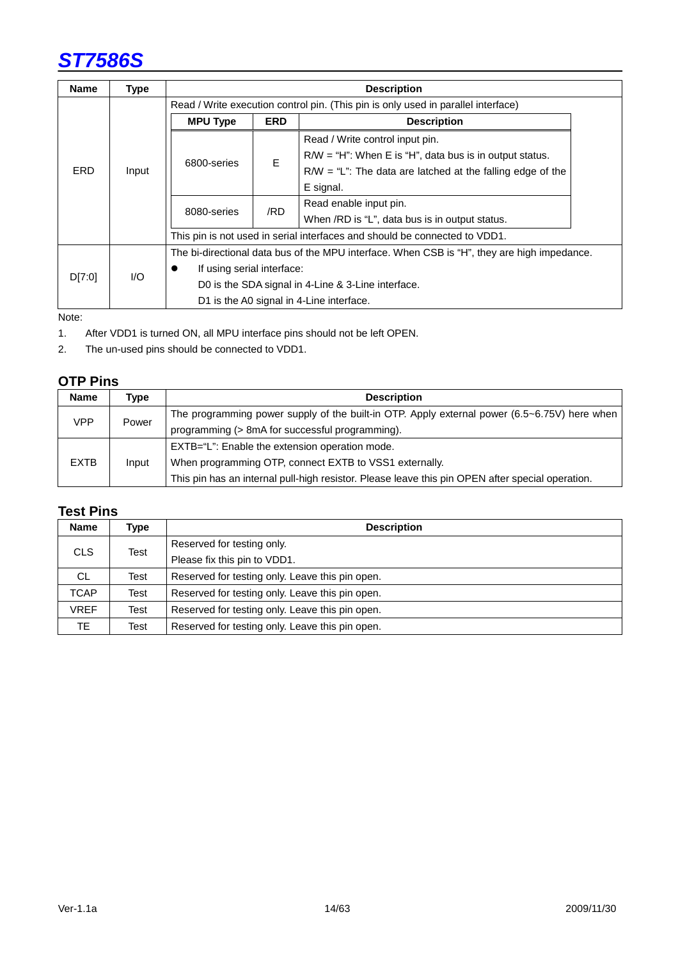| <b>Name</b> | <b>Type</b> | <b>Description</b>                                                                          |     |                                                                            |  |  |  |  |
|-------------|-------------|---------------------------------------------------------------------------------------------|-----|----------------------------------------------------------------------------|--|--|--|--|
|             |             | Read / Write execution control pin. (This pin is only used in parallel interface)           |     |                                                                            |  |  |  |  |
|             |             | <b>MPU Type</b><br><b>ERD</b><br><b>Description</b>                                         |     |                                                                            |  |  |  |  |
|             |             |                                                                                             |     | Read / Write control input pin.                                            |  |  |  |  |
|             |             | 6800-series                                                                                 | E   | $R/W = "H"$ : When E is "H", data bus is in output status.                 |  |  |  |  |
| <b>ERD</b>  | Input       |                                                                                             |     | $R/W = "L"$ : The data are latched at the falling edge of the              |  |  |  |  |
|             |             |                                                                                             |     | E signal.                                                                  |  |  |  |  |
|             |             | 8080-series                                                                                 | /RD | Read enable input pin.                                                     |  |  |  |  |
|             |             |                                                                                             |     | When /RD is "L", data bus is in output status.                             |  |  |  |  |
|             |             |                                                                                             |     | This pin is not used in serial interfaces and should be connected to VDD1. |  |  |  |  |
|             |             | The bi-directional data bus of the MPU interface. When CSB is "H", they are high impedance. |     |                                                                            |  |  |  |  |
| D[7:0]      | 1/O         | If using serial interface:                                                                  |     |                                                                            |  |  |  |  |
|             |             |                                                                                             |     | D0 is the SDA signal in 4-Line & 3-Line interface.                         |  |  |  |  |
|             |             |                                                                                             |     | D1 is the A0 signal in 4-Line interface.                                   |  |  |  |  |

Note:

1. After VDD1 is turned ON, all MPU interface pins should not be left OPEN.

2. The un-used pins should be connected to VDD1.

### **OTP Pins**

| <b>Name</b> | Type  | <b>Description</b>                                                                               |
|-------------|-------|--------------------------------------------------------------------------------------------------|
| VPP         | Power | The programming power supply of the built-in OTP. Apply external power (6.5~6.75V) here when     |
|             |       | programming (> 8mA for successful programming).                                                  |
| <b>EXTB</b> | Input | EXTB="L": Enable the extension operation mode.                                                   |
|             |       | When programming OTP, connect EXTB to VSS1 externally.                                           |
|             |       | This pin has an internal pull-high resistor. Please leave this pin OPEN after special operation. |

# **Test Pins**

| <b>Name</b> | Type | <b>Description</b>                              |  |  |  |
|-------------|------|-------------------------------------------------|--|--|--|
| CLS.        |      | Reserved for testing only.                      |  |  |  |
|             | Test | Please fix this pin to VDD1.                    |  |  |  |
| CL.         | Test | Reserved for testing only. Leave this pin open. |  |  |  |
| <b>TCAP</b> | Test | Reserved for testing only. Leave this pin open. |  |  |  |
| <b>VREF</b> | Test | Reserved for testing only. Leave this pin open. |  |  |  |
| TE.         | Test | Reserved for testing only. Leave this pin open. |  |  |  |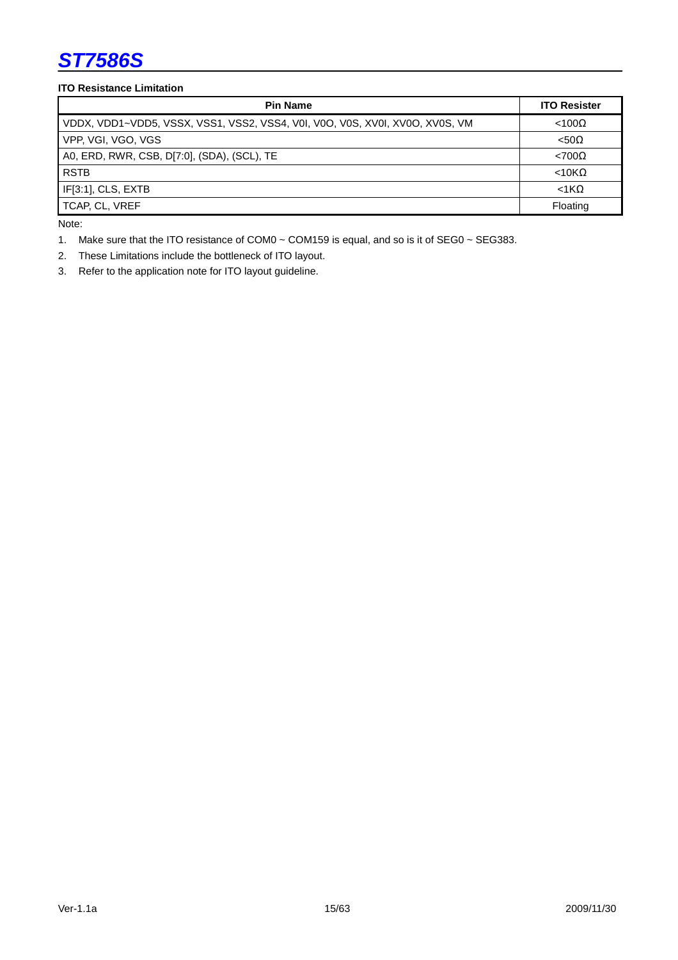#### **ITO Resistance Limitation**

| <b>Pin Name</b>                                                              | <b>ITO Resister</b> |
|------------------------------------------------------------------------------|---------------------|
| VDDX, VDD1~VDD5, VSSX, VSS1, VSS2, VSS4, V01, V0O, V0S, XV01, XV0O, XV0S, VM | $<$ 100 $\Omega$    |
| VPP, VGI, VGO, VGS                                                           | $< 50\Omega$        |
| A0, ERD, RWR, CSB, D[7:0], (SDA), (SCL), TE                                  | $< 700\Omega$       |
| <b>RSTB</b>                                                                  | $<$ 10K $\Omega$    |
| IF[3:1], CLS, EXTB                                                           | $<$ 1 $K\Omega$     |
| TCAP, CL, VREF                                                               | Floating            |

Note:

1. Make sure that the ITO resistance of COM0 ~ COM159 is equal, and so is it of SEG0 ~ SEG383.

2. These Limitations include the bottleneck of ITO layout.

3. Refer to the application note for ITO layout guideline.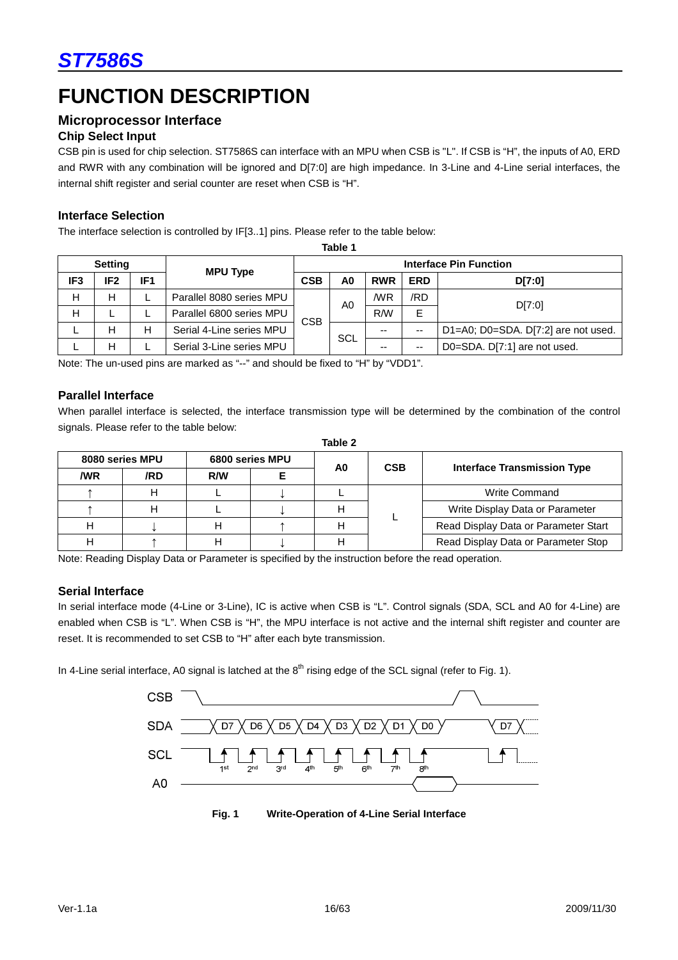# **FUNCTION DESCRIPTION**

### **Microprocessor Interface**

#### **Chip Select Input**

CSB pin is used for chip selection. ST7586S can interface with an MPU when CSB is "L". If CSB is "H", the inputs of A0, ERD and RWR with any combination will be ignored and D[7:0] are high impedance. In 3-Line and 4-Line serial interfaces, the internal shift register and serial counter are reset when CSB is "H".

#### **Interface Selection**

The interface selection is controlled by IF[3..1] pins. Please refer to the table below:

|                 | lable l         |                 |                          |                        |                |                |            |                                     |        |
|-----------------|-----------------|-----------------|--------------------------|------------------------|----------------|----------------|------------|-------------------------------------|--------|
| <b>Setting</b>  |                 |                 |                          | Interface Pin Function |                |                |            |                                     |        |
| IF <sub>3</sub> | IF <sub>2</sub> | IF <sub>1</sub> | <b>MPU Type</b>          | <b>CSB</b>             | A <sub>0</sub> | <b>RWR</b>     | <b>ERD</b> | D[7:0]                              |        |
| н               | н               |                 | Parallel 8080 series MPU |                        | CSB            | A <sub>0</sub> | /WR        | /RD                                 | D[7:0] |
| н               |                 |                 | Parallel 6800 series MPU |                        |                |                | R/W        | E                                   |        |
|                 | н               | н               | Serial 4-Line series MPU |                        | SCL            | --             | --         | D1=A0; D0=SDA. D[7:2] are not used. |        |
|                 | н               |                 | Serial 3-Line series MPU |                        |                | --             | $- -$      | D0=SDA. D[7:1] are not used.        |        |

**Table 1** 

Note: The un-used pins are marked as "--" and should be fixed to "H" by "VDD1".

#### **Parallel Interface**

When parallel interface is selected, the interface transmission type will be determined by the combination of the control signals. Please refer to the table below: **Table 2** 

|     |                 |     |                 | Table Z |            |                                      |
|-----|-----------------|-----|-----------------|---------|------------|--------------------------------------|
|     | 8080 series MPU |     | 6800 series MPU | A0      | <b>CSB</b> | <b>Interface Transmission Type</b>   |
| /WR | /RD             | R/W |                 |         |            |                                      |
|     |                 |     |                 |         |            | <b>Write Command</b>                 |
|     |                 |     |                 |         |            | Write Display Data or Parameter      |
|     |                 |     |                 |         |            | Read Display Data or Parameter Start |
|     |                 |     |                 |         |            | Read Display Data or Parameter Stop  |

Note: Reading Display Data or Parameter is specified by the instruction before the read operation.

#### **Serial Interface**

In serial interface mode (4-Line or 3-Line), IC is active when CSB is "L". Control signals (SDA, SCL and A0 for 4-Line) are enabled when CSB is "L". When CSB is "H", the MPU interface is not active and the internal shift register and counter are reset. It is recommended to set CSB to "H" after each byte transmission.

In 4-Line serial interface, A0 signal is latched at the  $8<sup>th</sup>$  rising edge of the SCL signal (refer to Fig. 1).



**Fig. 1 Write-Operation of 4-Line Serial Interface**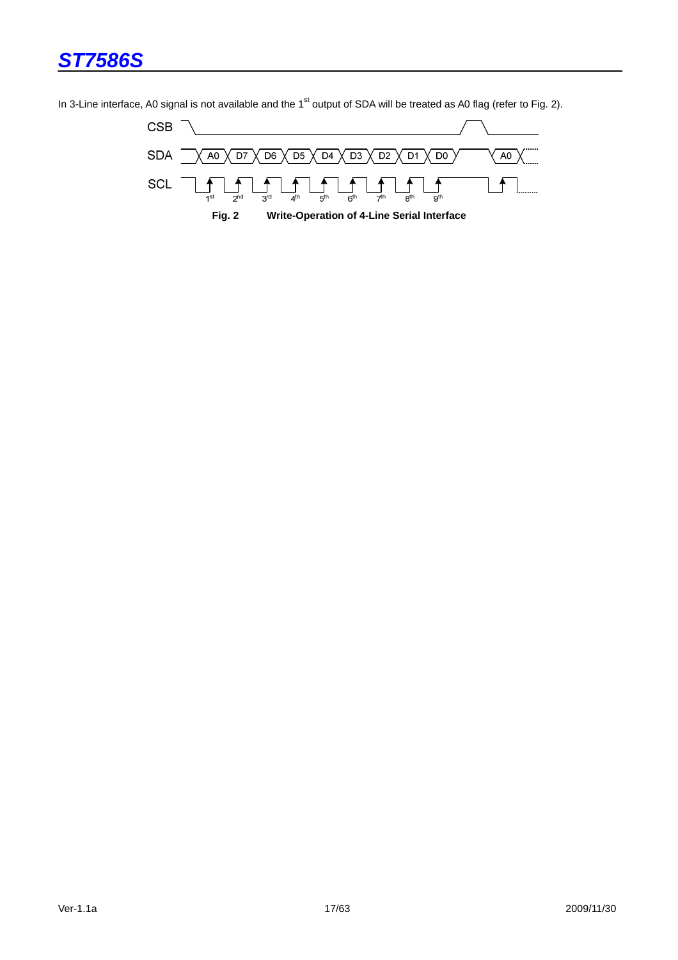**CSB SDA**  $A0$  $\sqrt{D7}$  $D6$  $\overline{D5}$  $\sqrt{D4}$  $\overline{D3}$  $D2$  $D1$  $\overline{D0}$  $A<sub>0</sub>$ SCL 1  $\overline{2}$ <sup>nd</sup>  $\overline{s}$ rd  $\overline{4}$ <sup>th</sup>  $\overline{5}$ <sup>th</sup>  $\overline{6}$ th  $\overline{s}$ <sup>tl</sup>  $\overline{g}$ th **Fig. 2 Write-Operation of 4-Line Serial Interface** 

In 3-Line interface, A0 signal is not available and the  $1<sup>st</sup>$  output of SDA will be treated as A0 flag (refer to Fig. 2).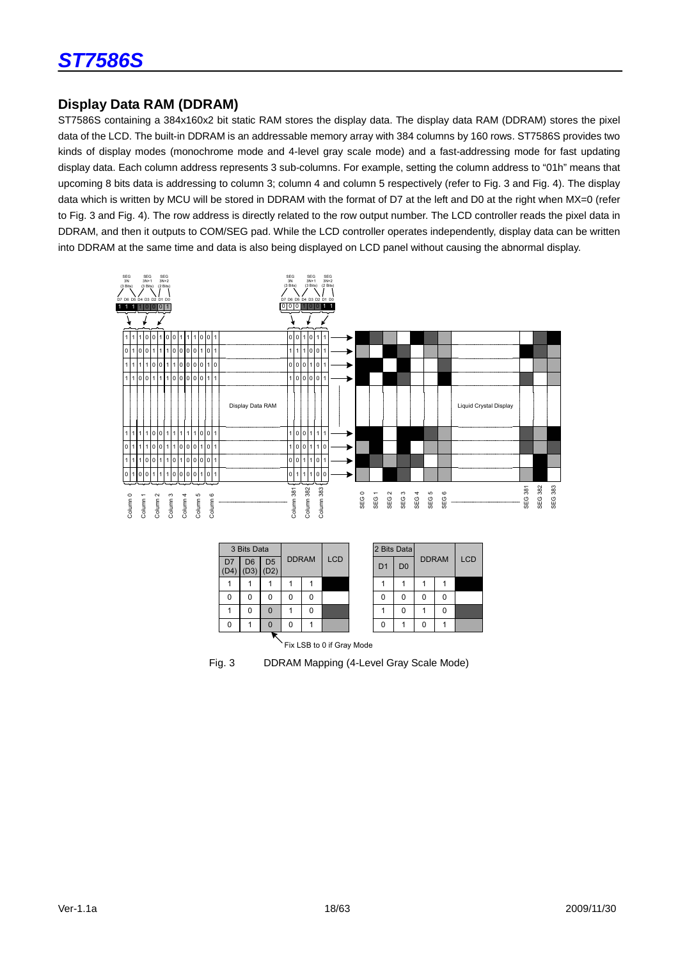# **Display Data RAM (DDRAM)**

ST7586S containing a 384x160x2 bit static RAM stores the display data. The display data RAM (DDRAM) stores the pixel data of the LCD. The built-in DDRAM is an addressable memory array with 384 columns by 160 rows. ST7586S provides two kinds of display modes (monochrome mode and 4-level gray scale mode) and a fast-addressing mode for fast updating display data. Each column address represents 3 sub-columns. For example, setting the column address to "01h" means that upcoming 8 bits data is addressing to column 3; column 4 and column 5 respectively (refer to Fig. 3 and Fig. 4). The display data which is written by MCU will be stored in DDRAM with the format of D7 at the left and D0 at the right when MX=0 (refer to Fig. 3 and Fig. 4). The row address is directly related to the row output number. The LCD controller reads the pixel data in DDRAM, and then it outputs to COM/SEG pad. While the LCD controller operates independently, display data can be written into DDRAM at the same time and data is also being displayed on LCD panel without causing the abnormal display.



|                       | 3 Bits Data           |                        |              |   |            |  | 2 Bits Data    |                |              |   |            |  |  |
|-----------------------|-----------------------|------------------------|--------------|---|------------|--|----------------|----------------|--------------|---|------------|--|--|
| D <sub>7</sub><br>D4) | D <sub>6</sub><br>(D3 | D <sub>5</sub><br>(D2) | <b>DDRAM</b> |   | <b>LCD</b> |  | D <sub>1</sub> | D <sub>0</sub> | <b>DDRAM</b> |   | <b>LCD</b> |  |  |
|                       |                       |                        |              |   |            |  |                |                |              |   |            |  |  |
| 0                     | 0                     | O                      | ŋ            | 0 |            |  | 0              | 0              | 0            | O |            |  |  |
|                       | 0                     | $\Omega$               |              | 0 |            |  |                | 0              |              | O |            |  |  |
| 0                     |                       | $\Omega$               | 0            |   |            |  | 0              |                | 0            |   |            |  |  |
|                       |                       |                        |              |   |            |  |                |                |              |   |            |  |  |



Fig. 3 DDRAM Mapping (4-Level Gray Scale Mode)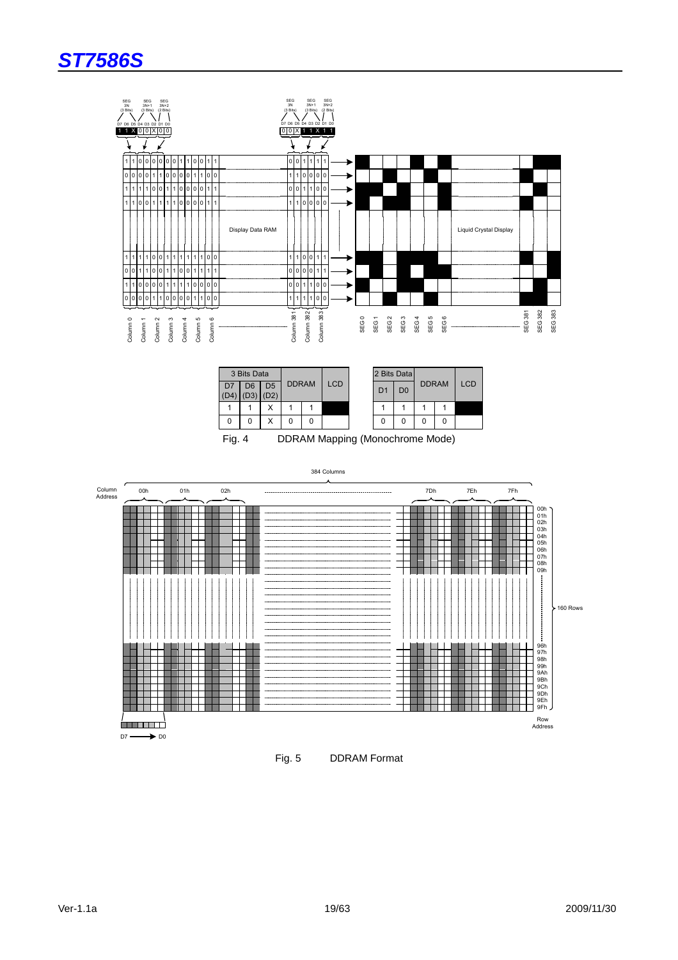



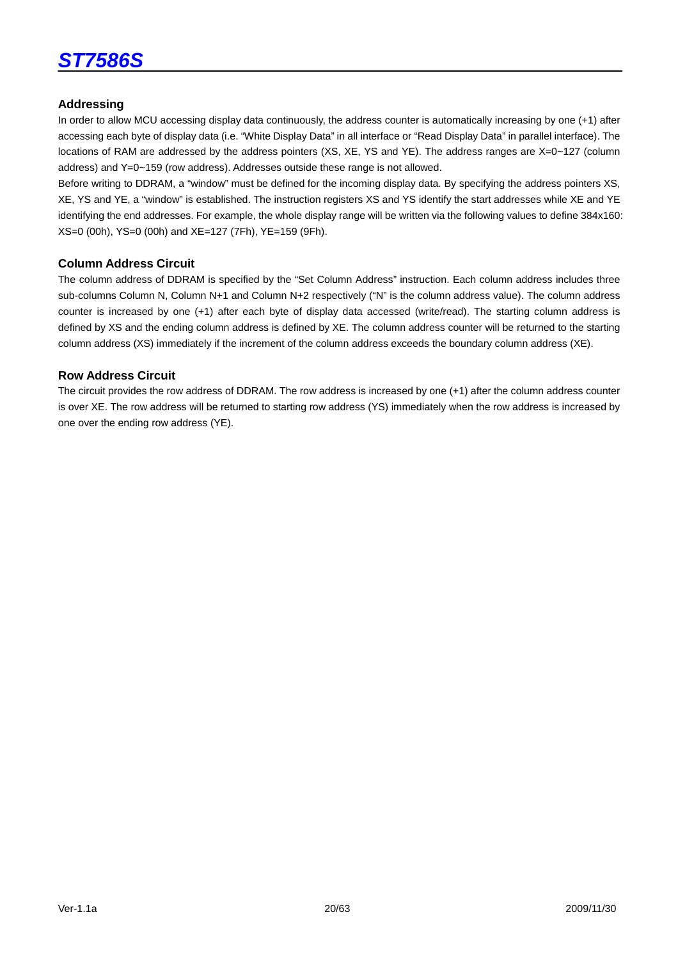

#### **Addressing**

In order to allow MCU accessing display data continuously, the address counter is automatically increasing by one (+1) after accessing each byte of display data (i.e. "White Display Data" in all interface or "Read Display Data" in parallel interface). The locations of RAM are addressed by the address pointers (XS, XE, YS and YE). The address ranges are X=0~127 (column address) and Y=0~159 (row address). Addresses outside these range is not allowed.

Before writing to DDRAM, a "window" must be defined for the incoming display data. By specifying the address pointers XS, XE, YS and YE, a "window" is established. The instruction registers XS and YS identify the start addresses while XE and YE identifying the end addresses. For example, the whole display range will be written via the following values to define 384x160: XS=0 (00h), YS=0 (00h) and XE=127 (7Fh), YE=159 (9Fh).

#### **Column Address Circuit**

The column address of DDRAM is specified by the "Set Column Address" instruction. Each column address includes three sub-columns Column N, Column N+1 and Column N+2 respectively ("N" is the column address value). The column address counter is increased by one (+1) after each byte of display data accessed (write/read). The starting column address is defined by XS and the ending column address is defined by XE. The column address counter will be returned to the starting column address (XS) immediately if the increment of the column address exceeds the boundary column address (XE).

#### **Row Address Circuit**

The circuit provides the row address of DDRAM. The row address is increased by one (+1) after the column address counter is over XE. The row address will be returned to starting row address (YS) immediately when the row address is increased by one over the ending row address (YE).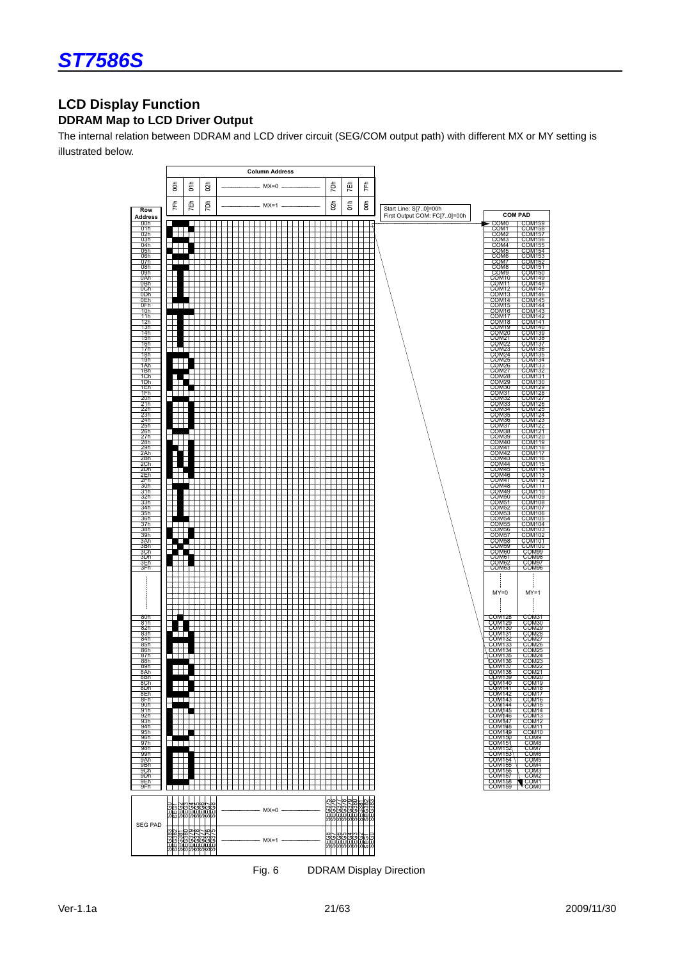### **LCD Display Function DDRAM Map to LCD Driver Output**

The internal relation between DDRAM and LCD driver circuit (SEG/COM output path) with different MX or MY setting is illustrated below.



Fig. 6 DDRAM Display Direction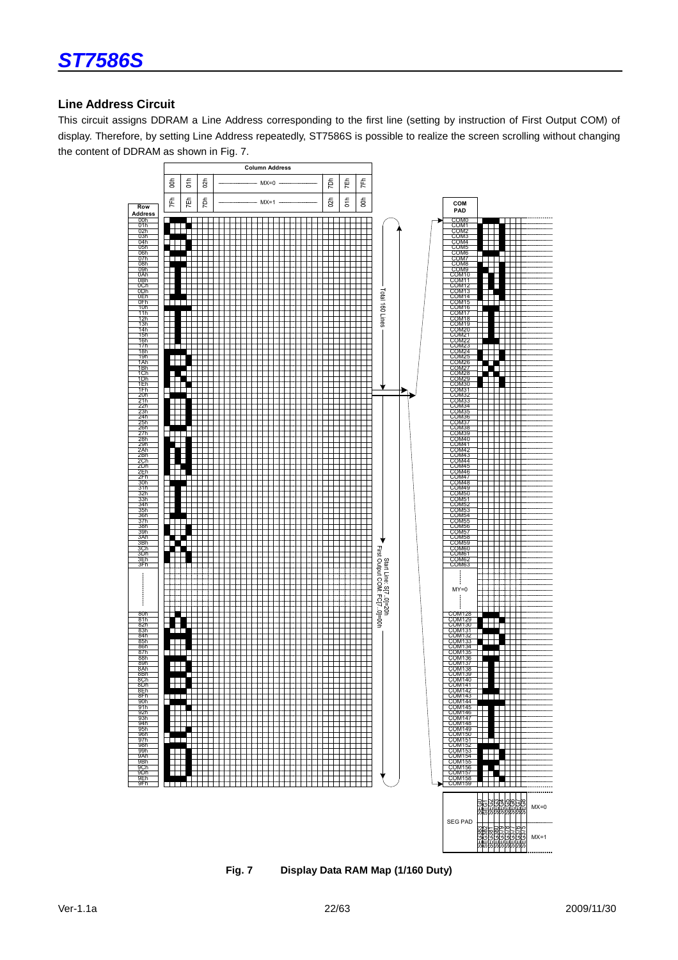

#### **Line Address Circuit**

This circuit assigns DDRAM a Line Address corresponding to the first line (setting by instruction of First Output COM) of display. Therefore, by setting Line Address repeatedly, ST7586S is possible to realize the screen scrolling without changing the content of DDRAM as shown in Fig. 7.



**Fig. 7 Display Data RAM Map (1/160 Duty)**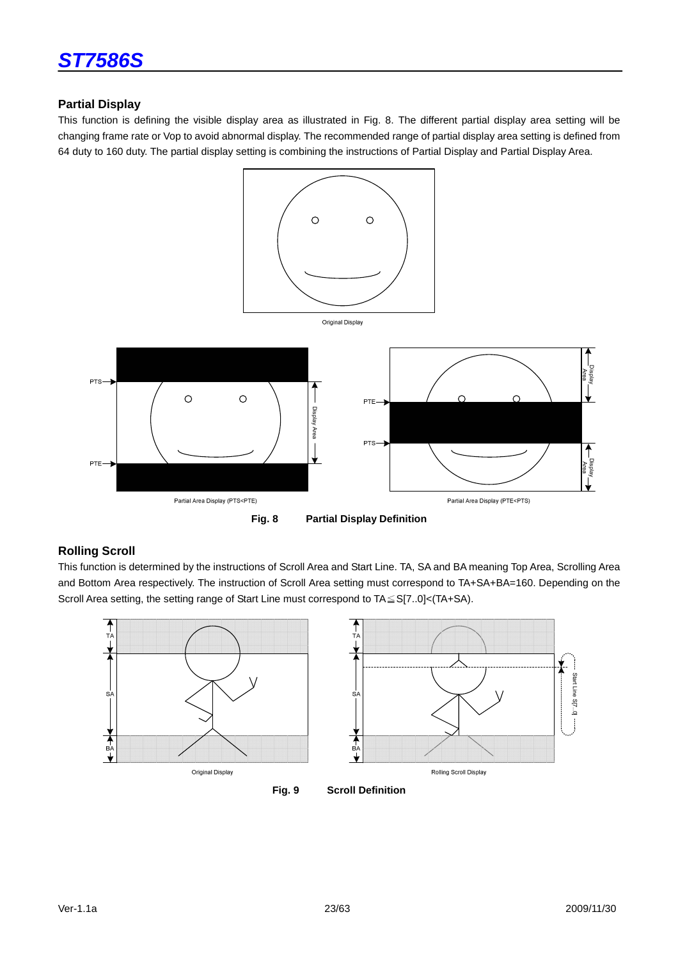

#### **Partial Display**

This function is defining the visible display area as illustrated in Fig. 8. The different partial display area setting will be changing frame rate or Vop to avoid abnormal display. The recommended range of partial display area setting is defined from 64 duty to 160 duty. The partial display setting is combining the instructions of Partial Display and Partial Display Area.



**Fig. 8 Partial Display Definition** 

#### **Rolling Scroll**

This function is determined by the instructions of Scroll Area and Start Line. TA, SA and BA meaning Top Area, Scrolling Area and Bottom Area respectively. The instruction of Scroll Area setting must correspond to TA+SA+BA=160. Depending on the Scroll Area setting, the setting range of Start Line must correspond to TA≦S[7..0]<(TA+SA).

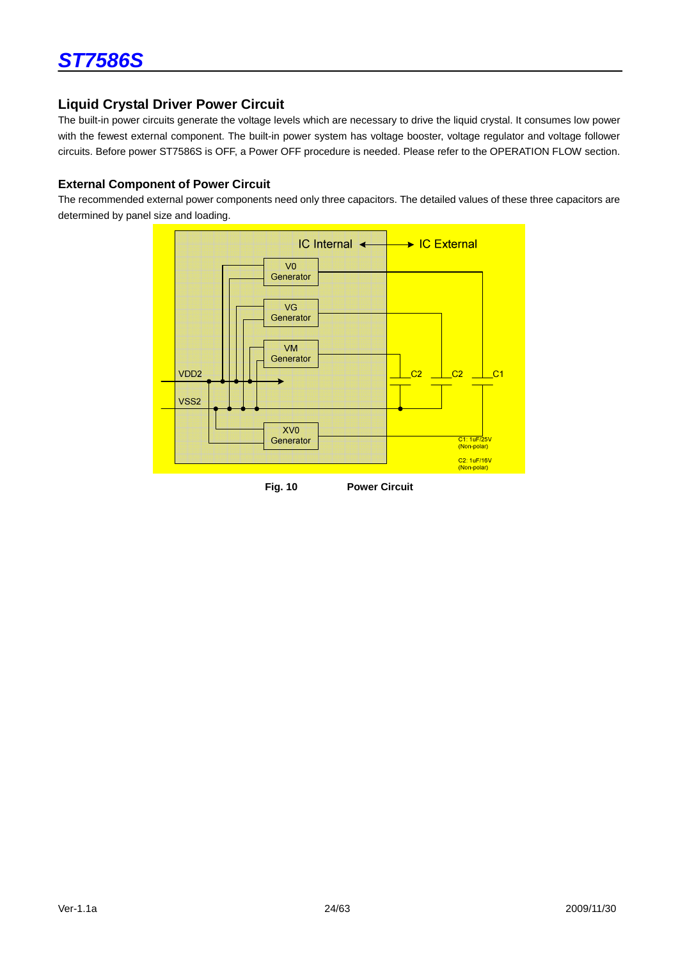

#### **Liquid Crystal Driver Power Circuit**

The built-in power circuits generate the voltage levels which are necessary to drive the liquid crystal. It consumes low power with the fewest external component. The built-in power system has voltage booster, voltage regulator and voltage follower circuits. Before power ST7586S is OFF, a Power OFF procedure is needed. Please refer to the OPERATION FLOW section.

#### **External Component of Power Circuit**

The recommended external power components need only three capacitors. The detailed values of these three capacitors are determined by panel size and loading.

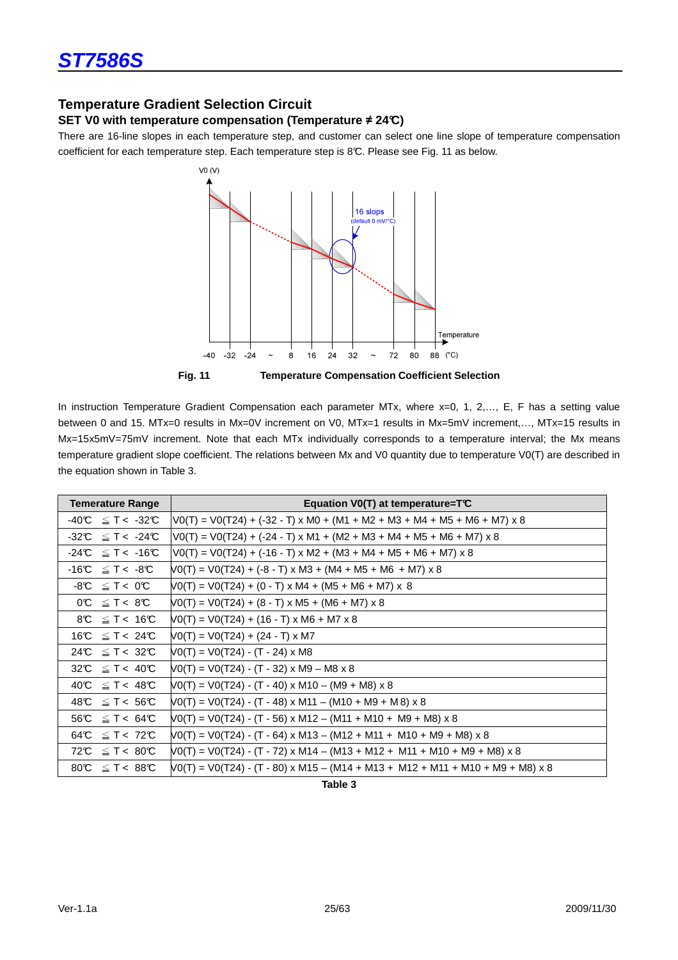# **Temperature Gradient Selection Circuit**

#### **SET V0 with temperature compensation (Temperature** ≠ **24°C)**

There are 16-line slopes in each temperature step, and customer can select one line slope of temperature compensation coefficient for each temperature step. Each temperature step is 8°C. Please see Fig. 11 as below.



**Fig. 11 Temperature Compensation Coefficient Selection** 

In instruction Temperature Gradient Compensation each parameter MTx, where x=0, 1, 2,..., E, F has a setting value between 0 and 15. MTx=0 results in Mx=0V increment on V0, MTx=1 results in Mx=5mV increment,…, MTx=15 results in Mx=15x5mV=75mV increment. Note that each MTx individually corresponds to a temperature interval; the Mx means temperature gradient slope coefficient. The relations between Mx and V0 quantity due to temperature V0(T) are described in the equation shown in Table 3.

| <b>Temerature Range</b>                | Equation V0(T) at temperature= $TC$                                                                                                                         |
|----------------------------------------|-------------------------------------------------------------------------------------------------------------------------------------------------------------|
| $-40^{\circ}$ $\leq$ T < $-32^{\circ}$ | $\text{VO(T)} = \text{VO(T24)} + (-32 - T) \times \text{MO} + (\text{M1} + \text{M2} + \text{M3} + \text{M4} + \text{M5} + \text{M6} + \text{M7}) \times 8$ |
| $-32C \leq T < -24C$                   | $VO(T) = VO(T24) + (-24 - T) \times M1 + (M2 + M3 + M4 + M5 + M6 + M7) \times 8$                                                                            |
| $-24C \leq T < -16C$                   | $VO(T) = VO(T24) + (-16 - T) \times M2 + (M3 + M4 + M5 + M6 + M7) \times 8$                                                                                 |
| $-16C \leq T < -8C$                    | $VO(T) = VO(T24) + (-8 - T) \times M3 + (M4 + M5 + M6 + M7) \times 8$                                                                                       |
| $\mathcal{O}0 > T \geq \mathcal{O}8$   | $NO(T) = VO(T24) + (0 - T) \times M4 + (M5 + M6 + M7) \times 8$                                                                                             |
| $OC \leq T < 8C$                       | $NO(T) = VO(T24) + (8 - T) \times M5 + (M6 + M7) \times 8$                                                                                                  |
| $8C \leq T < 16C$                      | $NO(T) = VO(T24) + (16 - T) \times MG + M7 \times 8$                                                                                                        |
| 16°C $\leq$ T < 24°C                   | $VO(T) = VO(T24) + (24 - T) \times MT$                                                                                                                      |
| 24°C $\leq$ T < 32°C                   | $VO(T) = VO(T24) - (T - 24) \times M8$                                                                                                                      |
| 32°C $\leq$ T < 40°C                   | $VO(T) = VO(T24) - (T - 32) \times M9 - M8 \times 8$                                                                                                        |
| $40C \leq T < 48C$                     | $NO(T) = VO(T24) - (T - 40) \times M10 - (M9 + M8) \times 8$                                                                                                |
| 48°C $\leq$ T < 56°C                   | $NO(T) = VO(T24) - (T - 48) \times M11 - (M10 + M9 + M8) \times 8$                                                                                          |
| $56C \leq T < 64C$                     | $VO(T) = VO(T24) - (T - 56) \times M12 - (M11 + M10 + M9 + M8) \times 8$                                                                                    |
| 64°C $\leq$ T < 72°C                   | $VO(T) = VO(T24) - (T - 64) \times M13 - (M12 + M11 + M10 + M9 + M8) \times 8$                                                                              |
| 72°C $\leq$ T < 80°C                   | $NO(T) = VO(T24) - (T - 72) \times M14 - (M13 + M12 + M11 + M10 + M9 + M8) \times 8$                                                                        |
| 80°C $\leq$ T < 88°C                   | $N0(T) = V0(T24) - (T - 80) \times M15 - (M14 + M13 + M12 + M11 + M10 + M9 + M8) \times 8$                                                                  |

**Table 3**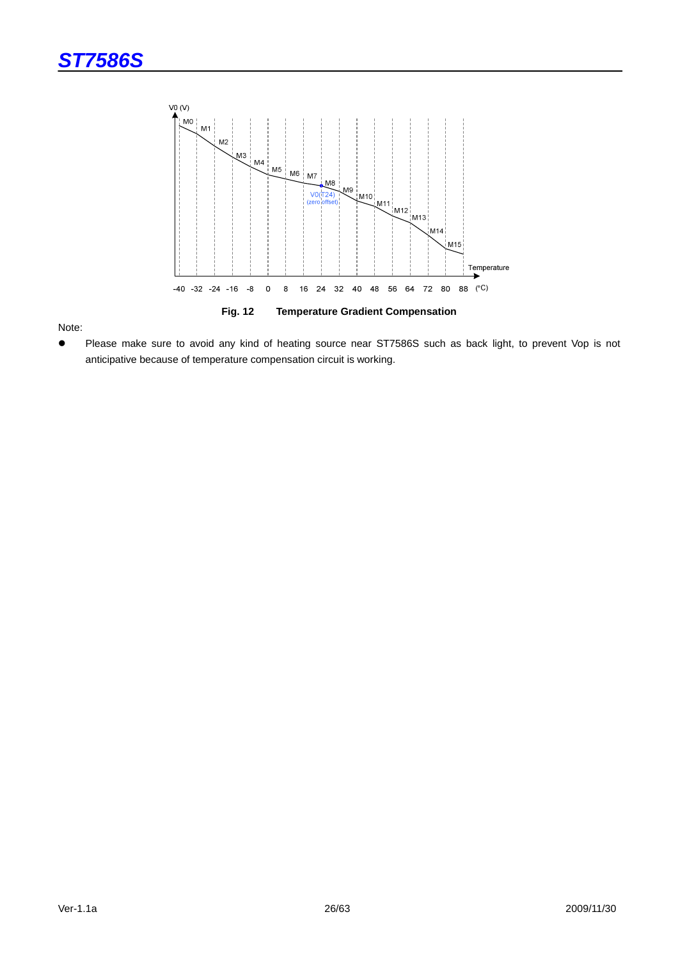



Note:

 Please make sure to avoid any kind of heating source near ST7586S such as back light, to prevent Vop is not anticipative because of temperature compensation circuit is working.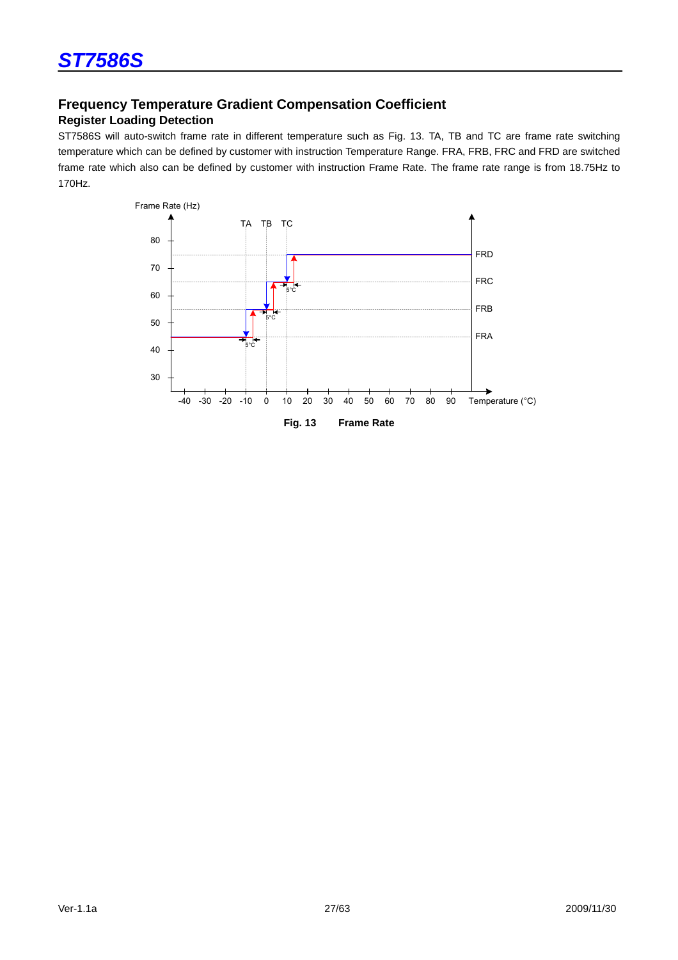# **Frequency Temperature Gradient Compensation Coefficient**

### **Register Loading Detection**

ST7586S will auto-switch frame rate in different temperature such as Fig. 13. TA, TB and TC are frame rate switching temperature which can be defined by customer with instruction Temperature Range. FRA, FRB, FRC and FRD are switched frame rate which also can be defined by customer with instruction Frame Rate. The frame rate range is from 18.75Hz to 170Hz.

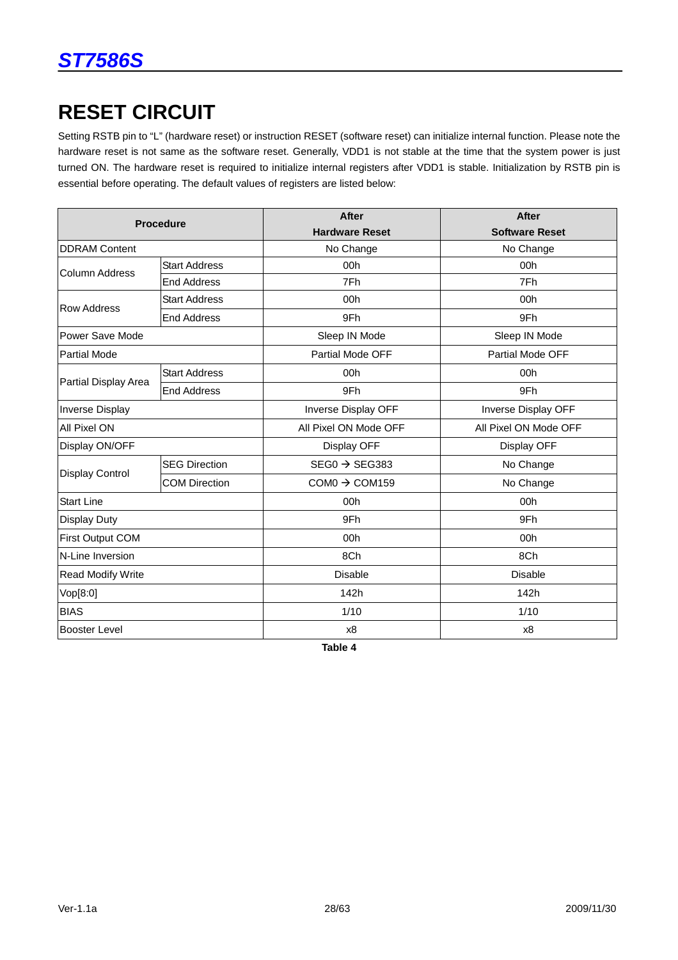# **RESET CIRCUIT**

Setting RSTB pin to "L" (hardware reset) or instruction RESET (software reset) can initialize internal function. Please note the hardware reset is not same as the software reset. Generally, VDD1 is not stable at the time that the system power is just turned ON. The hardware reset is required to initialize internal registers after VDD1 is stable. Initialization by RSTB pin is essential before operating. The default values of registers are listed below:

|                          | <b>Procedure</b>     | <b>After</b>              | <b>After</b>          |  |
|--------------------------|----------------------|---------------------------|-----------------------|--|
|                          |                      | <b>Hardware Reset</b>     | <b>Software Reset</b> |  |
| <b>DDRAM Content</b>     |                      | No Change                 | No Change             |  |
| Column Address           | <b>Start Address</b> | 00h                       | 00h                   |  |
|                          | <b>End Address</b>   | 7Fh                       | 7Fh                   |  |
| <b>Row Address</b>       | <b>Start Address</b> | 00h                       | 00h                   |  |
|                          | <b>End Address</b>   | 9Fh                       | 9Fh                   |  |
| Power Save Mode          |                      | Sleep IN Mode             | Sleep IN Mode         |  |
| <b>Partial Mode</b>      |                      | Partial Mode OFF          | Partial Mode OFF      |  |
|                          | <b>Start Address</b> | 00h                       | 00h                   |  |
| Partial Display Area     | <b>End Address</b>   | 9Fh                       | 9Fh                   |  |
| <b>Inverse Display</b>   |                      | Inverse Display OFF       | Inverse Display OFF   |  |
| All Pixel ON             |                      | All Pixel ON Mode OFF     | All Pixel ON Mode OFF |  |
| Display ON/OFF           |                      | Display OFF               | Display OFF           |  |
| Display Control          | <b>SEG Direction</b> | $SEG0 \rightarrow SEG383$ | No Change             |  |
|                          | <b>COM Direction</b> | $COMO \rightarrow COM159$ | No Change             |  |
| <b>Start Line</b>        |                      | 00h                       | 00h                   |  |
| Display Duty             |                      | 9Fh                       | 9Fh                   |  |
| First Output COM         |                      | 00h                       | 00h                   |  |
| N-Line Inversion         |                      | 8Ch                       | 8Ch                   |  |
| <b>Read Modify Write</b> |                      | <b>Disable</b>            | <b>Disable</b>        |  |
| Vop[8:0]                 |                      | 142h                      | 142h                  |  |
| <b>BIAS</b>              |                      | 1/10                      | 1/10                  |  |
| <b>Booster Level</b>     |                      | x8                        | x8                    |  |

**Table 4**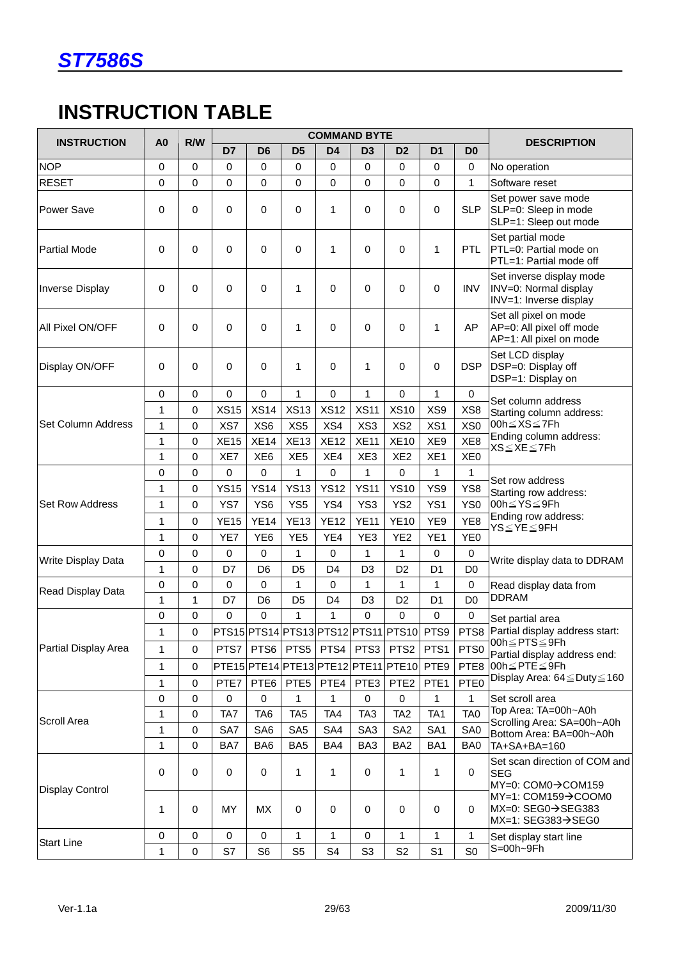

# **INSTRUCTION TABLE**

| <b>INSTRUCTION</b>     | A <sub>0</sub> | R/W         |                     |                 |                  | <b>COMMAND BYTE</b> |                  |                                               |                  |                  | <b>DESCRIPTION</b>                                                           |
|------------------------|----------------|-------------|---------------------|-----------------|------------------|---------------------|------------------|-----------------------------------------------|------------------|------------------|------------------------------------------------------------------------------|
|                        |                |             | D7                  | D <sub>6</sub>  | D <sub>5</sub>   | D <sub>4</sub>      | D <sub>3</sub>   | D <sub>2</sub>                                | D <sub>1</sub>   | D <sub>0</sub>   |                                                                              |
| <b>NOP</b>             | $\Omega$       | $\Omega$    | 0                   | $\Omega$        | 0                | $\Omega$            | $\Omega$         | 0                                             | $\Omega$         | $\mathbf 0$      | No operation                                                                 |
| <b>RESET</b>           | 0              | 0           | 0                   | $\mathbf 0$     | 0                | 0                   | $\mathbf 0$      | 0                                             | 0                | $\mathbf{1}$     | Software reset                                                               |
| <b>Power Save</b>      | 0              | 0           | 0                   | 0               | $\mathbf 0$      | 1                   | $\mathbf 0$      | 0                                             | 0                | <b>SLP</b>       | Set power save mode<br>SLP=0: Sleep in mode<br>SLP=1: Sleep out mode         |
| <b>Partial Mode</b>    | 0              | 0           | 0                   | $\pmb{0}$       | $\mathbf 0$      | 1                   | $\mathbf 0$      | 0                                             | 1                | <b>PTL</b>       | Set partial mode<br>PTL=0: Partial mode on<br>PTL=1: Partial mode off        |
| Inverse Display        | 0              | 0           | 0                   | $\mathbf 0$     | 1                | 0                   | $\mathbf 0$      | 0                                             | 0                | <b>INV</b>       | Set inverse display mode<br>INV=0: Normal display<br>INV=1: Inverse display  |
| All Pixel ON/OFF       | 0              | 0           | 0                   | $\Omega$        | 1                | 0                   | $\Omega$         | 0                                             | 1                | AP               | Set all pixel on mode<br>AP=0: All pixel off mode<br>AP=1: All pixel on mode |
| Display ON/OFF         | 0              | 0           | 0                   | $\mathbf 0$     | 1                | 0                   | 1                | 0                                             | $\pmb{0}$        | <b>DSP</b>       | Set LCD display<br>DSP=0: Display off<br>DSP=1: Display on                   |
|                        | 0              | $\mathbf 0$ | 0                   | $\mathbf 0$     | 1                | 0                   | $\mathbf 1$      | 0                                             | $\mathbf{1}$     | $\mathbf 0$      | Set column address                                                           |
|                        | 1              | 0           | <b>XS15</b>         | <b>XS14</b>     | <b>XS13</b>      | <b>XS12</b>         | <b>XS11</b>      | <b>XS10</b>                                   | XS9              | XS8              | Starting column address:                                                     |
| Set Column Address     | $\mathbf{1}$   | 0           | XS7                 | XS <sub>6</sub> | XS5              | XS4                 | XS <sub>3</sub>  | XS <sub>2</sub>                               | XS1              | XS <sub>0</sub>  | 00h $\leq$ XS $\leq$ 7Fh                                                     |
|                        | $\mathbf{1}$   | 0           | <b>XE15</b>         | <b>XE14</b>     | <b>XE13</b>      | <b>XE12</b>         | <b>XE11</b>      | <b>XE10</b>                                   | XE9              | XE8              | Ending column address:<br>XS≦XE≦7Fh                                          |
|                        | $\mathbf{1}$   | 0           | XE7                 | XE <sub>6</sub> | XE <sub>5</sub>  | XE4                 | XE3              | XE <sub>2</sub>                               | XE <sub>1</sub>  | XE <sub>0</sub>  |                                                                              |
|                        | 0              | 0           | 0                   | $\pmb{0}$       | 1                | 0                   | $\mathbf{1}$     | $\pmb{0}$                                     | 1                | $\mathbf{1}$     | Set row address                                                              |
|                        | 1              | 0           | <b>YS15</b>         | <b>YS14</b>     | <b>YS13</b>      | <b>YS12</b>         | <b>YS11</b>      | <b>YS10</b>                                   | YS9              | YS8              | Starting row address:                                                        |
| <b>Set Row Address</b> | 1              | 0           | YS7                 | YS <sub>6</sub> | YS <sub>5</sub>  | YS4                 | YS3              | YS <sub>2</sub>                               | YS1              | YS <sub>0</sub>  | 00h≦YS≦9Fh                                                                   |
|                        | 1              | 0           | <b>YE15</b>         | <b>YE14</b>     | <b>YE13</b>      | <b>YE12</b>         | <b>YE11</b>      | <b>YE10</b>                                   | YE9              | YE <sub>8</sub>  | Ending row address:<br>$YS \leq YE \leq 9FH$                                 |
|                        | $\mathbf{1}$   | 0           | YE7                 | YE <sub>6</sub> | YE <sub>5</sub>  | YE4                 | YE3              | YE <sub>2</sub>                               | YE <sub>1</sub>  | YE <sub>0</sub>  |                                                                              |
| Write Display Data     | 0              | 0           | 0                   | 0               | 1                | 0                   | 1                | 1                                             | 0                | $\mathbf 0$      | Write display data to DDRAM                                                  |
|                        | $\mathbf{1}$   | 0           | D7                  | D <sub>6</sub>  | D <sub>5</sub>   | D <sub>4</sub>      | D <sub>3</sub>   | D <sub>2</sub>                                | D <sub>1</sub>   | D <sub>0</sub>   |                                                                              |
| Read Display Data      | 0              | 0           | 0                   | $\mathbf 0$     | 1                | 0                   | $\mathbf{1}$     | 1                                             | $\mathbf{1}$     | $\pmb{0}$        | Read display data from                                                       |
|                        | $\mathbf{1}$   | 1           | D7                  | D <sub>6</sub>  | D <sub>5</sub>   | D <sub>4</sub>      | D <sub>3</sub>   | D <sub>2</sub>                                | D <sub>1</sub>   | D <sub>0</sub>   | <b>DDRAM</b>                                                                 |
|                        | 0              | 0           | 0                   | $\Omega$        | 1                | $\mathbf{1}$        | $\Omega$         | 0                                             | 0                | $\mathbf 0$      | Set partial area                                                             |
|                        | 1              | 0           |                     |                 |                  |                     |                  | PTS15 PTS14 PTS13 PTS12 PTS11 PTS10 PTS9 PTS8 |                  |                  | Partial display address start:                                               |
| Partial Display Area   | 1              | $\mathbf 0$ | PTS7                | PTS6            | PTS5             | PTS4 PTS3           |                  | PTS <sub>2</sub>                              | PTS1             | PTS <sub>0</sub> | 00h≦PTS≦9Fh<br>Partial display address end:                                  |
|                        | 1              | 0           |                     |                 |                  |                     |                  | PTE15 PTE14 PTE13 PTE12 PTE11 PTE10           | PTE9             | PTE8             | 00h≦PTE≦9Fh                                                                  |
|                        | 1              | 0           | PTE7                | PTE6            | PTE <sub>5</sub> | PTE4                | PTE <sub>3</sub> | PTE <sub>2</sub>                              | PTE <sub>1</sub> | PTE0             | Display Area: 64 ≤ Duty ≤ 160                                                |
|                        | 0              | $\mathbf 0$ | 0                   | $\mathbf 0$     | 1                | 1                   | $\mathbf 0$      | $\mathbf 0$                                   | 1                | 1                | Set scroll area                                                              |
| <b>Scroll Area</b>     | $\mathbf{1}$   | 0           | TA7                 | TA <sub>6</sub> | TA <sub>5</sub>  | TA4                 | TA <sub>3</sub>  | TA <sub>2</sub>                               | TA <sub>1</sub>  | TA <sub>0</sub>  | Top Area: TA=00h~A0h                                                         |
|                        | 1              | 0           | SA7                 | SA6             | SA <sub>5</sub>  | SA4                 | SA <sub>3</sub>  | SA <sub>2</sub>                               | SA <sub>1</sub>  | SA0              | Scrolling Area: SA=00h~A0h<br>Bottom Area: BA=00h~A0h                        |
|                        | 1              | 0           | BA7                 | BA <sub>6</sub> | BA <sub>5</sub>  | BA4                 | BA3              | BA <sub>2</sub>                               | BA1              | BA0              | TA+SA+BA=160                                                                 |
| <b>Display Control</b> | 0              | 0           | 0                   | $\mathbf 0$     | 1                | 1                   | 0                | 1                                             | 1                | $\mathbf 0$      | Set scan direction of COM and<br><b>SEG</b><br>MY=0: COM0→COM159             |
|                        | 1              | 0           | MY                  | MX              | $\mathbf 0$      | 0                   | $\mathbf 0$      | 0                                             | $\mathbf 0$      | $\mathbf 0$      | MY=1: COM159→COOM0<br>MX=0: SEG0→SEG383<br>$MX=1: SEG383 \rightarrow SEG0$   |
| <b>Start Line</b>      | 0              | $\mathbf 0$ | $\mathsf{O}\xspace$ | $\mathbf 0$     | 1                | 1                   | $\mathbf 0$      | 1                                             | 1                | 1                | Set display start line                                                       |
|                        | $\mathbf{1}$   | $\pmb{0}$   | S7                  | S <sub>6</sub>  | S <sub>5</sub>   | S <sub>4</sub>      | S <sub>3</sub>   | S <sub>2</sub>                                | S <sub>1</sub>   | S <sub>0</sub>   | S=00h~9Fh                                                                    |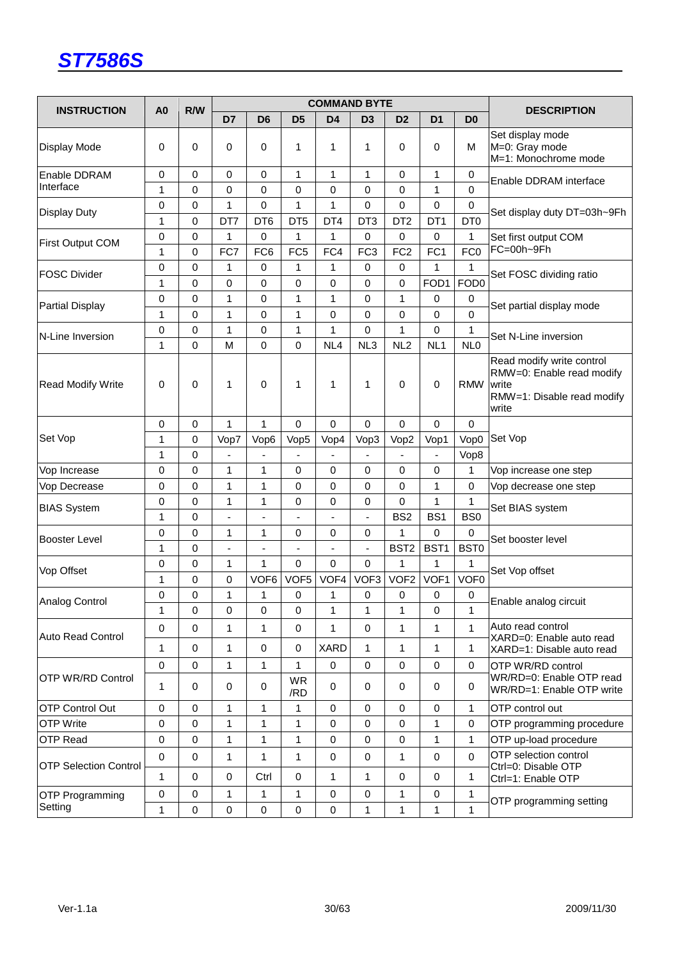

| <b>INSTRUCTION</b>                | A <sub>0</sub> | R/W         |                          |                     |                  | <b>COMMAND BYTE</b>      |                  |                  |                 |                  | <b>DESCRIPTION</b>                                                                                     |
|-----------------------------------|----------------|-------------|--------------------------|---------------------|------------------|--------------------------|------------------|------------------|-----------------|------------------|--------------------------------------------------------------------------------------------------------|
|                                   |                |             | D7                       | D <sub>6</sub>      | D <sub>5</sub>   | D <sub>4</sub>           | D <sub>3</sub>   | D <sub>2</sub>   | D <sub>1</sub>  | D <sub>0</sub>   |                                                                                                        |
| Display Mode                      | 0              | 0           | 0                        | 0                   | 1                | 1                        | 1                | 0                | 0               | M                | Set display mode<br>M=0: Gray mode<br>M=1: Monochrome mode                                             |
| Enable DDRAM                      | $\mathbf 0$    | 0           | 0                        | $\mathbf 0$         | 1                | $\mathbf{1}$             | 1                | 0                | $\mathbf{1}$    | $\mathbf 0$      | Enable DDRAM interface                                                                                 |
| Interface                         | 1              | 0           | 0                        | 0                   | 0                | 0                        | $\mathbf 0$      | 0                | $\mathbf{1}$    | $\mathbf 0$      |                                                                                                        |
| Display Duty                      | 0              | 0           | $\mathbf{1}$             | 0                   | 1                | 1                        | $\mathbf 0$      | 0                | 0               | 0                | Set display duty DT=03h~9Fh                                                                            |
|                                   | 1              | 0           | DT7                      | DT <sub>6</sub>     | DT <sub>5</sub>  | DT4                      | DT <sub>3</sub>  | DT <sub>2</sub>  | DT <sub>1</sub> | DT <sub>0</sub>  |                                                                                                        |
| First Output COM                  | 0              | 0           | 1                        | $\mathbf 0$         | 1                | $\mathbf{1}$             | $\mathbf 0$      | 0                | 0               | 1                | Set first output COM                                                                                   |
|                                   | 1              | 0           | FC7                      | FC <sub>6</sub>     | FC <sub>5</sub>  | FC4                      | FC <sub>3</sub>  | FC <sub>2</sub>  | FC <sub>1</sub> | FC <sub>0</sub>  | FC=00h~9Fh                                                                                             |
| <b>FOSC Divider</b>               | 0              | 0           | 1                        | 0                   | 1                | 1                        | 0                | 0                | 1               | 1                | Set FOSC dividing ratio                                                                                |
|                                   | 1              | 0           | 0                        | 0                   | 0                | 0                        | $\mathbf 0$      | 0                | FOD1            | FOD <sub>0</sub> |                                                                                                        |
| <b>Partial Display</b>            | 0              | 0           | 1                        | 0                   | 1                | 1                        | $\mathbf 0$      | 1                | 0               | 0                | Set partial display mode                                                                               |
|                                   | 1              | 0           | 1                        | $\mathbf 0$         | 1                | 0                        | $\mathbf 0$      | 0                | 0               | $\mathbf 0$      |                                                                                                        |
| N-Line Inversion                  | 0              | 0           | $\mathbf{1}$             | 0                   | 1                | 1                        | $\mathbf 0$      | 1                | 0               | 1                | Set N-Line inversion                                                                                   |
|                                   | 1              | 0           | M                        | $\mathbf 0$         | 0                | NL4                      | NL <sub>3</sub>  | NL <sub>2</sub>  | NL <sub>1</sub> | NL <sub>0</sub>  |                                                                                                        |
| <b>Read Modify Write</b>          | 0              | 0           | 1                        | $\mathbf 0$         | 1                | 1                        | 1                | 0                | 0               | <b>RMW</b>       | Read modify write control<br>RMW=0: Enable read modify<br>write<br>RMW=1: Disable read modify<br>write |
|                                   | 0              | 0           | $\mathbf{1}$             | $\mathbf{1}$        | 0                | 0                        | $\mathbf 0$      | 0                | 0               | 0                |                                                                                                        |
| Set Vop                           | 1              | 0           | Vop7                     | Vop6                | Vop5             | Vop4                     | Vop3             | Vop2             | Vop1            | Vop0             | Set Vop                                                                                                |
|                                   | 1              | 0           | ä,                       |                     |                  |                          |                  |                  | $\blacksquare$  | Vop8             |                                                                                                        |
| Vop Increase                      | $\mathbf 0$    | 0           | $\mathbf{1}$             | $\mathbf{1}$        | 0                | 0                        | $\mathbf 0$      | 0                | 0               | 1                | Vop increase one step                                                                                  |
| Vop Decrease                      | 0              | 0           | 1                        | 1                   | 0                | 0                        | 0                | 0                | 1               | 0                | Vop decrease one step                                                                                  |
| <b>BIAS System</b>                | 0              | 0           | 1                        | 1                   | 0                | 0                        | 0                | 0                | 1               | 1                | Set BIAS system                                                                                        |
|                                   | 1              | 0           | $\blacksquare$           | ÷                   |                  | ÷,                       | ÷,               | BS <sub>2</sub>  | BS <sub>1</sub> | BS <sub>0</sub>  |                                                                                                        |
| Booster Level                     | $\mathbf 0$    | $\mathsf 0$ | 1                        | 1                   | 0                | 0                        | $\mathbf 0$      | 1                | 0               | $\mathbf 0$      | Set booster level                                                                                      |
|                                   | 1              | 0           | $\overline{\phantom{0}}$ | ٠                   | $\frac{1}{2}$    | $\overline{\phantom{a}}$ | ٠                | BST <sub>2</sub> | BST1            | BST0             |                                                                                                        |
| Vop Offset                        | 0              | 0           | 1                        | 1                   | 0                | 0                        | $\mathbf 0$      | 1                | 1               | 1                | Set Vop offset                                                                                         |
|                                   | 1              | 0           | 0                        | VOF <sub>6</sub>    | VOF <sub>5</sub> | VOF4                     | VOF <sub>3</sub> | VOF <sub>2</sub> | VOF1            | VOF <sub>0</sub> |                                                                                                        |
| Analog Control                    | 0              | 0           | $\mathbf{1}$             | 1                   | 0                | 1                        | 0                | 0                | 0               | 0                | Enable analog circuit                                                                                  |
|                                   | 1              | 0           | 0                        | $\boldsymbol{0}$    | 0                | 1                        | 1                | 1                | 0               | 1                |                                                                                                        |
| <b>Auto Read Control</b>          | $\mathbf 0$    | 0           | 1                        | $\mathbf{1}$        | $\mathbf 0$      | 1                        | $\mathbf 0$      | 1                | $\mathbf{1}$    | $\mathbf{1}$     | Auto read control<br>XARD=0: Enable auto read                                                          |
|                                   | 1              | $\mathsf 0$ | $\mathbf{1}$             | $\pmb{0}$           | 0                | <b>XARD</b>              | $\mathbf{1}$     | 1                | $\mathbf{1}$    | $\mathbf{1}$     | XARD=1: Disable auto read                                                                              |
|                                   | $\pmb{0}$      | $\pmb{0}$   | $\mathbf{1}$             | 1                   | 1                | 0                        | $\mathbf 0$      | 0                | 0               | 0                | OTP WR/RD control                                                                                      |
| <b>OTP WR/RD Control</b>          | 1              | 0           | 0                        | $\mathbf 0$         | <b>WR</b><br>/RD | 0                        | $\mathbf 0$      | 0                | 0               | 0                | WR/RD=0: Enable OTP read<br>WR/RD=1: Enable OTP write                                                  |
| <b>OTP Control Out</b>            | $\mathbf 0$    | 0           | $\mathbf{1}$             | 1                   | 1                | $\mathbf 0$              | $\mathbf 0$      | 0                | 0               | 1                | OTP control out                                                                                        |
| <b>OTP Write</b>                  | $\mathbf 0$    | 0           | $\mathbf{1}$             | $\mathbf{1}$        | 1                | 0                        | $\mathbf 0$      | 0                | 1               | $\mathbf 0$      | OTP programming procedure                                                                              |
| <b>OTP Read</b>                   | $\mathbf 0$    | 0           | $\mathbf{1}$             | 1                   | 1                | 0                        | 0                | 0                | 1               | 1                | OTP up-load procedure                                                                                  |
| <b>OTP Selection Control</b>      | $\mathbf 0$    | $\mathsf 0$ | $\mathbf{1}$             | 1                   | $\mathbf{1}$     | 0                        | $\mathbf 0$      | 1                | 0               | $\mathbf 0$      | OTP selection control<br>Ctrl=0: Disable OTP                                                           |
|                                   | 1              | 0           | $\pmb{0}$                | Ctrl                | $\pmb{0}$        | $\mathbf{1}$             | $\mathbf{1}$     | 0                | 0               | 1                | Ctrl=1: Enable OTP                                                                                     |
| <b>OTP Programming</b><br>Setting | $\mathbf 0$    | 0           | 1                        | 1                   | 1                | 0                        | 0                | 1                | 0               | 1                | OTP programming setting                                                                                |
|                                   | $\mathbf{1}$   | $\mathsf 0$ | $\pmb{0}$                | $\mathsf{O}\xspace$ | 0                | $\mathsf 0$              | $\mathbf{1}$     | $\mathbf{1}$     | $\mathbf{1}$    | $\mathbf{1}$     |                                                                                                        |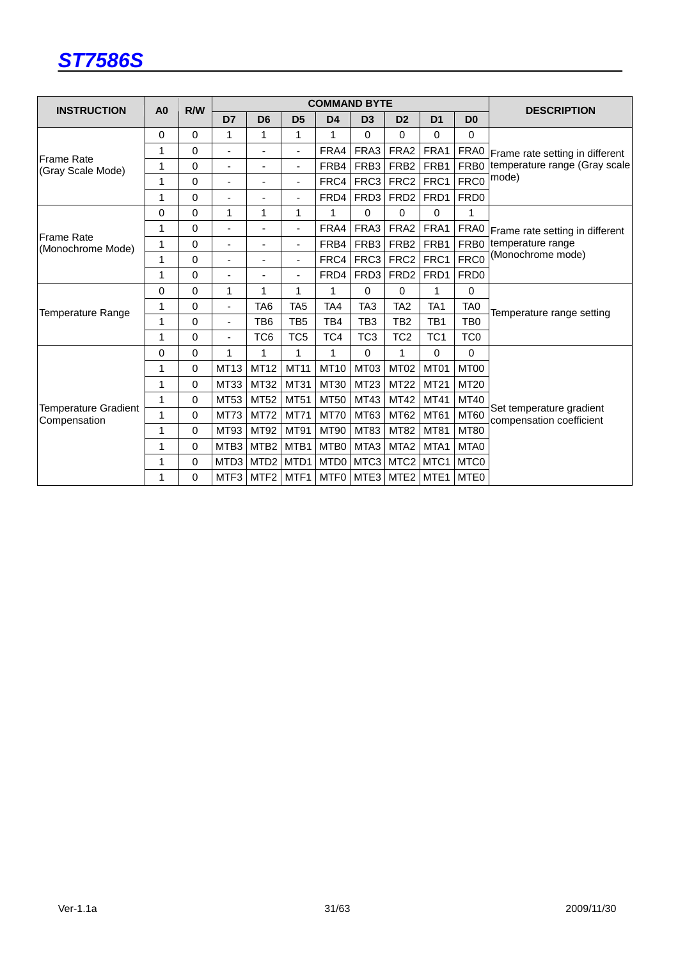

| <b>INSTRUCTION</b>                          | A <sub>0</sub> | R/W         |                          |                          |                 | <b>COMMAND BYTE</b> |                 |                    |                  |                  | <b>DESCRIPTION</b>                                   |  |
|---------------------------------------------|----------------|-------------|--------------------------|--------------------------|-----------------|---------------------|-----------------|--------------------|------------------|------------------|------------------------------------------------------|--|
|                                             |                |             | D7                       | D <sub>6</sub>           | D <sub>5</sub>  | D <sub>4</sub>      | D <sub>3</sub>  | D <sub>2</sub>     | D <sub>1</sub>   | D <sub>0</sub>   |                                                      |  |
|                                             | 0              | $\Omega$    | 1                        | 1                        | 1               | 1                   | 0               | $\Omega$           | 0                | 0                |                                                      |  |
|                                             | 1              | 0           | ٠                        | $\blacksquare$           |                 | FRA4                | FRA3            | FRA <sub>2</sub>   | FRA1             | FRA0             | Frame rate setting in different                      |  |
| lFrame Rate<br>(Gray Scale Mode)            | 1              | 0           | ٠                        | $\overline{a}$           |                 | FRB4                | FRB3            | FRB <sub>2</sub>   | FRB1             | FRB <sub>0</sub> | temperature range (Gray scale                        |  |
|                                             | 1              | $\Omega$    | $\overline{\phantom{a}}$ | $\blacksquare$           |                 | FRC4                | FRC3            | FRC <sub>2</sub>   | FRC1             | FRC0             | mode)                                                |  |
|                                             | 1              | $\Omega$    | ä,                       | ÷,                       |                 | FRD4                | FRD3            | FRD <sub>2</sub>   | FRD1             | FRD <sub>0</sub> |                                                      |  |
|                                             | 0              | $\Omega$    | 1                        | 1                        | 1               | 1                   | 0               | $\Omega$           | 0                | 1                |                                                      |  |
| lFrame Rate                                 | 1              | 0           | ÷                        | ٠                        | ٠               | FRA4                | FRA3            | FRA <sub>2</sub>   | FRA1             | FRA0             | Frame rate setting in different                      |  |
| (Monochrome Mode)                           | 1              | $\Omega$    | ٠                        | $\overline{\phantom{a}}$ |                 | FRB4                | FRB3            | FRB <sub>2</sub>   | FRB1             | FRB <sub>0</sub> | temperature range                                    |  |
|                                             | 1              | $\Omega$    | ٠                        | $\overline{\phantom{0}}$ |                 | FRC4                | FRC3            | FRC <sub>2</sub>   | FRC1             | FRC0             | (Monochrome mode)                                    |  |
|                                             | 1              | 0           | ÷                        | ٠                        |                 | FRD4                | FRD3            | FRD <sub>2</sub>   | FRD1             | FRD <sub>0</sub> |                                                      |  |
|                                             | 0              | $\Omega$    | 1                        | 1                        | 1               | 1                   | $\Omega$        | $\Omega$           | 1                | 0                |                                                      |  |
| <b>Temperature Range</b>                    | 1              | $\Omega$    | $\overline{\phantom{a}}$ | TA <sub>6</sub>          | TA <sub>5</sub> | TA4                 | TA <sub>3</sub> | TA <sub>2</sub>    | TA <sub>1</sub>  | TA <sub>0</sub>  |                                                      |  |
|                                             | 1              | 0           | $\blacksquare$           | TB6                      | TB <sub>5</sub> | TB4                 | TB <sub>3</sub> | TB <sub>2</sub>    | TB <sub>1</sub>  | T <sub>B0</sub>  | Temperature range setting                            |  |
|                                             | 1              | $\Omega$    | $\overline{\phantom{a}}$ | TC <sub>6</sub>          | TC <sub>5</sub> | TC4                 | TC <sub>3</sub> | TC <sub>2</sub>    | TC <sub>1</sub>  | TC <sub>0</sub>  |                                                      |  |
|                                             | 0              | 0           | 1                        | 1                        | 1.              | 1                   | 0               | 1                  | 0                | 0                |                                                      |  |
|                                             | 1              | 0           | MT13                     | MT12                     | <b>MT11</b>     | MT10                | MT03            | MT02               | MT01             | MT00             |                                                      |  |
|                                             | 1              | 0           | MT33                     | MT32                     | MT31            | MT30                | MT23            | MT22               | MT21             | MT20             |                                                      |  |
|                                             | 1              | $\mathbf 0$ | MT53                     | MT52                     | MT51            | MT50                | MT43            | MT42               | MT41             | MT40             |                                                      |  |
| <b>Temperature Gradient</b><br>Compensation | 1              | $\mathbf 0$ | <b>MT73</b>              | <b>MT72</b>              | <b>MT71</b>     | <b>MT70</b>         | MT63            | MT62               | MT61             | <b>MT60</b>      | Set temperature gradient<br>compensation coefficient |  |
|                                             | 1              | $\mathbf 0$ | MT93                     | MT92                     | MT91            | MT90                | MT83            | MT82               | MT81             | <b>MT80</b>      |                                                      |  |
|                                             | 1              | 0           | MTB <sub>3</sub>         | MTB <sub>2</sub>         | MTB1            | MTB0                | MTA3            | MTA <sub>2</sub>   | MTA1             | MTA0             |                                                      |  |
|                                             | 1              | 0           | MTD3                     | MTD <sub>2</sub>         | MTD1            | MTD <sub>0</sub>    | MTC3            | MTC <sub>2</sub>   | MTC1             | MTC0             |                                                      |  |
|                                             | 1              | 0           | MTF3                     | MTF2                     | MTF1            |                     |                 | MTF0   MTE3   MTE2 | MTE <sub>1</sub> | MTE <sub>0</sub> |                                                      |  |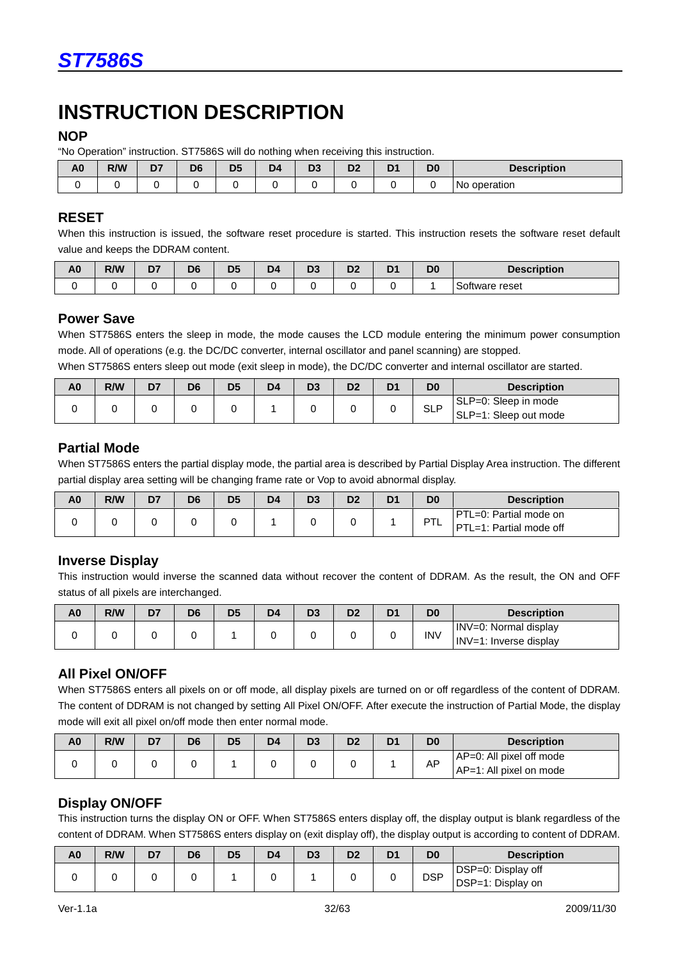# **INSTRUCTION DESCRIPTION**

#### **NOP**

"No Operation" instruction. ST7586S will do nothing when receiving this instruction.

| A <sub>0</sub> | ____<br>R/W | .<br>D7 | ------<br>D <sub>6</sub> | ___<br>D <sub>5</sub> | __<br>◡<br>D <sub>4</sub> | - - -<br>D <sub>3</sub> | ◡<br>n.<br>יט | ____<br>.<br>D <sub>1</sub> | D <sub>0</sub> | <b>Description</b> |
|----------------|-------------|---------|--------------------------|-----------------------|---------------------------|-------------------------|---------------|-----------------------------|----------------|--------------------|
|                |             |         |                          |                       |                           |                         |               |                             |                | operation<br>No.   |

#### **RESET**

When this instruction is issued, the software reset procedure is started. This instruction resets the software reset default value and keeps the DDRAM content.

| A <sub>0</sub> | <b>R/W</b> | D7 | D <sub>6</sub> | D <sub>5</sub> | D <sub>4</sub> | D <sub>3</sub> | ng, | D. | D <sub>0</sub> | <b>Description</b> |
|----------------|------------|----|----------------|----------------|----------------|----------------|-----|----|----------------|--------------------|
|                |            |    |                |                |                |                |     |    |                | Software reset     |

### **Power Save**

When ST7586S enters the sleep in mode, the mode causes the LCD module entering the minimum power consumption mode. All of operations (e.g. the DC/DC converter, internal oscillator and panel scanning) are stopped.

When ST7586S enters sleep out mode (exit sleep in mode), the DC/DC converter and internal oscillator are started.

| A <sub>0</sub> | R/W | D7 | D <sub>6</sub> | D <sub>5</sub> | D <sub>4</sub> | D <sub>3</sub> | D2 | D <sub>1</sub> | D <sub>0</sub> | <b>Description</b>    |
|----------------|-----|----|----------------|----------------|----------------|----------------|----|----------------|----------------|-----------------------|
|                |     |    |                |                |                |                |    |                | <b>SLP</b>     | SLP=0: Sleep in mode  |
|                |     |    |                |                |                |                |    |                |                | SLP=1: Sleep out mode |

### **Partial Mode**

When ST7586S enters the partial display mode, the partial area is described by Partial Display Area instruction. The different partial display area setting will be changing frame rate or Vop to avoid abnormal display.

| PTL=0: Partial mode on<br><b>DT</b><br>-- | A <sub>0</sub> | R/W | D7 | D6 | D <sub>5</sub> | D <sub>4</sub> | D <sub>3</sub> | D2 | D <sub>1</sub> | D <sub>0</sub> | <b>Description</b>      |
|-------------------------------------------|----------------|-----|----|----|----------------|----------------|----------------|----|----------------|----------------|-------------------------|
|                                           |                |     |    |    |                |                |                |    |                |                | PTL=1: Partial mode off |

### **Inverse Display**

This instruction would inverse the scanned data without recover the content of DDRAM. As the result, the ON and OFF status of all pixels are interchanged.

| A0 | R/W | D7 | D <sub>6</sub> | D <sub>5</sub> | D4 | D3 | nn<br>צע | D <sub>1</sub> | D0         | <b>Description</b>                              |
|----|-----|----|----------------|----------------|----|----|----------|----------------|------------|-------------------------------------------------|
|    |     |    |                |                |    |    |          |                | <b>INV</b> | INV=0: Normal display<br>INV=1: Inverse display |

### **All Pixel ON/OFF**

When ST7586S enters all pixels on or off mode, all display pixels are turned on or off regardless of the content of DDRAM. The content of DDRAM is not changed by setting All Pixel ON/OFF. After execute the instruction of Partial Mode, the display mode will exit all pixel on/off mode then enter normal mode.

| A <sub>0</sub> | R/W | D7 | D6 | D <sub>5</sub> | D <sub>4</sub> | D3 | D <sub>2</sub> | D1 | D <sub>0</sub> | <b>Description</b>                                  |
|----------------|-----|----|----|----------------|----------------|----|----------------|----|----------------|-----------------------------------------------------|
|                |     |    |    |                |                |    |                |    | AP             | AP=0: All pixel off mode<br>AP=1: All pixel on mode |

# **Display ON/OFF**

This instruction turns the display ON or OFF. When ST7586S enters display off, the display output is blank regardless of the content of DDRAM. When ST7586S enters display on (exit display off), the display output is according to content of DDRAM.

| A0 | R/W | D7 | D <sub>6</sub> | D <sub>5</sub> | D <sub>4</sub> | D <sub>3</sub> | D2 | ו ש | D <sub>0</sub> | <b>Description</b> |
|----|-----|----|----------------|----------------|----------------|----------------|----|-----|----------------|--------------------|
|    |     |    |                |                |                |                |    |     | <b>DSP</b>     | DSP=0: Display off |
|    |     |    |                |                |                |                |    |     |                | DSP=1: Display on  |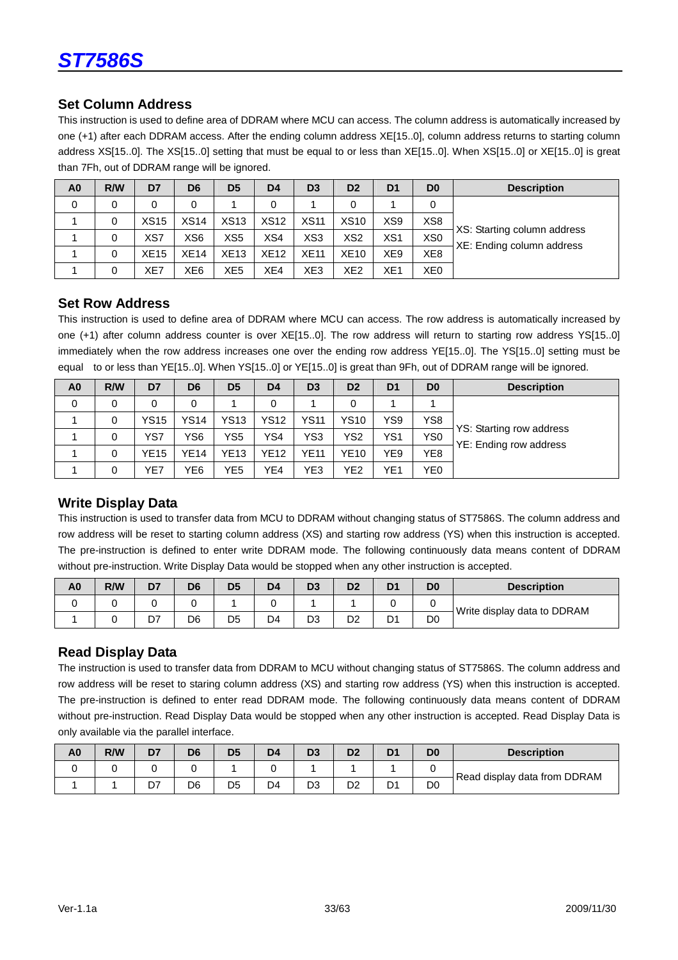

#### **Set Column Address**

This instruction is used to define area of DDRAM where MCU can access. The column address is automatically increased by one (+1) after each DDRAM access. After the ending column address XE[15..0], column address returns to starting column address XS[15..0]. The XS[15..0] setting that must be equal to or less than XE[15..0]. When XS[15..0] or XE[15..0] is great than 7Fh, out of DDRAM range will be ignored.

| A <sub>0</sub> | R/W      | D7          | D <sub>6</sub>  | D <sub>5</sub> | D <sub>4</sub> | D <sub>3</sub>  | D <sub>2</sub>  | D <sub>1</sub>  | D <sub>0</sub>  | <b>Description</b>          |
|----------------|----------|-------------|-----------------|----------------|----------------|-----------------|-----------------|-----------------|-----------------|-----------------------------|
| 0              | $\Omega$ | 0           | 0               |                | 0              |                 | 0               |                 | 0               |                             |
|                | 0        | XS15        | <b>XS14</b>     | <b>XS13</b>    | <b>XS12</b>    | <b>XS11</b>     | <b>XS10</b>     | XS9             | XS <sub>8</sub> |                             |
|                | 0        | XS7         | XS <sub>6</sub> | XS5            | XS4            | XS <sub>3</sub> | XS <sub>2</sub> | XS <sub>1</sub> | XS <sub>0</sub> | XS: Starting column address |
|                | 0        | <b>XE15</b> | <b>XE14</b>     | <b>XE13</b>    | <b>XE12</b>    | <b>XE11</b>     | <b>XE10</b>     | XE <sub>9</sub> | XE <sub>8</sub> | XE: Ending column address   |
|                | 0        | XE7         | XE <sub>6</sub> | XE5            | XE4            | XE3             | XE <sub>2</sub> | XE <sub>1</sub> | XE <sub>0</sub> |                             |

#### **Set Row Address**

This instruction is used to define area of DDRAM where MCU can access. The row address is automatically increased by one (+1) after column address counter is over XE[15..0]. The row address will return to starting row address YS[15..0] immediately when the row address increases one over the ending row address YE[15..0]. The YS[15..0] setting must be equal to or less than YE[15..0]. When YS[15..0] or YE[15..0] is great than 9Fh, out of DDRAM range will be ignored.

| A <sub>0</sub> | R/W | D7          | D <sub>6</sub> | D <sub>5</sub> | D <sub>4</sub> | D <sub>3</sub> | D <sub>2</sub> | D <sub>1</sub> | D <sub>0</sub>  | <b>Description</b>                                 |
|----------------|-----|-------------|----------------|----------------|----------------|----------------|----------------|----------------|-----------------|----------------------------------------------------|
| 0              |     |             | 0              |                |                |                | 0              |                |                 |                                                    |
|                |     | <b>YS15</b> | <b>YS14</b>    | <b>YS13</b>    | <b>YS12</b>    | <b>YS11</b>    | <b>YS10</b>    | YS9            | YS <sub>8</sub> |                                                    |
|                | 0   | YS7         | YS6            | YS5            | YS4            | YS3            | YS2            | YS1            | YS <sub>0</sub> | YS: Starting row address<br>YE: Ending row address |
|                | 0   | <b>YE15</b> | YE14           | YE13           | <b>YE12</b>    | <b>YE11</b>    | YE10           | YE9            | YE <sub>8</sub> |                                                    |
|                |     | YE7         | YE6            | YE5            | YE4            | YE3            | YE2            | YE1            | YE <sub>0</sub> |                                                    |

#### **Write Display Data**

This instruction is used to transfer data from MCU to DDRAM without changing status of ST7586S. The column address and row address will be reset to starting column address (XS) and starting row address (YS) when this instruction is accepted. The pre-instruction is defined to enter write DDRAM mode. The following continuously data means content of DDRAM without pre-instruction. Write Display Data would be stopped when any other instruction is accepted.

| A <sub>0</sub> | R/W | D7 | D <sub>6</sub> | D <sub>5</sub> | D <sub>4</sub> | D3 | D2 | D <sub>1</sub> | D <sub>0</sub> | <b>Description</b>          |
|----------------|-----|----|----------------|----------------|----------------|----|----|----------------|----------------|-----------------------------|
|                |     |    |                |                |                |    |    |                |                | Write display data to DDRAM |
|                |     | D7 | D6             | D <sub>5</sub> | D <sub>4</sub> | D3 | D2 | D <sub>1</sub> | D <sub>0</sub> |                             |

### **Read Display Data**

The instruction is used to transfer data from DDRAM to MCU without changing status of ST7586S. The column address and row address will be reset to staring column address (XS) and starting row address (YS) when this instruction is accepted. The pre-instruction is defined to enter read DDRAM mode. The following continuously data means content of DDRAM without pre-instruction. Read Display Data would be stopped when any other instruction is accepted. Read Display Data is only available via the parallel interface.

| A <sub>0</sub> | R/W | D7  | D6 | D <sub>5</sub> | D4             | D <sub>3</sub> | D <sub>2</sub> | D <sub>1</sub> | D <sub>0</sub> | <b>Description</b>           |
|----------------|-----|-----|----|----------------|----------------|----------------|----------------|----------------|----------------|------------------------------|
|                |     |     |    |                |                |                |                |                |                | Read display data from DDRAM |
|                |     | ו ש | D6 | D <sub>5</sub> | D <sub>4</sub> | D <sub>3</sub> | D <sub>2</sub> | D.<br>◡        | D <sub>0</sub> |                              |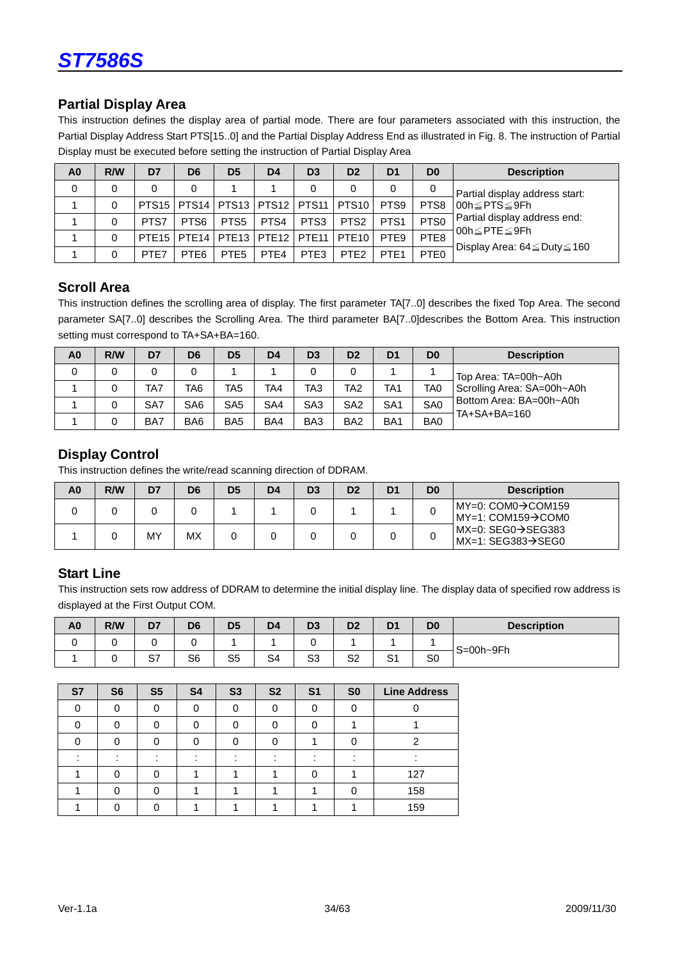

### **Partial Display Area**

This instruction defines the display area of partial mode. There are four parameters associated with this instruction, the Partial Display Address Start PTS[15..0] and the Partial Display Address End as illustrated in Fig. 8. The instruction of Partial Display must be executed before setting the instruction of Partial Display Area

| A <sub>0</sub> | R/W | D7   | D <sub>6</sub>   | D <sub>5</sub>   | D <sub>4</sub>                                | D <sub>3</sub>   | D <sub>2</sub>    | D <sub>1</sub>   | D <sub>0</sub>   | <b>Description</b>                      |
|----------------|-----|------|------------------|------------------|-----------------------------------------------|------------------|-------------------|------------------|------------------|-----------------------------------------|
| 0              | 0   | 0    | 0                |                  |                                               | 0                | 0                 |                  | 0                | Partial display address start:          |
|                | 0   |      |                  |                  | PTS15   PTS14   PTS13   PTS12   PTS11   PTS10 |                  |                   | PTS <sub>9</sub> | PTS8             | l00h≤PTS≤9Fh                            |
|                | 0   | PTS7 | PTS <sub>6</sub> | PTS <sub>5</sub> | PTS4                                          | PTS3             | PTS <sub>2</sub>  | PTS <sub>1</sub> | PTS <sub>0</sub> | Partial display address end:            |
|                | 0   |      |                  |                  | PTE15   PTE14   PTE13   PTE12                 | <b>PTE11</b>     | PTE <sub>10</sub> | PTE <sub>9</sub> | PTE <sub>8</sub> | l00h≤PTE≤9Fh                            |
|                |     | PTE7 | PTE <sub>6</sub> | PTE <sub>5</sub> | PTF4                                          | PTE <sub>3</sub> | PTE <sub>2</sub>  | PTE <sub>1</sub> | PTE <sub>0</sub> | Display Area: $64 \leq$ Duty $\leq$ 160 |

### **Scroll Area**

This instruction defines the scrolling area of display. The first parameter TA[7..0] describes the fixed Top Area. The second parameter SA[7..0] describes the Scrolling Area. The third parameter BA[7..0]describes the Bottom Area. This instruction setting must correspond to TA+SA+BA=160.

| A <sub>0</sub> | R/W | D7  | D <sub>6</sub>  | D <sub>5</sub>  | D <sub>4</sub> | D <sub>3</sub>  | D <sub>2</sub>  | D <sub>1</sub>  | D <sub>0</sub>  | <b>Description</b>         |
|----------------|-----|-----|-----------------|-----------------|----------------|-----------------|-----------------|-----------------|-----------------|----------------------------|
|                |     |     | 0               |                 |                | 0               |                 |                 |                 | Top Area: TA=00h~A0h       |
|                |     | TA7 | TA6             | TA5             | TA4            | TA3             | TA2             | TA1             | TA <sub>0</sub> | Scrolling Area: SA=00h~A0h |
|                |     | SA7 | SA <sub>6</sub> | SA <sub>5</sub> | SA4            | SA <sub>3</sub> | SA <sub>2</sub> | SA <sub>1</sub> | SA <sub>0</sub> | Bottom Area: BA=00h~A0h    |
|                |     | BA7 | BA <sub>6</sub> | BA <sub>5</sub> | BA4            | BA <sub>3</sub> | BA <sub>2</sub> | BA <sub>1</sub> | BA0             | TA+SA+BA=160               |

### **Display Control**

This instruction defines the write/read scanning direction of DDRAM.

| A0 | R/W | D7 | D6 | D <sub>5</sub> | D <sub>4</sub> | D <sub>3</sub> | D <sub>2</sub> | D <sub>1</sub> | D <sub>0</sub> | <b>Description</b>                                                    |
|----|-----|----|----|----------------|----------------|----------------|----------------|----------------|----------------|-----------------------------------------------------------------------|
|    |     |    |    |                |                |                |                |                |                | IMY=0: COM0→COM159<br>$MY=1$ : COM159 $\rightarrow$ COM0              |
|    |     | MY | МX |                |                |                |                |                |                | $MX=0$ : SEG0 $\rightarrow$ SEG383<br>$MX=1: SEG383 \rightarrow SEGO$ |

### **Start Line**

This instruction sets row address of DDRAM to determine the initial display line. The display data of specified row address is displayed at the First Output COM.

| A <sub>0</sub> | R/W | D7       | D6 | D <sub>5</sub> | D <sub>4</sub> | D <sub>3</sub> | D <sub>2</sub> | D <sub>1</sub>      | D <sub>0</sub> | <b>Description</b> |
|----------------|-----|----------|----|----------------|----------------|----------------|----------------|---------------------|----------------|--------------------|
|                |     |          |    |                |                |                |                |                     |                | $S = 00h - 9Fh$    |
|                |     | ົ<br>، ب | S6 | S <sub>5</sub> | S <sub>4</sub> | S <sub>3</sub> | S <sub>2</sub> | $\mathbf{C}$<br>. ت | S0             |                    |

| S7 | S <sub>6</sub> | S <sub>5</sub> | S <sub>4</sub> | S <sub>3</sub> | <b>S2</b> | S <sub>1</sub> | S <sub>0</sub> | <b>Line Address</b> |
|----|----------------|----------------|----------------|----------------|-----------|----------------|----------------|---------------------|
|    |                | 0              |                |                | 0         |                |                |                     |
|    |                | ∩              |                |                |           |                |                |                     |
|    |                |                |                |                |           |                |                | ⌒                   |
|    |                |                |                |                |           |                |                |                     |
|    |                | O              |                |                |           |                |                | 127                 |
|    |                | ∩              |                |                |           |                |                | 158                 |
|    |                |                |                |                |           |                |                | 159                 |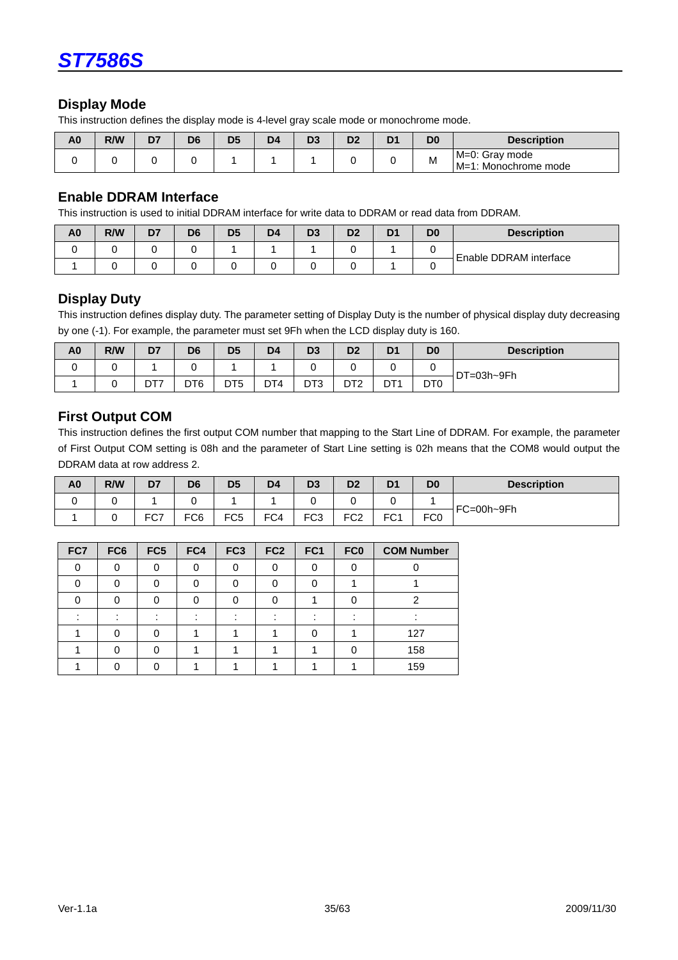

### **Display Mode**

This instruction defines the display mode is 4-level gray scale mode or monochrome mode.

| A0 | R/W | D7 | D <sub>6</sub> | D <sub>5</sub> | D <sub>4</sub> | D <sub>3</sub> | ⊃∠ | D <sub>1</sub> | D <sub>0</sub> | <b>Description</b>                      |
|----|-----|----|----------------|----------------|----------------|----------------|----|----------------|----------------|-----------------------------------------|
|    |     |    |                |                |                |                |    |                | M              | M=0: Gray mode<br>∣M=1: Monochrome mode |

#### **Enable DDRAM Interface**

This instruction is used to initial DDRAM interface for write data to DDRAM or read data from DDRAM.

| A <sub>0</sub> | R/W | D7 | D <sub>6</sub> | D <sub>5</sub> | D4 | D <sub>3</sub> | D2 | D <sub>1</sub> | D <sub>0</sub> | <b>Description</b>     |
|----------------|-----|----|----------------|----------------|----|----------------|----|----------------|----------------|------------------------|
|                |     |    |                |                |    |                |    |                |                | Enable DDRAM interface |
|                |     |    |                |                |    |                |    |                |                |                        |

#### **Display Duty**

This instruction defines display duty. The parameter setting of Display Duty is the number of physical display duty decreasing by one (-1). For example, the parameter must set 9Fh when the LCD display duty is 160.

| A <sub>0</sub> | R/W | D7  | D <sub>6</sub>  | D <sub>5</sub>  | D <sub>4</sub> | D <sub>3</sub>  | D <sub>2</sub>  | D <sub>1</sub>  | D <sub>0</sub>              | <b>Description</b> |
|----------------|-----|-----|-----------------|-----------------|----------------|-----------------|-----------------|-----------------|-----------------------------|--------------------|
|                |     |     |                 |                 |                |                 |                 |                 |                             | DT=03h~9Fh         |
|                |     | DT7 | DT <sub>6</sub> | DT <sub>5</sub> | DT4            | DT <sub>3</sub> | DT <sub>2</sub> | DT <sub>1</sub> | D <sub>T</sub> <sub>0</sub> |                    |

### **First Output COM**

This instruction defines the first output COM number that mapping to the Start Line of DDRAM. For example, the parameter of First Output COM setting is 08h and the parameter of Start Line setting is 02h means that the COM8 would output the DDRAM data at row address 2.

| A <sub>0</sub> | R/W | D7         | D <sub>6</sub> | D <sub>5</sub>  | D <sub>4</sub> | D <sub>3</sub>  | D <sub>2</sub>  | D <sub>1</sub>  | D <sub>0</sub>  | <b>Description</b> |
|----------------|-----|------------|----------------|-----------------|----------------|-----------------|-----------------|-----------------|-----------------|--------------------|
|                |     |            |                |                 |                |                 |                 |                 |                 | FC=00h~9Fh         |
|                |     | EC7<br>، ب | FC6            | FC <sub>5</sub> | FC4            | FC <sub>3</sub> | FC <sub>2</sub> | FC <sub>1</sub> | FC <sub>0</sub> |                    |

| FC7 | FC <sub>6</sub> | FC5 | FC4 | FC <sub>3</sub> | FC <sub>2</sub> | FC <sub>1</sub> | FC <sub>0</sub> | <b>COM Number</b> |
|-----|-----------------|-----|-----|-----------------|-----------------|-----------------|-----------------|-------------------|
|     |                 | C   |     |                 | 0               |                 |                 |                   |
|     |                 |     |     |                 |                 |                 |                 |                   |
|     |                 |     |     |                 |                 |                 |                 |                   |
|     |                 |     |     |                 |                 |                 |                 |                   |
|     |                 |     |     |                 |                 |                 |                 | 127               |
|     |                 |     |     |                 |                 |                 |                 | 158               |
|     |                 |     |     |                 |                 |                 |                 | 159               |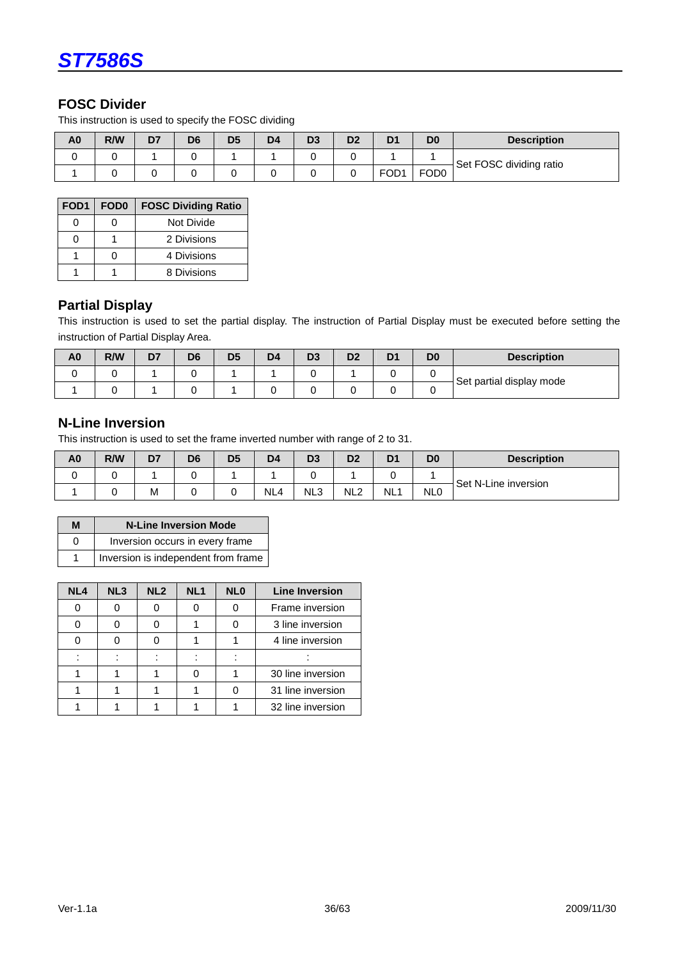

### **FOSC Divider**

This instruction is used to specify the FOSC dividing

| A <sub>0</sub> | R/W | D7 | D <sub>6</sub> | D <sub>5</sub> | D <sub>4</sub> | D <sub>3</sub> | D <sub>2</sub> | D <sub>1</sub>   | D <sub>0</sub>   | <b>Description</b>      |
|----------------|-----|----|----------------|----------------|----------------|----------------|----------------|------------------|------------------|-------------------------|
|                |     |    |                |                |                |                |                |                  |                  | Set FOSC dividing ratio |
|                |     |    |                |                |                |                |                | FOD <sub>1</sub> | FOD <sub>0</sub> |                         |

| FOD <sub>1</sub> | FOD <sub>0</sub> | <b>FOSC Dividing Ratio</b> |
|------------------|------------------|----------------------------|
|                  |                  | Not Divide                 |
|                  |                  | 2 Divisions                |
|                  | n                | 4 Divisions                |
|                  |                  | 8 Divisions                |

#### **Partial Display**

This instruction is used to set the partial display. The instruction of Partial Display must be executed before setting the instruction of Partial Display Area.

| A <sub>0</sub> | R/W | D7 | D <sub>6</sub> | D <sub>5</sub> | D <sub>4</sub> | D <sub>3</sub> | D2 | D <sub>1</sub> | D <sub>0</sub> | <b>Description</b>       |
|----------------|-----|----|----------------|----------------|----------------|----------------|----|----------------|----------------|--------------------------|
|                |     |    |                |                |                |                |    |                |                | Set partial display mode |
|                |     |    |                |                |                |                |    |                |                |                          |

### **N-Line Inversion**

This instruction is used to set the frame inverted number with range of 2 to 31.

| A <sub>0</sub> | R/W | D7 | D <sub>6</sub> | D <sub>5</sub> | D <sub>4</sub>  | D <sub>3</sub>  | D <sub>2</sub>  | D <sub>1</sub>  | D <sub>0</sub>  | <b>Description</b>   |
|----------------|-----|----|----------------|----------------|-----------------|-----------------|-----------------|-----------------|-----------------|----------------------|
|                |     |    |                |                |                 |                 |                 |                 |                 | Set N-Line inversion |
|                |     | М  |                |                | NL <sub>4</sub> | NL <sub>3</sub> | NL <sub>2</sub> | NL <sub>1</sub> | NL <sub>0</sub> |                      |

| М | <b>N-Line Inversion Mode</b>        |
|---|-------------------------------------|
| O | Inversion occurs in every frame     |
|   | Inversion is independent from frame |

| NL <sub>4</sub> | NL <sub>3</sub> | NL <sub>2</sub> | NL <sub>1</sub> | NL <sub>0</sub> | <b>Line Inversion</b> |
|-----------------|-----------------|-----------------|-----------------|-----------------|-----------------------|
|                 |                 |                 |                 |                 | Frame inversion       |
|                 |                 |                 |                 |                 | 3 line inversion      |
|                 |                 |                 |                 |                 | 4 line inversion      |
|                 |                 |                 |                 |                 |                       |
|                 |                 |                 |                 |                 | 30 line inversion     |
|                 |                 |                 |                 |                 | 31 line inversion     |
|                 |                 |                 |                 |                 | 32 line inversion     |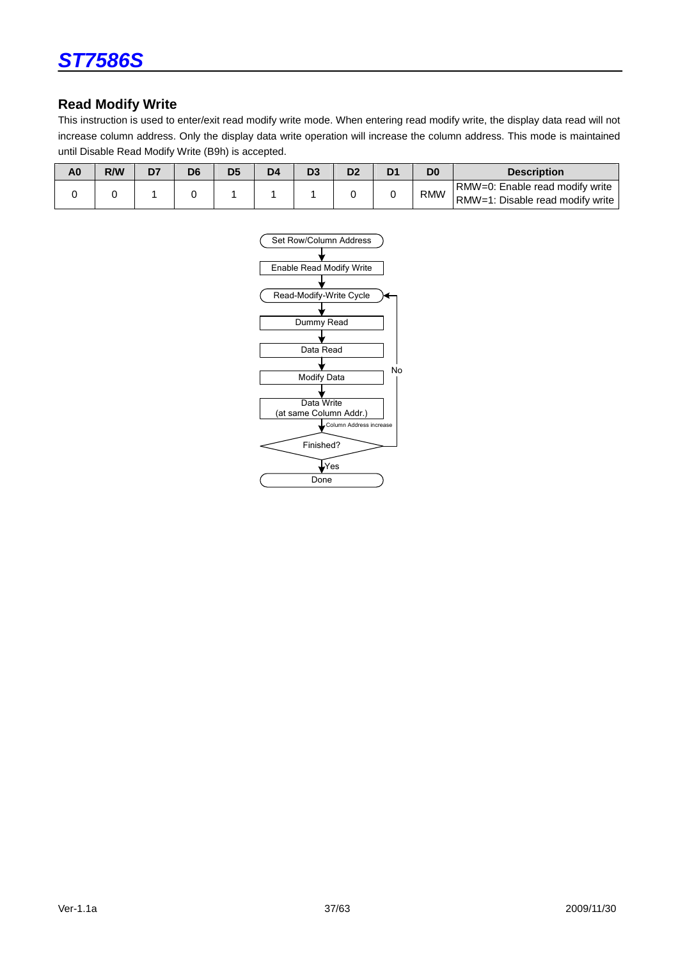

### **Read Modify Write**

This instruction is used to enter/exit read modify write mode. When entering read modify write, the display data read will not increase column address. Only the display data write operation will increase the column address. This mode is maintained until Disable Read Modify Write (B9h) is accepted.

| A0 | R/W | D6 | D <sub>5</sub> | D4 |  | D0         | <b>Description</b>               |
|----|-----|----|----------------|----|--|------------|----------------------------------|
|    |     |    |                |    |  |            | RMW=0: Enable read modify write  |
|    |     |    |                |    |  | <b>RMW</b> | RMW=1: Disable read modify write |

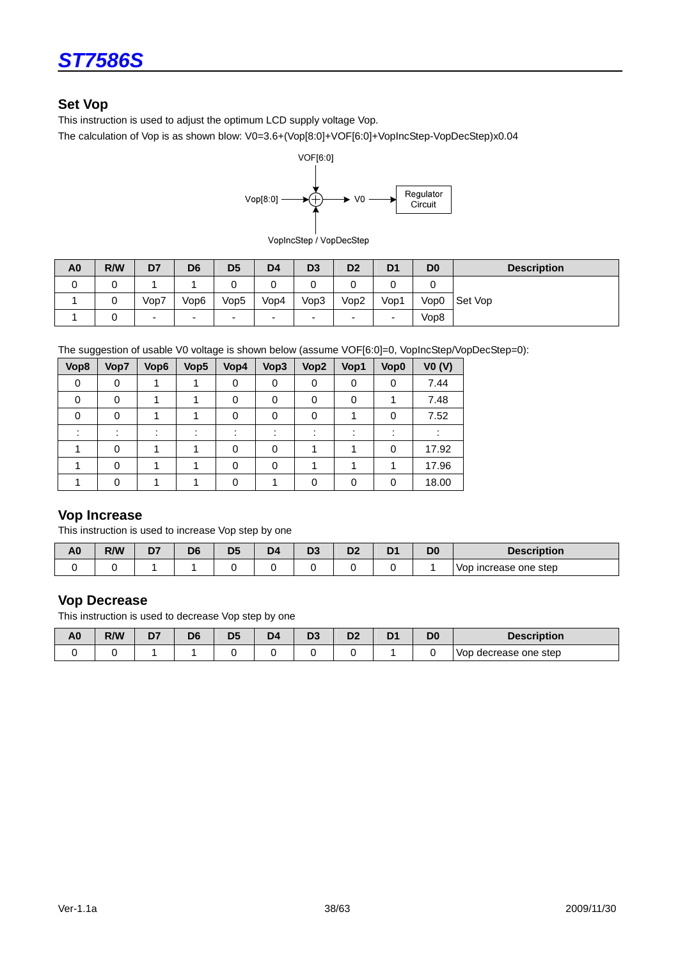

### **Set Vop**

This instruction is used to adjust the optimum LCD supply voltage Vop.

The calculation of Vop is as shown blow: V0=3.6+(Vop[8:0]+VOF[6:0]+VopIncStep-VopDecStep)x0.04



VopIncStep / VopDecStep

| A <sub>0</sub> | R/W | D7   | D <sub>6</sub>           | D <sub>5</sub>           | D <sub>4</sub> | D <sub>3</sub> | D <sub>2</sub>           | D <sub>1</sub> | D <sub>0</sub> | <b>Description</b> |
|----------------|-----|------|--------------------------|--------------------------|----------------|----------------|--------------------------|----------------|----------------|--------------------|
| U              |     |      |                          |                          |                |                |                          |                | ັ              |                    |
|                |     | Vop7 | Vop6                     | Vop5                     | Vop4           | Vop3           | Vop2                     | Vop1           | Vop0           | Set Vop            |
|                |     | -    | $\overline{\phantom{0}}$ | $\overline{\phantom{0}}$ | -              | -              | $\overline{\phantom{0}}$ | -              | Vop8           |                    |

The suggestion of usable V0 voltage is shown below (assume VOF[6:0]=0, VopIncStep/VopDecStep=0):

| Vop8 | Vop7 | Vop6 | Vop <sub>5</sub> | Vop4     | Vop3 | Vop2 | Vop1 | Vop0     | VO (V) |
|------|------|------|------------------|----------|------|------|------|----------|--------|
| 0    | 0    |      |                  | 0        | 0    | 0    | 0    | 0        | 7.44   |
| 0    | 0    |      |                  | 0        | 0    | 0    | 0    |          | 7.48   |
| 0    |      |      |                  | 0        | 0    |      |      | 0        | 7.52   |
|      |      |      |                  |          |      |      |      |          |        |
|      |      |      |                  | 0        | 0    |      |      | $\Omega$ | 17.92  |
|      |      |      |                  | $\Omega$ | 0    |      |      |          | 17.96  |
|      |      |      |                  | 0        |      |      | 0    | 0        | 18.00  |

### **Vop Increase**

This instruction is used to increase Vop step by one

| A <sub>0</sub> | R/W | n-<br>יש | Dr. | -- | $-$<br>◡ | D <sub>4</sub> | D <sub>0</sub> | <b>Description</b>    |
|----------------|-----|----------|-----|----|----------|----------------|----------------|-----------------------|
|                |     |          |     |    |          |                |                | Vop increase one step |

#### **Vop Decrease**

This instruction is used to decrease Vop step by one

| A <sub>0</sub> | R/W | r.<br>יש | D <sub>6</sub> | D5 | Dr.<br>υ÷ | D. | D <sub>0</sub><br>υu | <b>Description</b>       |
|----------------|-----|----------|----------------|----|-----------|----|----------------------|--------------------------|
|                |     |          |                |    |           |    |                      | decrease one step<br>Vop |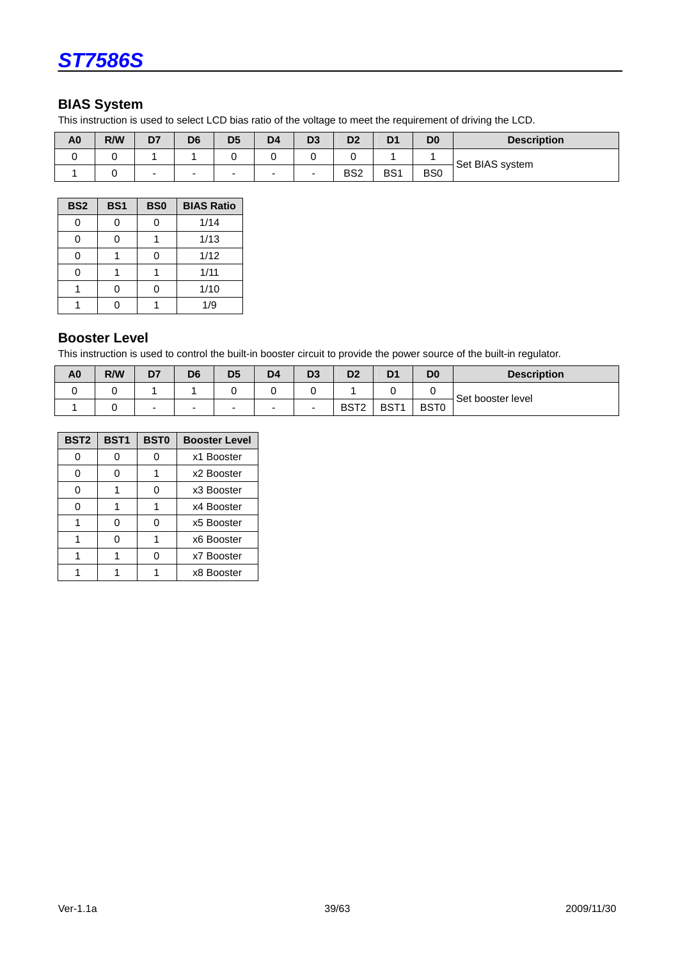

### **BIAS System**

This instruction is used to select LCD bias ratio of the voltage to meet the requirement of driving the LCD.

| A <sub>0</sub> | R/W | D7 | D6                       | D <sub>5</sub>           | D <sub>4</sub> | D <sub>3</sub> | D <sub>2</sub>  | D <sub>1</sub> | D <sub>0</sub>  | <b>Description</b> |  |
|----------------|-----|----|--------------------------|--------------------------|----------------|----------------|-----------------|----------------|-----------------|--------------------|--|
|                |     |    |                          |                          |                |                |                 |                |                 | Set BIAS system    |  |
|                |     | -  | $\overline{\phantom{0}}$ | $\overline{\phantom{a}}$ | -              | -              | BS <sub>2</sub> | BS1            | B <sub>S0</sub> |                    |  |

| BS <sub>2</sub> | BS <sub>1</sub> | BS <sub>0</sub> | <b>BIAS Ratio</b> |
|-----------------|-----------------|-----------------|-------------------|
| 0               | 0               | 0               | 1/14              |
| 0               | 0               |                 | 1/13              |
| 0               |                 | ი               | 1/12              |
| ი               |                 |                 | 1/11              |
|                 | ი               |                 | 1/10              |
|                 | ∩               |                 | 1/9               |

### **Booster Level**

This instruction is used to control the built-in booster circuit to provide the power source of the built-in regulator.

| A <sub>0</sub> | R/W | D7 | D <sub>6</sub> | D <sub>5</sub>           | D <sub>4</sub> | D3 | D2               | D <sub>1</sub>   | D <sub>0</sub>   | <b>Description</b> |
|----------------|-----|----|----------------|--------------------------|----------------|----|------------------|------------------|------------------|--------------------|
|                |     |    |                |                          |                |    |                  |                  |                  | Set booster level  |
|                |     | -  |                | $\overline{\phantom{0}}$ | -              | -  | BST <sub>2</sub> | BST <sub>1</sub> | BST <sub>0</sub> |                    |

| BST <sub>2</sub> | <b>BST1</b> | <b>BST0</b> | <b>Booster Level</b> |
|------------------|-------------|-------------|----------------------|
|                  |             | ი           | x1 Booster           |
|                  | ი           |             | x2 Booster           |
|                  |             | n           | x3 Booster           |
|                  |             |             | x4 Booster           |
|                  | ი           | ი           | x5 Booster           |
|                  | ი           | 1           | x6 Booster           |
|                  |             | ი           | x7 Booster           |
|                  |             |             | x8 Booster           |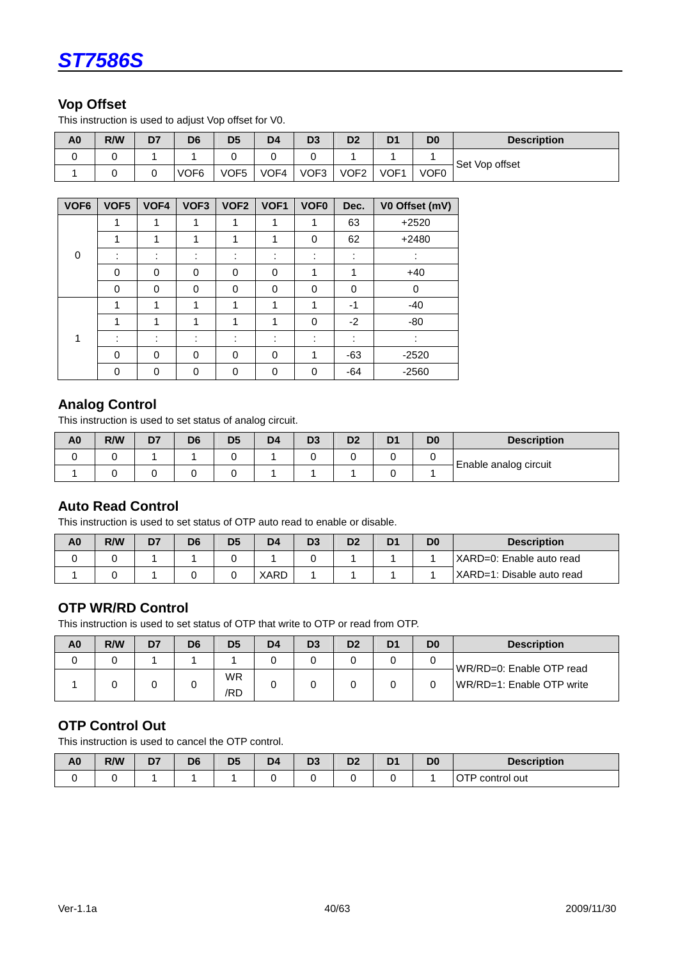

### **Vop Offset**

This instruction is used to adjust Vop offset for V0.

| A <sub>0</sub> | R/W | D7 | D6               | D <sub>5</sub> | D <sub>4</sub> | D <sub>3</sub> | D <sub>2</sub>   | D <sub>1</sub>   | D <sub>0</sub>   | <b>Description</b> |
|----------------|-----|----|------------------|----------------|----------------|----------------|------------------|------------------|------------------|--------------------|
|                |     |    |                  |                |                |                |                  |                  |                  | Set Vop offset     |
|                |     |    | VOF <sub>6</sub> | VOF5           | VOF4           | VOF3           | VOF <sub>2</sub> | VOF <sub>1</sub> | VOF <sub>0</sub> |                    |

| VOF <sub>6</sub> | VOF5 | VOF4                          | VOF <sub>3</sub>              | VOF <sub>2</sub>              | VOF1     | VOF <sub>0</sub> | Dec.                | V0 Offset (mV) |
|------------------|------|-------------------------------|-------------------------------|-------------------------------|----------|------------------|---------------------|----------------|
|                  |      | 1                             |                               |                               | 4        | 1                | 63                  | $+2520$        |
|                  | 1    | 1                             | 1                             | и                             | 1        | 0                | 62                  | $+2480$        |
| $\mathbf{0}$     |      | ٠<br>٠                        | ٠<br>$\overline{\phantom{a}}$ | ٠<br>$\overline{\phantom{a}}$ | ٠<br>٠   |                  | ٠<br>$\blacksquare$ |                |
|                  | 0    | $\Omega$                      | $\Omega$                      | $\Omega$                      | 0        | 1                | ◢                   | $+40$          |
|                  | 0    | 0                             | 0                             | 0                             | $\Omega$ | 0                | 0                   | 0              |
|                  | 1    | 1                             | 1                             | 1                             | 1        | 1                | -1                  | $-40$          |
|                  | 4    | 1                             | 4                             | 4                             | 4        | 0                | $-2$                | $-80$          |
|                  |      | ٠<br>$\overline{\phantom{a}}$ | ٠<br>٠                        | ٠<br>٠                        | ٠        | ٠<br>٠           | ٠<br>۰              |                |
|                  | 0    | 0                             | $\Omega$                      | $\mathbf{0}$                  | 0        | 1                | $-63$               | $-2520$        |
|                  | 0    | 0                             | 0                             | $\Omega$                      | 0        | 0                | $-64$               | $-2560$        |

### **Analog Control**

This instruction is used to set status of analog circuit.

| A <sub>0</sub> | R/W | D7 | D <sub>6</sub> | D <sub>5</sub> | D <sub>4</sub> | D <sub>3</sub> | D <sub>2</sub> | D | D0 | <b>Description</b>    |  |
|----------------|-----|----|----------------|----------------|----------------|----------------|----------------|---|----|-----------------------|--|
|                |     |    |                |                |                |                |                |   |    | Enable analog circuit |  |
|                |     |    |                |                |                |                |                |   |    |                       |  |

#### **Auto Read Control**

This instruction is used to set status of OTP auto read to enable or disable.

| A0 | R/W | D7 | D6 | D <sub>5</sub> | D <sub>4</sub> | D <sub>3</sub> | D2 | D <sub>1</sub> | D <sub>0</sub> | <b>Description</b>        |
|----|-----|----|----|----------------|----------------|----------------|----|----------------|----------------|---------------------------|
|    |     |    |    |                |                |                |    |                |                | (XARD=0: Enable auto read |
|    |     |    |    |                | XARD           |                |    |                |                | XARD=1: Disable auto read |

### **OTP WR/RD Control**

This instruction is used to set status of OTP that write to OTP or read from OTP.

| A <sub>0</sub> | R/W | D7 | D6 | D <sub>5</sub>   | D4 | D <sub>3</sub> | D <sub>2</sub> | D <sub>1</sub> | D <sub>0</sub> | <b>Description</b>        |
|----------------|-----|----|----|------------------|----|----------------|----------------|----------------|----------------|---------------------------|
|                |     |    |    |                  |    |                |                |                |                | WR/RD=0: Enable OTP read  |
|                |     |    |    | <b>WR</b><br>/RD |    |                |                |                |                | WR/RD=1: Enable OTP write |

### **OTP Control Out**

This instruction is used to cancel the OTP control.

| A <sub>0</sub> | R/W | --<br>P, | DЄ | D <sub>5</sub> | D4 | r.<br>⊷ | n <sub>o</sub><br>שכ<br>__ | D <sub>1</sub><br>וש | D <sub>0</sub> | <b>Description</b>          |
|----------------|-----|----------|----|----------------|----|---------|----------------------------|----------------------|----------------|-----------------------------|
|                |     |          |    |                |    |         |                            |                      |                | $- - -$<br>control out<br>ີ |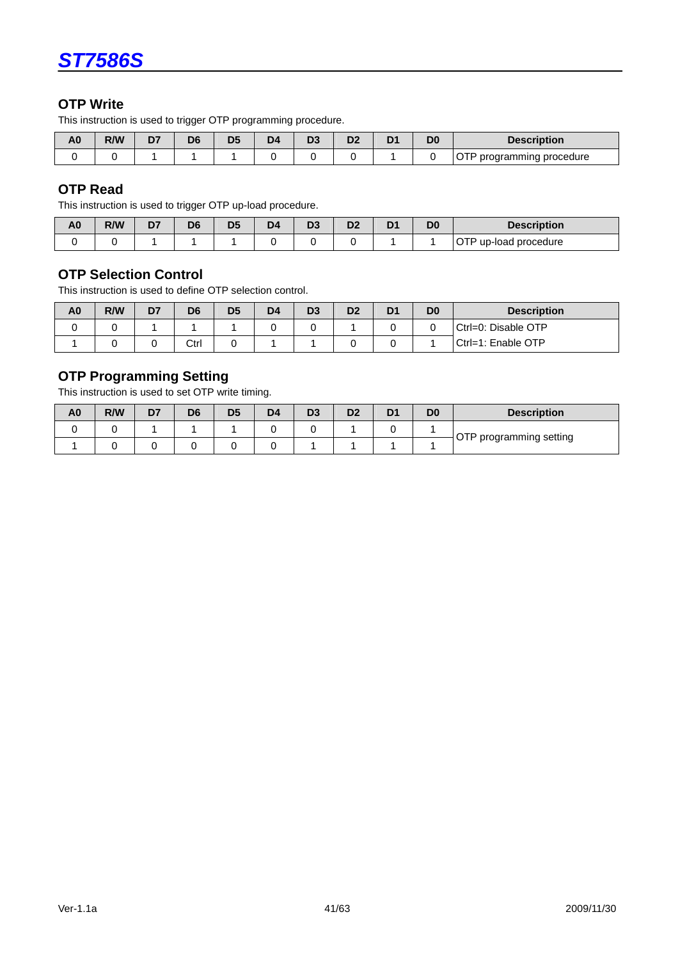

### **OTP Write**

This instruction is used to trigger OTP programming procedure.

| A <sub>0</sub> | R/W | n-<br>◡ | D6 | D5 | r. | n- | D. | -DC | <b>escription</b>                    |
|----------------|-----|---------|----|----|----|----|----|-----|--------------------------------------|
|                |     |         |    |    |    |    |    |     | i procedure<br>oaramr.<br>mınc<br>٦r |

# **OTP Read**

This instruction is used to trigger OTP up-load procedure.

| A <sub>0</sub> | R/W | r.<br>- | D <sub>6</sub> | D <sub>5</sub> | D <sup>2</sup> | n-<br>v. | D. | D <sub>0</sub> | <b>Description</b>              |
|----------------|-----|---------|----------------|----------------|----------------|----------|----|----------------|---------------------------------|
|                |     |         |                |                |                |          |    |                | $  -$<br>up-load procedure<br>. |

### **OTP Selection Control**

This instruction is used to define OTP selection control.

| A0 | R/W | D7 | D <sub>6</sub> | D <sub>5</sub> | D <sub>4</sub> | D <sub>3</sub> | D2 | D <sub>1</sub> | D <sub>0</sub> | <b>Description</b>  |
|----|-----|----|----------------|----------------|----------------|----------------|----|----------------|----------------|---------------------|
|    |     |    |                |                |                |                |    |                |                | Ctrl=0: Disable OTP |
|    |     |    | Ctrl           |                |                |                |    |                |                | Ctrl=1: Enable OTP  |

# **OTP Programming Setting**

This instruction is used to set OTP write timing.

| A <sub>0</sub> | R/W | D7 | D6 | D <sub>5</sub> | D <sub>4</sub> | D <sub>3</sub> | D <sub>2</sub> | D <sub>1</sub> | D <sub>0</sub> | <b>Description</b>      |  |  |
|----------------|-----|----|----|----------------|----------------|----------------|----------------|----------------|----------------|-------------------------|--|--|
|                |     |    |    |                |                |                |                |                |                |                         |  |  |
|                |     |    |    |                |                |                |                |                |                | OTP programming setting |  |  |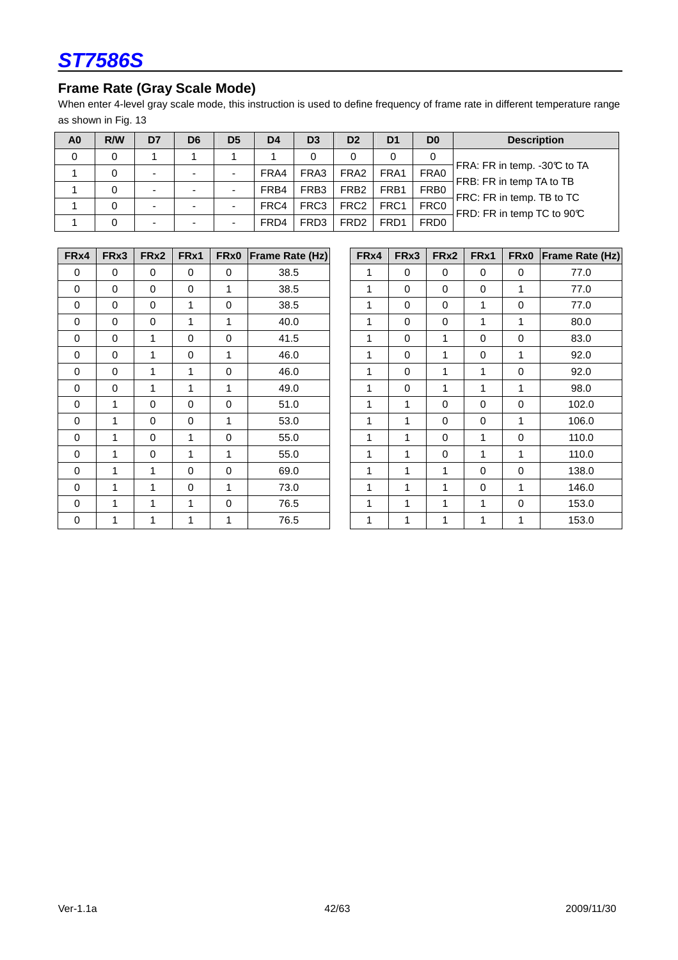

# **Frame Rate (Gray Scale Mode)**

When enter 4-level gray scale mode, this instruction is used to define frequency of frame rate in different temperature range as shown in Fig. 13

| A <sub>0</sub> | R/W | D7                       | D6 | D <sub>5</sub>           | D <sub>4</sub> | D <sub>3</sub>   | D <sub>2</sub>   | D <sub>1</sub> | D <sub>0</sub>   | <b>Description</b>                                      |
|----------------|-----|--------------------------|----|--------------------------|----------------|------------------|------------------|----------------|------------------|---------------------------------------------------------|
| 0              | 0   |                          |    |                          |                | 0                | 0                |                | 0                |                                                         |
|                | 0   | $\overline{\phantom{0}}$ |    | $\blacksquare$           | FRA4           | FRA3             | FRA <sub>2</sub> | FRA1           | FRA0             | FRA: FR in temp. -30℃ to TA<br>FRB: FR in temp TA to TB |
|                | 0   | -                        |    | $\overline{\phantom{0}}$ | FRB4           | FRB <sub>3</sub> | FRB <sub>2</sub> | FRB1           | FRB <sub>0</sub> | FRC: FR in temp. TB to TC                               |
|                | 0   | $\overline{\phantom{0}}$ |    | $\overline{\phantom{0}}$ | FRC4           | FRC3             | FRC <sub>2</sub> | FRC1           | FRC0             | FRD: FR in temp TC to 90°C                              |
|                | 0   | -                        |    | $\overline{\phantom{0}}$ | FRD4           | FRD <sub>3</sub> | FRD <sub>2</sub> | FRD1           | FRD <sub>0</sub> |                                                         |

| FRx4        | FRx3        | FRx2        | FRx1        | FR <sub>x0</sub> | <b>Frame Rate (Hz)</b> | FRx4         | FR <sub>x</sub> 3 | FRx2         | FRx1        | FR <sub>x0</sub> | <b>Frame Rate</b> |
|-------------|-------------|-------------|-------------|------------------|------------------------|--------------|-------------------|--------------|-------------|------------------|-------------------|
| $\mathbf 0$ | $\mathbf 0$ | $\mathbf 0$ | $\mathbf 0$ | $\mathbf 0$      | 38.5                   | 1            | $\mathbf 0$       | $\mathbf 0$  | $\mathbf 0$ | $\mathbf 0$      | 77.0              |
| $\Omega$    | $\mathbf 0$ | 0           | 0           | $\mathbf{1}$     | 38.5                   | 1            | $\mathbf 0$       | $\mathbf 0$  | 0           | 1                | 77.0              |
| $\mathbf 0$ | $\mathbf 0$ | 0           | 1           | $\mathbf 0$      | 38.5                   | 1            | $\mathbf 0$       | $\mathbf 0$  | 1           | $\mathbf 0$      | 77.0              |
| 0           | $\mathbf 0$ | $\mathbf 0$ | 1           | 1                | 40.0                   | 1            | $\pmb{0}$         | $\mathbf 0$  | 1           | 1                | 80.0              |
| 0           | $\Omega$    | 1           | $\mathbf 0$ | $\mathbf 0$      | 41.5                   | 1            | $\mathbf 0$       | 1            | 0           | $\mathbf 0$      | 83.0              |
| 0           | $\Omega$    | 1           | $\mathbf 0$ | 1                | 46.0                   | 1            | $\mathbf 0$       | 1            | $\mathbf 0$ | 1                | 92.0              |
| 0           | $\Omega$    | 1           | 1           | $\mathbf 0$      | 46.0                   | $\mathbf{1}$ | 0                 | 1            | 1           | $\mathbf 0$      | 92.0              |
| $\mathbf 0$ | $\mathbf 0$ | 1           | 1           | $\mathbf{1}$     | 49.0                   | 1            | $\mathbf 0$       | $\mathbf{1}$ | 1           | 1                | 98.0              |
| 0           | 1           | $\mathbf 0$ | $\mathbf 0$ | $\mathbf 0$      | 51.0                   | 1            | 1                 | $\mathbf 0$  | $\mathbf 0$ | $\mathbf 0$      | 102.0             |
| $\mathbf 0$ | 1           | 0           | $\mathbf 0$ | 1                | 53.0                   | 1            | 1                 | $\mathbf 0$  | $\mathbf 0$ | 1                | 106.0             |
| $\Omega$    | 1           | 0           | 1           | $\mathbf 0$      | 55.0                   | 1            | 1                 | $\mathbf 0$  | 1           | $\mathbf 0$      | 110.0             |
| $\mathbf 0$ | 1           | $\Omega$    | 1           | 1                | 55.0                   | 1            | $\mathbf{1}$      | $\mathbf 0$  | 1           | 1                | 110.0             |
| 0           | 1           | 1           | $\mathbf 0$ | 0                | 69.0                   | 1            | 1                 | 1            | 0           | $\mathbf 0$      | 138.0             |
| 0           | 1           | 1           | $\mathbf 0$ | 1                | 73.0                   | 1            | 1                 | 1            | $\mathbf 0$ | 1                | 146.0             |
| 0           | 1           | 1           | 1           | $\pmb{0}$        | 76.5                   | 1            | 1                 | 1            | 1           | $\pmb{0}$        | 153.0             |
| 0           | 1           | 1           | 1           | 1                | 76.5                   | 1            | 1                 | 1            | 1           | 1                | 153.0             |

| FRx4             | FRx3        | FRx2        | FR <sub>x1</sub> | FR <sub>x0</sub> | Frame Rate (Hz) | FR <sub>x4</sub> | FRx3        | FRx2        | FRx1        | FR <sub>x0</sub> | <b>Frame Rate (Hz)</b> |
|------------------|-------------|-------------|------------------|------------------|-----------------|------------------|-------------|-------------|-------------|------------------|------------------------|
| $\mathbf 0$      | $\mathbf 0$ | $\Omega$    | $\mathbf 0$      | $\Omega$         | 38.5            | 1                | $\mathbf 0$ | $\mathbf 0$ | $\Omega$    | $\Omega$         | 77.0                   |
| 0                | 0           | $\mathbf 0$ | $\mathbf 0$      | 1                | 38.5            | 1                | 0           | $\mathbf 0$ | $\mathbf 0$ | 1                | 77.0                   |
| $\mathbf 0$      | $\mathbf 0$ | 0           | 1                | $\mathbf 0$      | 38.5            | 1                | 0           | $\mathbf 0$ | 1           | $\mathbf 0$      | 77.0                   |
| $\mathbf 0$      | $\mathbf 0$ | $\mathbf 0$ | 1                | $\mathbf{1}$     | 40.0            | 1                | $\mathbf 0$ | $\mathbf 0$ | 1           | 1                | 80.0                   |
| $\pmb{0}$        | $\mathbf 0$ | 1           | $\mathbf 0$      | $\mathbf 0$      | 41.5            | 1                | 0           | 1           | $\mathbf 0$ | $\mathbf 0$      | 83.0                   |
| $\mathbf 0$      | $\mathbf 0$ | 1           | $\mathbf 0$      | 1                | 46.0            | 1                | 0           | 1           | $\mathbf 0$ | 1                | 92.0                   |
| 0                | $\mathbf 0$ | 1           | 1                | $\mathbf 0$      | 46.0            | 1                | $\mathbf 0$ | 1           | 1           | $\mathbf 0$      | 92.0                   |
| 0                | $\mathbf 0$ | 1           | 1                | 1                | 49.0            | 1                | $\mathbf 0$ | 1           | 1           | 1                | 98.0                   |
| $\mathbf 0$      | 1           | $\mathbf 0$ | $\mathbf 0$      | $\mathbf 0$      | 51.0            | 1                | 1           | $\mathbf 0$ | $\mathbf 0$ | $\mathbf 0$      | 102.0                  |
| $\mathbf 0$      | 1           | 0           | $\mathbf 0$      | 1                | 53.0            | 1                | 1           | $\mathbf 0$ | $\mathbf 0$ | 1                | 106.0                  |
| 0                | 1           | $\mathbf 0$ | 1                | $\mathbf 0$      | 55.0            | 1                | 1           | $\mathbf 0$ | 1           | $\mathbf 0$      | 110.0                  |
| $\mathbf 0$      | 1           | $\mathbf 0$ | 1                | 1                | 55.0            | 1                | 1           | $\mathbf 0$ | 1           | 1                | 110.0                  |
| 0                | 1           | 1           | $\mathbf 0$      | $\mathbf 0$      | 69.0            | 1                | 1           | 1           | $\mathbf 0$ | $\mathbf 0$      | 138.0                  |
| 0                | 1           | 1           | $\mathbf 0$      | 1                | 73.0            | 1                | 1           | 1           | $\mathbf 0$ | 1                | 146.0                  |
| $\mathbf 0$      | 1           | 1           | 1                | $\mathbf 0$      | 76.5            | 1                | 1           | 1           | 1           | $\mathbf 0$      | 153.0                  |
| $\boldsymbol{0}$ | 1           | 1           | 1                | $\mathbf{1}$     | 76.5            | 1                | 1           | 1           | 1           | 1                | 153.0                  |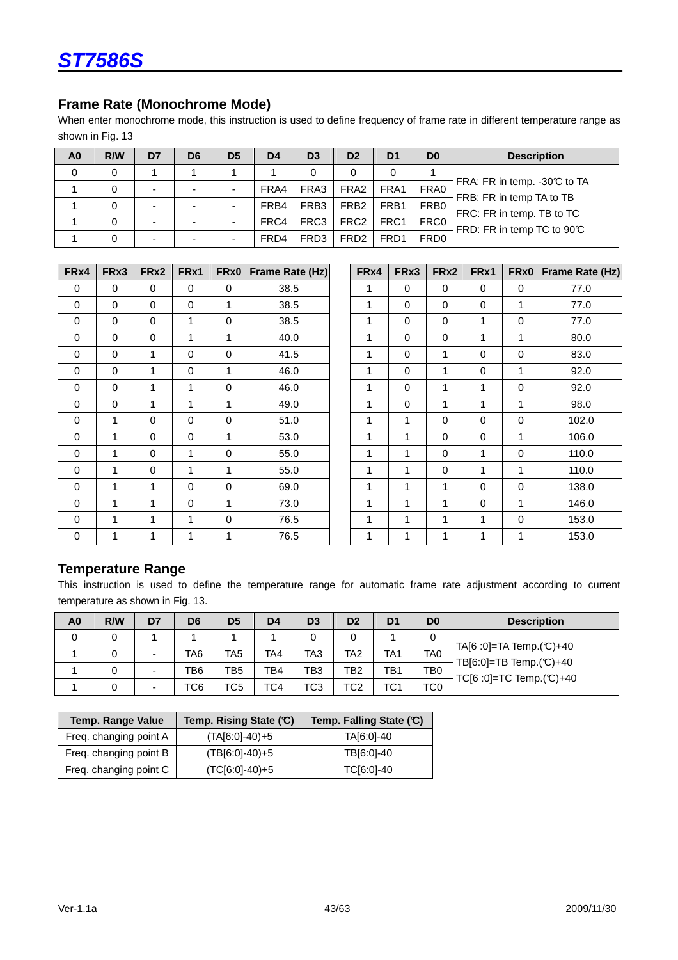### **Frame Rate (Monochrome Mode)**

When enter monochrome mode, this instruction is used to define frequency of frame rate in different temperature range as shown in Fig. 13

| A <sub>0</sub> | R/W | D7 | D <sub>6</sub>           | D <sub>5</sub>           | D <sub>4</sub> | D <sub>3</sub>   | D <sub>2</sub>    | D <sub>1</sub> | D <sub>0</sub>   | <b>Description</b>                                      |
|----------------|-----|----|--------------------------|--------------------------|----------------|------------------|-------------------|----------------|------------------|---------------------------------------------------------|
| 0              | 0   |    |                          |                          |                | 0                | 0                 | 0              |                  |                                                         |
|                | 0   | -  | $\overline{\phantom{0}}$ | $\overline{\phantom{a}}$ | FRA4           | FRA3             | FRA <sub>2</sub>  | FRA1           | FRA0             | FRA: FR in temp. -30℃ to TA<br>FRB: FR in temp TA to TB |
|                | 0   |    | $\blacksquare$           | $\blacksquare$           | FRB4           | FRB <sub>3</sub> | FRB <sub>2</sub>  | FRB1           | FRB <sub>0</sub> | FRC: FR in temp. TB to TC                               |
|                | 0   |    | $\overline{\phantom{0}}$ | $\overline{\phantom{0}}$ | FRC4           | FRC <sub>3</sub> | FRC <sub>2</sub>  | FRC1           | FRC0             | FRD: FR in temp TC to 90°C                              |
|                | 0   |    | ۰                        | -                        | FRD4           | FRD <sub>3</sub> | FR <sub>D</sub> 2 | FRD1           | FRD <sub>0</sub> |                                                         |

| FRx4        | FRx3        | FRx2        | FRx1        | FRx0         | <b>Frame Rate (Hz)</b> | FRx4         | FRx3         | FRx2         | FRx1        | FRx0        | <b>Frame Rate</b> |
|-------------|-------------|-------------|-------------|--------------|------------------------|--------------|--------------|--------------|-------------|-------------|-------------------|
| $\mathbf 0$ | $\mathbf 0$ | $\mathbf 0$ | $\mathbf 0$ | $\mathbf 0$  | 38.5                   | 1            | $\mathbf 0$  | $\mathbf 0$  | $\mathbf 0$ | $\mathbf 0$ | 77.0              |
| $\mathbf 0$ | $\mathbf 0$ | $\mathbf 0$ | $\mathbf 0$ | 1            | 38.5                   | 1            | $\mathbf 0$  | $\mathbf 0$  | $\mathbf 0$ | 1           | 77.0              |
| 0           | $\Omega$    | $\mathbf 0$ | 1           | $\mathbf 0$  | 38.5                   | $\mathbf{1}$ | $\mathbf 0$  | $\mathbf 0$  | 1           | $\mathbf 0$ | 77.0              |
| $\Omega$    | $\mathbf 0$ | $\mathbf 0$ | 1           | 1            | 40.0                   | 1            | $\mathbf 0$  | $\pmb{0}$    | 1           | 1           | 80.0              |
| 0           | $\mathbf 0$ | 1           | $\mathbf 0$ | $\mathbf 0$  | 41.5                   | 1            | 0            | 1            | $\mathbf 0$ | $\pmb{0}$   | 83.0              |
| $\Omega$    | $\Omega$    | 1           | $\mathbf 0$ | 1            | 46.0                   | 1            | $\mathbf 0$  | $\mathbf 1$  | $\mathbf 0$ | 1           | 92.0              |
| $\Omega$    | $\Omega$    | 1           | 1           | $\mathbf 0$  | 46.0                   | 1            | $\mathbf 0$  | 1            | 1           | $\Omega$    | 92.0              |
| 0           | $\mathbf 0$ | 1           | 1           | 1            | 49.0                   | 1            | $\mathbf 0$  | 1            | 1           | 1           | 98.0              |
| 0           | 1           | $\mathbf 0$ | $\mathbf 0$ | $\mathbf 0$  | 51.0                   | 1            | 1            | $\mathbf 0$  | $\mathbf 0$ | $\mathbf 0$ | 102.0             |
| 0           | 1           | 0           | 0           | 1            | 53.0                   | 1            | 1            | $\mathbf 0$  | 0           | 1           | 106.0             |
| 0           | 1           | $\mathbf 0$ | 1           | $\mathbf 0$  | 55.0                   | 1            | 1            | $\mathbf 0$  | 1           | $\mathbf 0$ | 110.0             |
| 0           | 1           | $\mathbf 0$ | 1           | 1            | 55.0                   | 1            | 1            | $\mathbf 0$  | 1           | 1           | 110.0             |
| 0           | 1           | 1           | $\mathbf 0$ | $\mathbf 0$  | 69.0                   | 1            | 1            | 1            | 0           | $\mathbf 0$ | 138.0             |
| $\mathbf 0$ | 1           | 1           | $\mathbf 0$ | $\mathbf{1}$ | 73.0                   | 1            | $\mathbf{1}$ | $\mathbf{1}$ | $\mathbf 0$ | 1           | 146.0             |
| $\mathbf 0$ | 1           | 1           | 1           | $\pmb{0}$    | 76.5                   | 1            | 1            | 1            | 1           | $\pmb{0}$   | 153.0             |
| $\mathbf 0$ | 1           | 1           | 1           | 1            | 76.5                   | 1            | 1            | 1            | 1           | 1           | 153.0             |

| FRx4        | FR <sub>x</sub> 3 | FRx2        | FRx1        | FR <sub>x0</sub> | <b>Frame Rate (Hz)</b> | FR <sub>x4</sub> | FRx3        | FRx2        | FRx1        | FRx0         | <b>Frame Rate (Hz)</b> |
|-------------|-------------------|-------------|-------------|------------------|------------------------|------------------|-------------|-------------|-------------|--------------|------------------------|
| $\mathbf 0$ | $\mathbf 0$       | $\Omega$    | $\Omega$    | $\Omega$         | 38.5                   | 1                | $\Omega$    | $\Omega$    | $\Omega$    | $\Omega$     | 77.0                   |
| $\pmb{0}$   | $\mathbf 0$       | $\mathbf 0$ | $\mathbf 0$ | $\mathbf 1$      | 38.5                   | 1                | $\mathbf 0$ | $\mathbf 0$ | $\mathbf 0$ | 1            | 77.0                   |
| $\mathbf 0$ | $\mathbf 0$       | $\mathbf 0$ | 1           | $\mathbf 0$      | 38.5                   | 1                | 0           | $\mathbf 0$ | 1           | $\mathbf 0$  | 77.0                   |
| $\mathbf 0$ | $\mathbf 0$       | $\mathbf 0$ | 1           | $\mathbf{1}$     | 40.0                   | 1                | $\mathbf 0$ | $\mathbf 0$ | $\mathbf 1$ | 1            | 80.0                   |
| $\pmb{0}$   | $\mathbf 0$       | 1           | $\mathbf 0$ | $\mathbf 0$      | 41.5                   | 1                | $\mathbf 0$ | 1           | $\mathbf 0$ | $\mathbf 0$  | 83.0                   |
| $\pmb{0}$   | $\mathbf 0$       | 1           | $\mathbf 0$ | 1                | 46.0                   | 1                | 0           | 1           | $\mathbf 0$ | 1            | 92.0                   |
| $\pmb{0}$   | $\mathbf 0$       | 1           | 1           | $\mathbf 0$      | 46.0                   | 1                | 0           | 1           | 1           | $\mathbf 0$  | 92.0                   |
| 0           | $\mathbf 0$       | 1           | 1           | $\mathbf{1}$     | 49.0                   | 1                | 0           | 1           | 1           | $\mathbf{1}$ | 98.0                   |
| 0           | 1                 | $\mathbf 0$ | $\mathbf 0$ | $\mathbf 0$      | 51.0                   | 1                | 1           | $\mathbf 0$ | $\mathbf 0$ | $\mathbf 0$  | 102.0                  |
| $\mathbf 0$ | 1                 | $\mathbf 0$ | $\mathbf 0$ | 1                | 53.0                   | 1                | 1           | $\mathbf 0$ | $\mathbf 0$ | 1            | 106.0                  |
| 0           | 1                 | $\mathbf 0$ | 1           | $\mathbf 0$      | 55.0                   | 1                | 1           | 0           | 1           | $\mathbf 0$  | 110.0                  |
| 0           | 1                 | $\mathbf 0$ | 1           | $\mathbf{1}$     | 55.0                   | 1                | 1           | $\mathbf 0$ | 1           | 1            | 110.0                  |
| 0           | 1                 | 1           | $\mathbf 0$ | $\mathbf 0$      | 69.0                   | 1                | 1           | 1           | 0           | $\mathbf 0$  | 138.0                  |
| $\mathbf 0$ | 1                 | 1           | $\mathbf 0$ | $\mathbf{1}$     | 73.0                   | 1                | 1           | 1           | $\mathbf 0$ | $\mathbf{1}$ | 146.0                  |
| $\mathbf 0$ | 1                 | 1           | 1           | $\mathbf 0$      | 76.5                   | 1                | 1           | 1           | 1           | $\Omega$     | 153.0                  |
| $\mathbf 0$ | 1                 | 1           | 1           | $\mathbf{1}$     | 76.5                   | 1                | 1           | 1           | 1           | 1            | 153.0                  |

# **Temperature Range**

This instruction is used to define the temperature range for automatic frame rate adjustment according to current temperature as shown in Fig. 13.

| A <sub>0</sub> | R/W | D7 | D <sub>6</sub> | D <sub>5</sub>  | D <sub>4</sub> | D <sub>3</sub>  | D <sub>2</sub>  | D <sub>1</sub>  | D <sub>0</sub>  | <b>Description</b>                                                     |
|----------------|-----|----|----------------|-----------------|----------------|-----------------|-----------------|-----------------|-----------------|------------------------------------------------------------------------|
|                |     |    |                |                 |                |                 | 0               |                 |                 |                                                                        |
|                |     | -  | TA6            | TA5             | TA4            | TA3             | TA <sub>2</sub> | TA <sub>1</sub> | TA <sub>0</sub> | $TA[6:0]=TA$ Temp. $(C)+40$<br>TB $[6:0]$ =TB Temp. $(\mathbb{C})$ +40 |
|                |     | -  | TB6            | TB5             | TB4            | TB <sub>3</sub> | TB2             | TB1             | TB <sub>0</sub> | $TC[6:0]=TC$ Temp. $(C)+40$                                            |
|                |     | -  | TC6            | TC <sub>5</sub> | TC4            | TC <sub>3</sub> | TC2             | TC1             | TC <sub>0</sub> |                                                                        |

| <b>Temp. Range Value</b> | Temp. Rising State (C) | Temp. Falling State (C) |
|--------------------------|------------------------|-------------------------|
| Freq. changing point A   | $(TA[6:0]-40)+5$       | TA[6:0]-40              |
| Freq. changing point B   | $(TB[6:0]-40)+5$       | TB[6:0]-40              |
| Freq. changing point C   | $(TC[6:0]-40)+5$       | TC[6:0]-40              |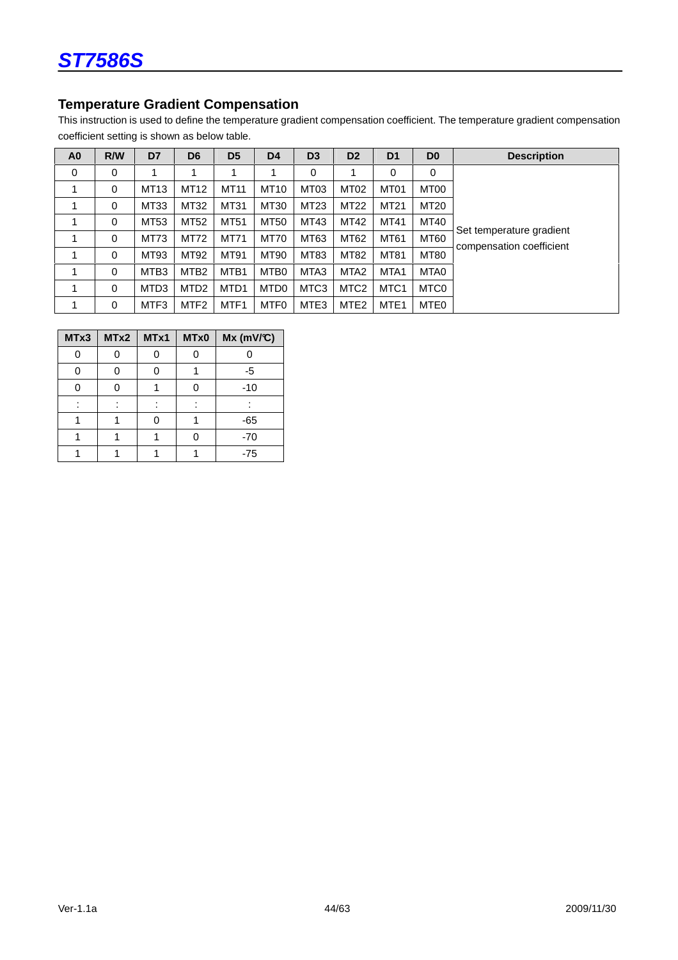# **Temperature Gradient Compensation**

This instruction is used to define the temperature gradient compensation coefficient. The temperature gradient compensation coefficient setting is shown as below table.

| A <sub>0</sub> | R/W      | D7               | D <sub>6</sub>   | D <sub>5</sub>   | D <sub>4</sub>   | D <sub>3</sub>   | D <sub>2</sub>   | D <sub>1</sub>   | D <sub>0</sub>   | <b>Description</b>                                   |
|----------------|----------|------------------|------------------|------------------|------------------|------------------|------------------|------------------|------------------|------------------------------------------------------|
| 0              | $\Omega$ |                  |                  |                  |                  | 0                |                  | 0                | 0                |                                                      |
|                | 0        | MT13             | MT12             | MT11             | <b>MT10</b>      | MT <sub>03</sub> | MT <sub>02</sub> | MT01             | MT00             |                                                      |
|                | $\Omega$ | MT33             | MT32             | MT31             | MT30             | MT23             | MT22             | MT21             | MT20             |                                                      |
|                | 0        | MT53             | MT52             | MT51             | <b>MT50</b>      | MT43             | MT42             | MT41             | MT40             |                                                      |
|                | 0        | MT73             | MT72             | MT71             | <b>MT70</b>      | MT63             | MT62             | MT61             | <b>MT60</b>      | Set temperature gradient<br>compensation coefficient |
|                | 0        | MT93             | MT92             | MT91             | MT90             | MT83             | <b>MT82</b>      | MT81             | MT80             |                                                      |
|                | $\Omega$ | MTB <sub>3</sub> | MTB <sub>2</sub> | MTB <sub>1</sub> | MTB0             | MTA3             | MTA <sub>2</sub> | MTA <sub>1</sub> | MTA0             |                                                      |
|                | 0        | MTD <sub>3</sub> | MTD <sub>2</sub> | MTD1             | MTD <sub>0</sub> | MTC <sub>3</sub> | MTC <sub>2</sub> | MTC <sub>1</sub> | MTC <sub>0</sub> |                                                      |
|                | 0        | MTF3             | MTF <sub>2</sub> | MTF1             | MTF <sub>0</sub> | MTE <sub>3</sub> | MTE <sub>2</sub> | MTE <sub>1</sub> | MTE0             |                                                      |

| MTx3 | MTx2 | MTx1 | MTx0 | $Mx$ (mV/°C) |
|------|------|------|------|--------------|
|      |      |      |      |              |
| በ    |      |      |      | -5           |
| ი    |      |      |      | $-10$        |
|      |      |      |      |              |
|      |      |      |      | $-65$        |
|      |      |      |      | $-70$        |
|      |      |      |      | $-75$        |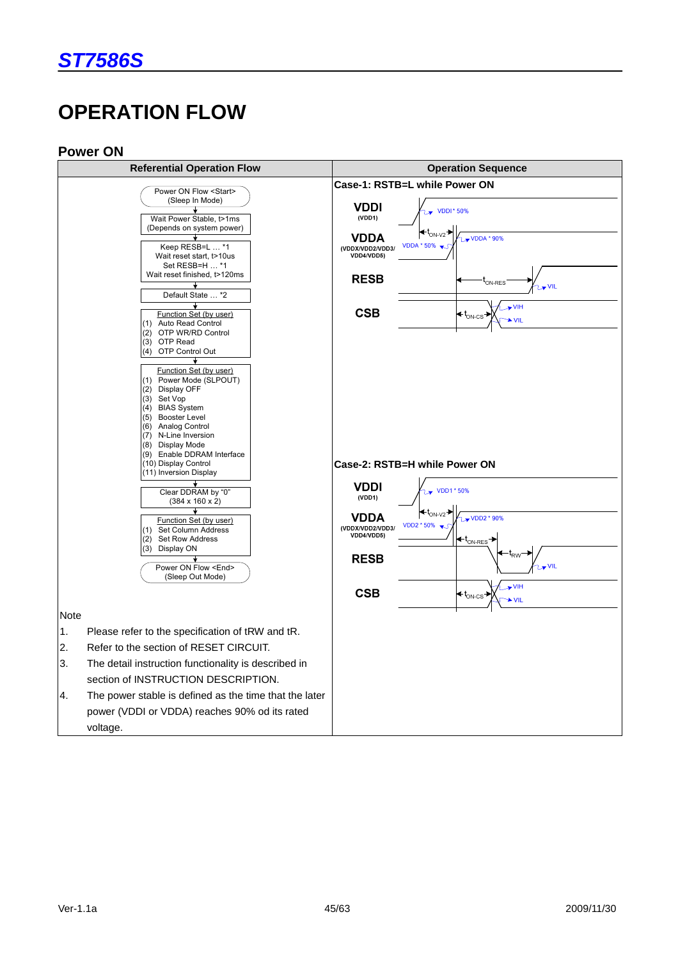# **OPERATION FLOW**

#### **Power ON**

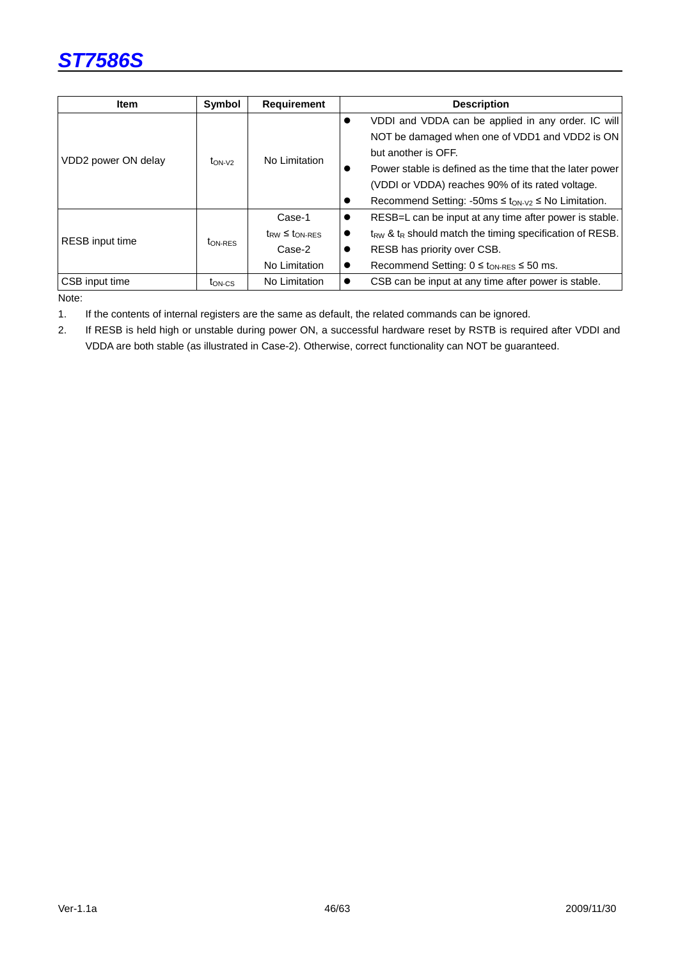

| <b>Item</b>            | <b>Symbol</b>       | <b>Requirement</b>       | <b>Description</b>                                                       |
|------------------------|---------------------|--------------------------|--------------------------------------------------------------------------|
|                        |                     |                          | VDDI and VDDA can be applied in any order. IC will                       |
| VDD2 power ON delay    |                     |                          | NOT be damaged when one of VDD1 and VDD2 is ON                           |
|                        |                     | No Limitation            | but another is OFF.                                                      |
|                        | $t_{ON-V2}$         |                          | Power stable is defined as the time that the later power                 |
|                        |                     |                          | (VDDI or VDDA) reaches 90% of its rated voltage.                         |
|                        |                     |                          | Recommend Setting: -50ms $\leq$ t <sub>ON-V2</sub> $\leq$ No Limitation. |
|                        |                     | Case-1                   | RESB=L can be input at any time after power is stable.                   |
| <b>RESB</b> input time |                     | $t_{RW} \leq t_{ON-RES}$ | $t_{RW}$ & $t_R$ should match the timing specification of RESB.          |
|                        | t <sub>ON-RES</sub> | Case-2                   | RESB has priority over CSB.                                              |
|                        |                     | No Limitation            | Recommend Setting: $0 \le t_{ON-RES} \le 50$ ms.                         |
| CSB input time         | t <sub>on-cs</sub>  | No Limitation            | CSB can be input at any time after power is stable.                      |

Note:

1. If the contents of internal registers are the same as default, the related commands can be ignored.

2. If RESB is held high or unstable during power ON, a successful hardware reset by RSTB is required after VDDI and VDDA are both stable (as illustrated in Case-2). Otherwise, correct functionality can NOT be guaranteed.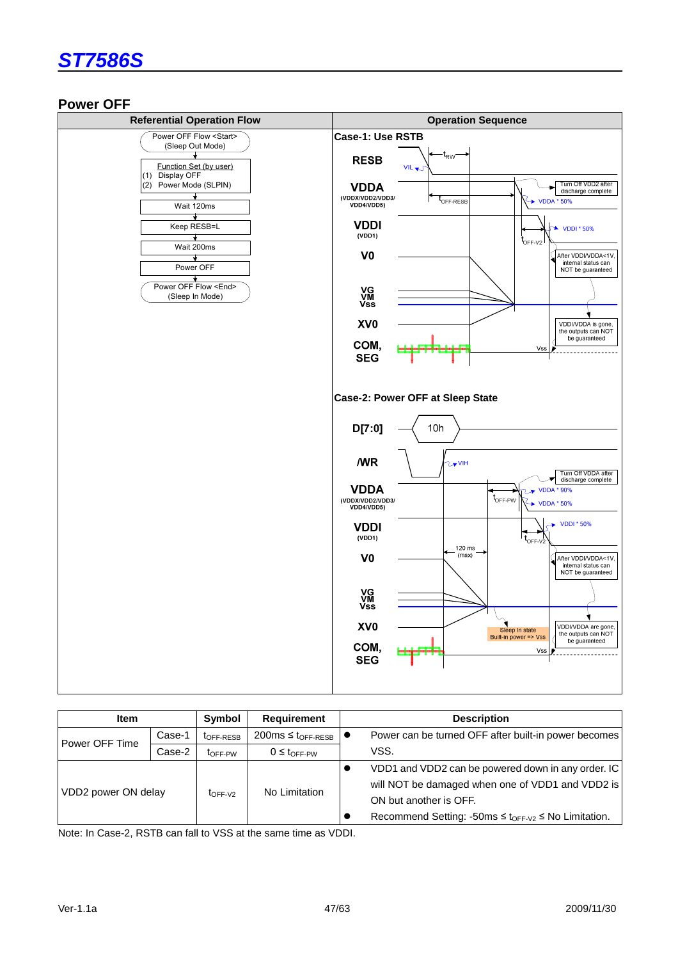

### **Power OFF**



| <b>Item</b>         |        | Symbol                | <b>Requirement</b>                       | <b>Description</b>                                             |
|---------------------|--------|-----------------------|------------------------------------------|----------------------------------------------------------------|
| Power OFF Time      | Case-1 | t <sub>OFF-RESB</sub> | $200 \text{ms} \leq t_{\text{OFF-RESB}}$ | Power can be turned OFF after built-in power becomes           |
|                     | Case-2 | toff-PW               | $0 \leq t$ OFF-PW                        | VSS.                                                           |
|                     |        |                       |                                          | VDD1 and VDD2 can be powered down in any order. IC             |
|                     |        |                       |                                          | will NOT be damaged when one of VDD1 and VDD2 is               |
| VDD2 power ON delay |        | $to$ FF-V2            | No Limitation                            | ON but another is OFF.                                         |
|                     |        |                       |                                          | Recommend Setting: -50ms $\leq t_{OFF-V2} \leq$ No Limitation. |

Note: In Case-2, RSTB can fall to VSS at the same time as VDDI.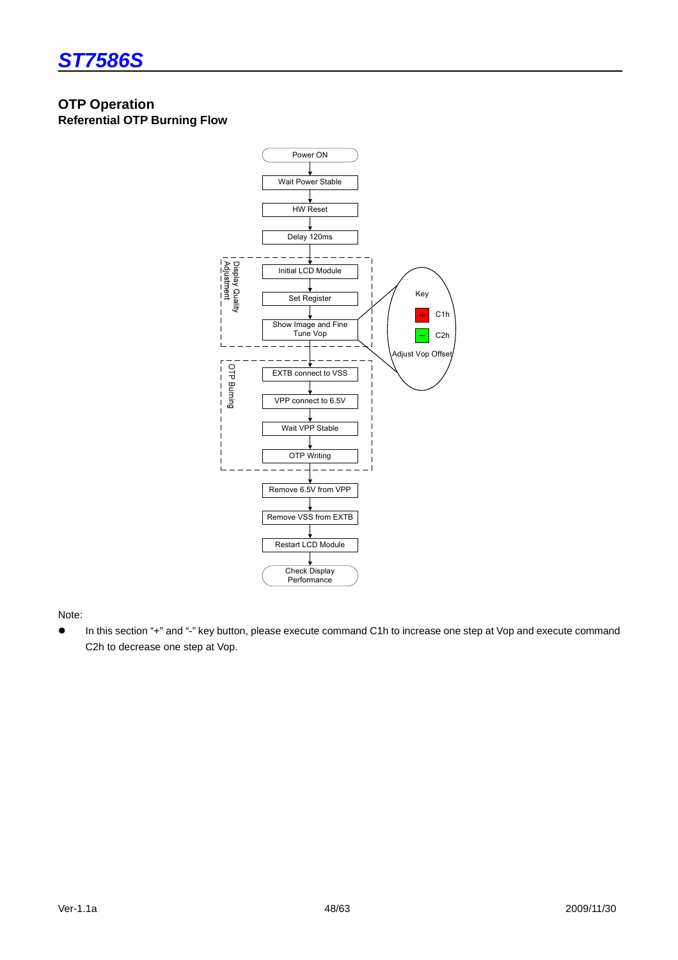

# **OTP Operation**

**Referential OTP Burning Flow** 



#### Note:

 In this section "+" and "-" key button, please execute command C1h to increase one step at Vop and execute command C2h to decrease one step at Vop.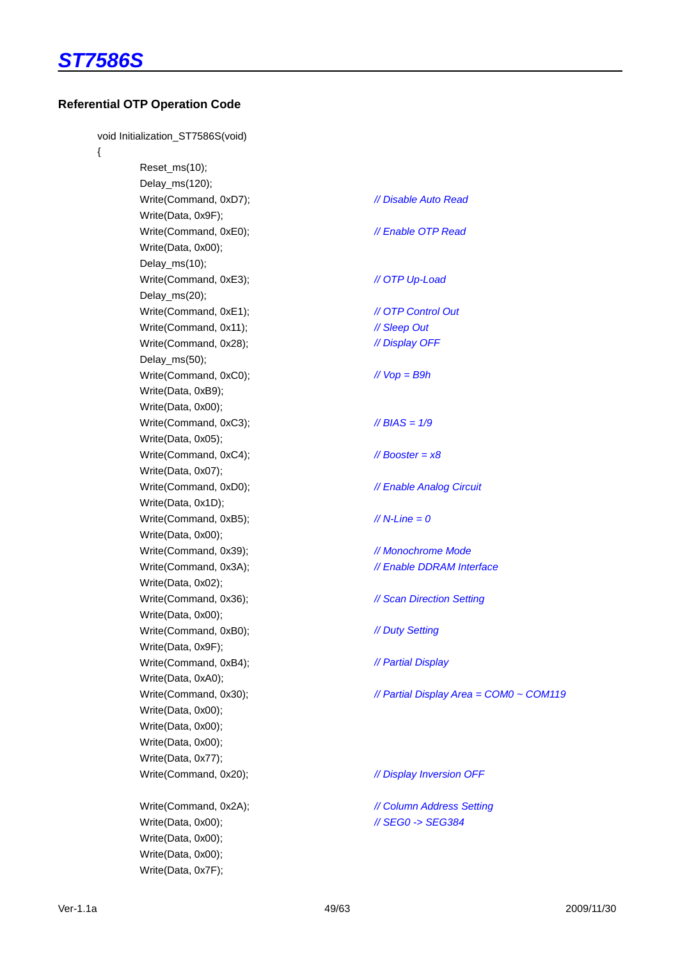

#### **Referential OTP Operation Code**

void Initialization\_ST7586S(void)

{

 Reset\_ms(10); Delay\_ms(120); Write(Command, 0xD7);  $\frac{1}{2}$  // Disable Auto Read Write(Data, 0x9F); Write(Command, 0xE0);  $\frac{1}{\sqrt{2}}$  Enable OTP Read Write(Data, 0x00); Delay\_ms(10); Write(Command, 0xE3);  $\sqrt{OPT UP -$ Load Delay\_ms(20); Write(Command, 0xE1);  $\sqrt{OPT}$  Control Out Write(Command, 0x11); // Sleep Out Write(Command, 0x28);  $\frac{1}{2}$  // Display OFF Delay\_ms(50); Write(Command, 0xC0);  $\sqrt{V \cdot V} = \sqrt{B^2 + B^2}$  Write(Data, 0xB9); Write(Data, 0x00); Write(Command, 0xC3);  $\frac{1}{8}$  // BIAS = 1/9 Write(Data, 0x05); Write(Command, 0xC4);  $\angle$  // Booster = x8 Write(Data, 0x07); Write(Command, 0xD0);  $\frac{1}{\sqrt{2}}$  Enable Analog Circuit Write(Data, 0x1D); Write(Command, 0xB5);  $\frac{1}{\sqrt{N}} = 0$  Write(Data, 0x00); Write(Command, 0x39); // Monochrome Mode Write(Command, 0x3A);  $\frac{1}{2}$  // Enable DDRAM Interface Write(Data, 0x02); Write(Command, 0x36);  $\frac{1}{8}$  // Scan Direction Setting Write(Data, 0x00); Write(Command, 0xB0);  $\frac{1}{2}$  // Duty Setting Write(Data, 0x9F); Write(Command, 0xB4);  $\frac{1}{2}$  // Partial Display Write(Data, 0xA0); Write(Command, 0x30);  $\angle$  // Partial Display Area = COM0 ~ COM119 Write(Data, 0x00); Write(Data, 0x00); Write(Data, 0x00); Write(Data, 0x77); Write(Command, 0x20);  $\frac{1}{2}$  // Display Inversion OFF Write(Command, 0x2A);<br>// Column Address Setting Write(Data, 0x00);  $\frac{1}{100}$  // SEG0 -> SEG384 Write(Data, 0x00); Write(Data, 0x00); Write(Data, 0x7F);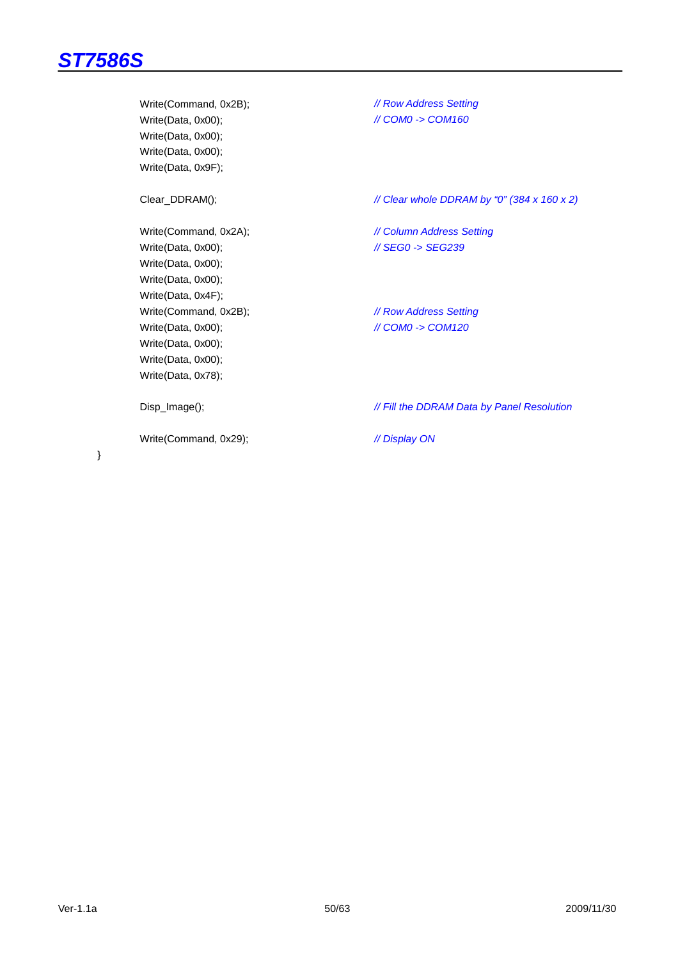Write(Command, 0x2B);  $\frac{1}{\sqrt{R}}$  // Row Address Setting Write(Data, 0x00); // COM0 -> COM160 Write(Data, 0x00); Write(Data, 0x00); Write(Data, 0x9F); Clear\_DDRAM();  $\angle$  // Clear whole DDRAM by "0" (384 x 160 x 2) Write(Command, 0x2A);  $\frac{1}{2}$  // Column Address Setting Write(Data, 0x00);  $\sqrt{SEGO}$  -> SEG239 Write(Data, 0x00); Write(Data, 0x00); Write(Data, 0x4F); Write(Command, 0x2B);  $\frac{1}{2}$  // Row Address Setting Write(Data, 0x00); // COM0 -> COM120 Write(Data, 0x00); Write(Data, 0x00); Write(Data, 0x78); Disp\_Image();  $\blacksquare$  // Fill the DDRAM Data by Panel Resolution Write(Command, 0x29);  $\frac{1}{2}$  // Display ON

}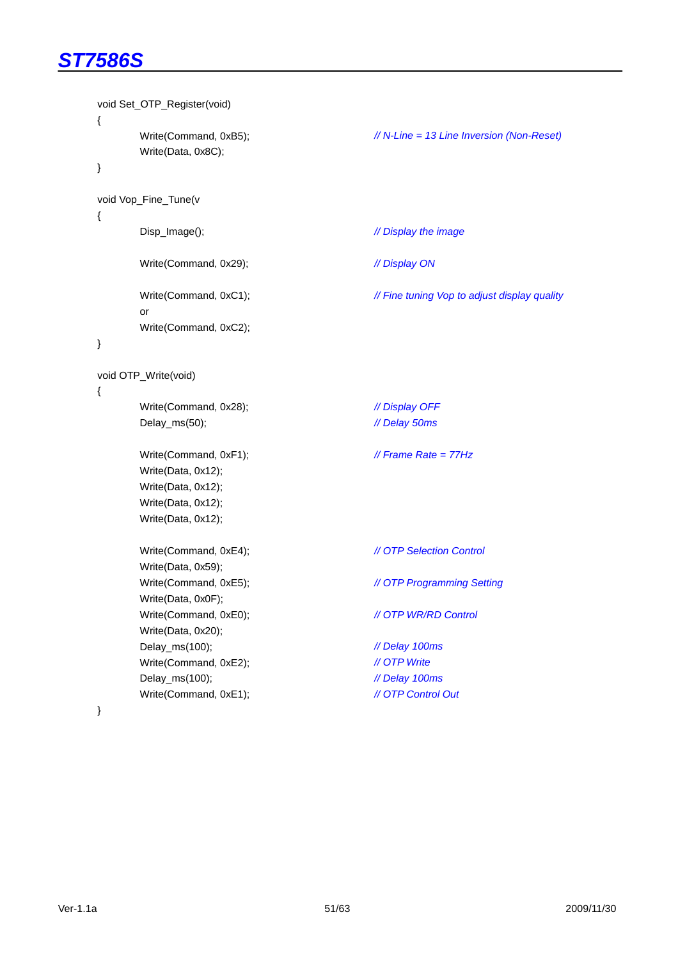|        | void Set_OTP_Register(void)                                                                                   |                                              |
|--------|---------------------------------------------------------------------------------------------------------------|----------------------------------------------|
| ₹<br>} | Write(Command, 0xB5);<br>Write(Data, 0x8C);                                                                   | // N-Line = 13 Line Inversion (Non-Reset)    |
|        | void Vop_Fine_Tune(v                                                                                          |                                              |
| ₹      | Disp_Image();                                                                                                 | // Display the image                         |
|        | Write(Command, 0x29);                                                                                         | // Display ON                                |
|        | Write(Command, 0xC1);<br>or                                                                                   | // Fine tuning Vop to adjust display quality |
| }      | Write(Command, 0xC2);                                                                                         |                                              |
| ₹      | void OTP_Write(void)                                                                                          |                                              |
|        | Write(Command, 0x28);                                                                                         | // Display OFF                               |
|        | Delay_ms(50);                                                                                                 | // Delay 50ms                                |
|        | Write(Command, 0xF1);<br>Write(Data, 0x12);<br>Write(Data, 0x12);<br>Write(Data, 0x12);<br>Write(Data, 0x12); | // Frame Rate = $77Hz$                       |
|        | Write(Command, 0xE4);<br>Write(Data, 0x59);                                                                   | // OTP Selection Control                     |
|        | Write(Command, 0xE5);<br>Write(Data, 0x0F);                                                                   | // OTP Programming Setting                   |
|        | Write(Command, 0xE0);<br>Write(Data, 0x20);                                                                   | // OTP WR/RD Control                         |
|        | Delay_ms(100);                                                                                                | // Delay 100ms                               |
|        | Write(Command, 0xE2);                                                                                         | // OTP Write                                 |
|        | Delay_ms(100);                                                                                                | // Delay 100ms                               |
|        | Write(Command, 0xE1);                                                                                         | // OTP Control Out                           |
|        |                                                                                                               |                                              |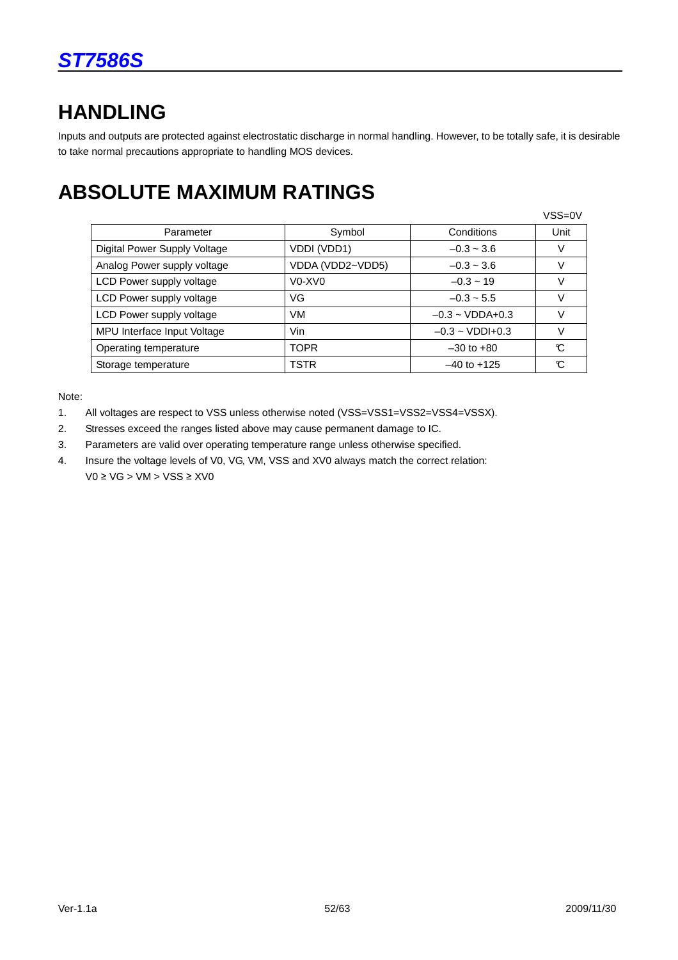# **HANDLING**

Inputs and outputs are protected against electrostatic discharge in normal handling. However, to be totally safe, it is desirable to take normal precautions appropriate to handling MOS devices.

# **ABSOLUTE MAXIMUM RATINGS**

|                              |                                             |                               | VSS=0V |
|------------------------------|---------------------------------------------|-------------------------------|--------|
| Parameter                    | Symbol                                      | Conditions                    | Unit   |
| Digital Power Supply Voltage | VDDI (VDD1)                                 | $-0.3 \sim 3.6$               |        |
| Analog Power supply voltage  | VDDA (VDD2~VDD5)                            | $-0.3 \sim 3.6$               |        |
| LCD Power supply voltage     | V <sub>0</sub> -X <sub>V</sub> <sub>0</sub> | $-0.3 - 19$                   |        |
| LCD Power supply voltage     | VG                                          | $-0.3 \sim 5.5$               |        |
| LCD Power supply voltage     | VM.                                         | $-0.3 \sim \text{VDDA} + 0.3$ |        |
| MPU Interface Input Voltage  | Vin.                                        | $-0.3 \sim \text{VDDI} + 0.3$ |        |
| Operating temperature        | <b>TOPR</b>                                 | $-30$ to $+80$                | C,     |
| Storage temperature          | <b>TSTR</b>                                 | $-40$ to $+125$               | r      |

Note:

- 1. All voltages are respect to VSS unless otherwise noted (VSS=VSS1=VSS2=VSS4=VSSX).
- 2. Stresses exceed the ranges listed above may cause permanent damage to IC.
- 3. Parameters are valid over operating temperature range unless otherwise specified.
- 4. Insure the voltage levels of V0, VG, VM, VSS and XV0 always match the correct relation:  $VO ≥ VG > VM > VSS ≥ XVO$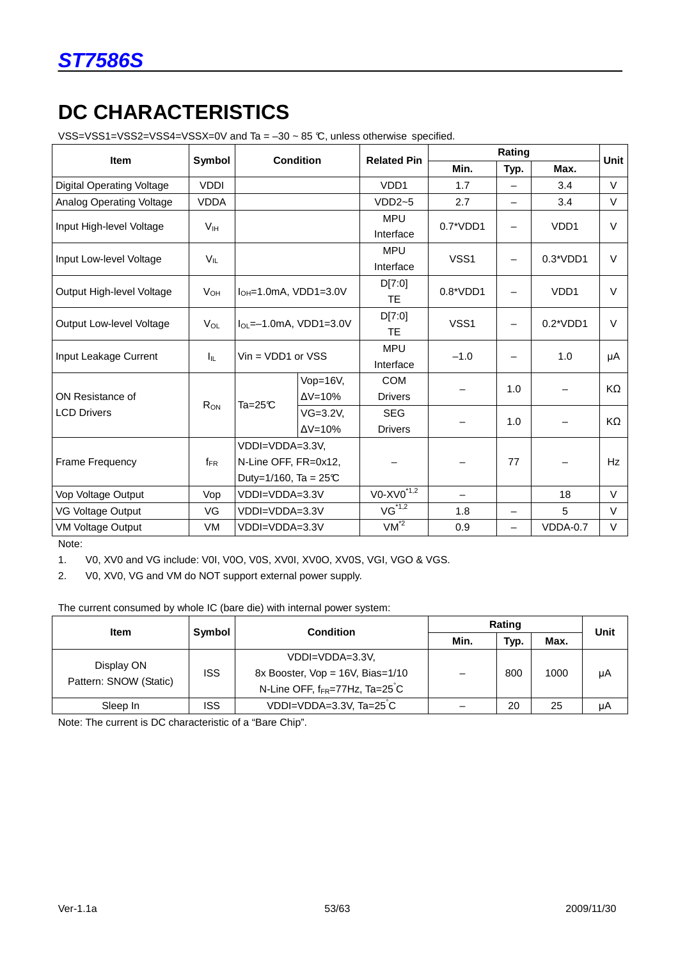

# **DC CHARACTERISTICS**

VSS=VSS1=VSS2=VSS4=VSSX=0V and Ta = –30 ~ 85 °C, unless otherwise specified.

|                                  | Symbol<br><b>Item</b> |                                                                   | <b>Condition</b>                     |                              |                          | Rating                   |                   |             |  |
|----------------------------------|-----------------------|-------------------------------------------------------------------|--------------------------------------|------------------------------|--------------------------|--------------------------|-------------------|-------------|--|
|                                  |                       |                                                                   |                                      | <b>Related Pin</b>           | Min.                     | Typ.                     | Max.              | <b>Unit</b> |  |
| <b>Digital Operating Voltage</b> | <b>VDDI</b>           |                                                                   |                                      | VD <sub>D1</sub>             | 1.7                      |                          | 3.4               | $\vee$      |  |
| Analog Operating Voltage         | <b>VDDA</b>           |                                                                   |                                      | $VDD2-5$                     | 2.7                      | $\overline{\phantom{0}}$ | 3.4               | $\vee$      |  |
| Input High-level Voltage         | V <sub>IH</sub>       |                                                                   |                                      |                              | $0.7^*VDD1$              | $\qquad \qquad$          | VD <sub>D</sub> 1 | $\vee$      |  |
| Input Low-level Voltage          | $V_{\parallel}$       |                                                                   |                                      |                              | VSS1                     | $\qquad \qquad$          | $0.3*VDD1$        | V           |  |
| Output High-level Voltage        | $V_{OH}$              |                                                                   | $I_{OH} = 1.0 \text{mA}$ , VDD1=3.0V | D[7:0]<br><b>TE</b>          | $0.8*VDD1$               |                          | VDD <sub>1</sub>  | $\vee$      |  |
| Output Low-level Voltage         | $V_{OL}$              | $I_{OL} = -1.0mA$ , VDD1=3.0V                                     |                                      | D[7:0]<br><b>TE</b>          | VSS <sub>1</sub>         |                          | $0.2*VDD1$        | $\vee$      |  |
| Input Leakage Current            | Iц.                   |                                                                   | $Vin = VDD1$ or $VSS$                |                              | $-1.0$                   |                          | 1.0               | μA          |  |
| ON Resistance of                 | R <sub>ON</sub>       | $Ta = 25C$                                                        | Vop= $16V$ ,<br>$\Delta V = 10\%$    | <b>COM</b><br><b>Drivers</b> |                          | 1.0                      |                   | KΩ          |  |
| <b>LCD Drivers</b>               |                       |                                                                   | $VG=3.2V$ ,<br>$\Delta V = 10\%$     | <b>SEG</b><br><b>Drivers</b> |                          | 1.0                      |                   | KΩ          |  |
| <b>Frame Frequency</b>           | $f_{\sf FR}$          | VDDI=VDDA=3.3V,<br>N-Line OFF, FR=0x12,<br>Duty=1/160, Ta = $25C$ |                                      |                              |                          | 77                       |                   | Hz          |  |
| Vop Voltage Output               | Vop                   | VDDI=VDDA=3.3V                                                    |                                      | $VO-XVO*1,2$                 | $\overline{\phantom{0}}$ |                          | 18                | $\vee$      |  |
| VG Voltage Output                | VG                    | VDDI=VDDA=3.3V                                                    |                                      | $VG^{\star\overline{1,2}}$   | 1.8                      |                          | 5                 | $\vee$      |  |
| <b>VM Voltage Output</b>         | VM                    | VDDI=VDDA=3.3V                                                    |                                      | $VM^{\overline{2}}$          | 0.9                      |                          | VDDA-0.7          | $\vee$      |  |

Note:

1. V0, XV0 and VG include: V0I, V0O, V0S, XV0I, XV0O, XV0S, VGI, VGO & VGS.

2. V0, XV0, VG and VM do NOT support external power supply.

The current consumed by whole IC (bare die) with internal power system:

| Item                   | Symbol     | <b>Condition</b>                              | Rating | Unit |      |    |
|------------------------|------------|-----------------------------------------------|--------|------|------|----|
|                        |            |                                               | Min.   | Typ. | Max. |    |
| Display ON             | <b>ISS</b> | VDDI=VDDA=3.3V.                               |        |      |      |    |
|                        |            | 8x Booster, $Vop = 16V$ , Bias= $1/10$        |        | 800  | 1000 | μA |
| Pattern: SNOW (Static) |            | N-Line OFF, $f_{FR}$ =77Hz, Ta=25 $\degree$ C |        |      |      |    |
| Sleep In               | ISS        | VDDI=VDDA=3.3V, Ta=25 C                       |        | 20   | 25   | μA |

Note: The current is DC characteristic of a "Bare Chip".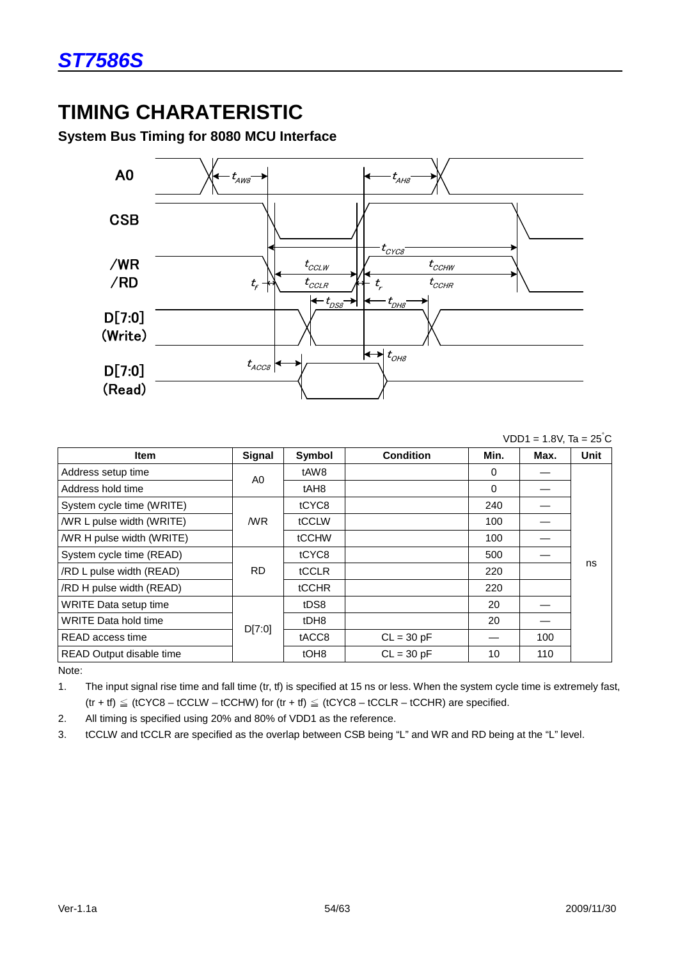# **TIMING CHARATERISTIC**

**System Bus Timing for 8080 MCU Interface** 



#### $VDD1 = 1.8V$ , Ta = 25 $^{\circ}$ C

| ltem                        | Signal    | Symbol           | <b>Condition</b> | Min.     | Max. | <b>Unit</b> |
|-----------------------------|-----------|------------------|------------------|----------|------|-------------|
| Address setup time          |           | tAW8             |                  | 0        |      |             |
| Address hold time           | A0        | tAH <sub>8</sub> |                  | $\Omega$ |      |             |
| System cycle time (WRITE)   |           | tCYC8            |                  | 240      |      |             |
| /WR L pulse width (WRITE)   | /WR       | tCCLW            |                  | 100      |      |             |
| /WR H pulse width (WRITE)   |           | tCCHW            |                  | 100      |      |             |
| System cycle time (READ)    |           | tCYC8            |                  | 500      |      |             |
| /RD L pulse width (READ)    | <b>RD</b> | tCCLR            |                  | 220      |      | ns          |
| /RD H pulse width (READ)    |           | <b>tCCHR</b>     |                  | 220      |      |             |
| WRITE Data setup time       |           | tDS8             |                  | 20       |      |             |
| <b>WRITE Data hold time</b> | D[7:0]    | tDH8             |                  | 20       |      |             |
| READ access time            |           | tACC8            | $CL = 30 pF$     |          | 100  |             |
| READ Output disable time    |           | tOH <sub>8</sub> | $CL = 30 pF$     | 10       | 110  |             |

Note:

1. The input signal rise time and fall time (tr, tf) is specified at 15 ns or less. When the system cycle time is extremely fast,  $(tr + tf) \leq (tCYC8 - tCCLW - tCCHW)$  for  $(tr + tf) \leq (tCYC8 - tCCLR - tCCHR)$  are specified.

2. All timing is specified using 20% and 80% of VDD1 as the reference.

3. tCCLW and tCCLR are specified as the overlap between CSB being "L" and WR and RD being at the "L" level.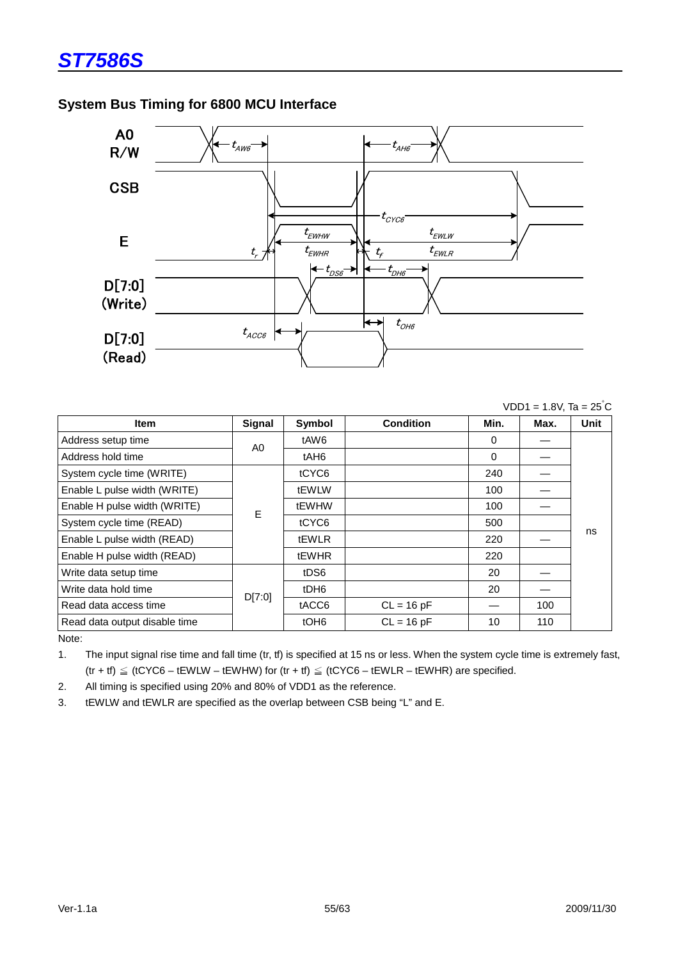



|                               |        |                  |                  |      | $VDD1 = 1.8V$ , Ta = 25°C |      |
|-------------------------------|--------|------------------|------------------|------|---------------------------|------|
| <b>Item</b>                   | Signal | Symbol           | <b>Condition</b> | Min. | Max.                      | Unit |
| Address setup time            | A0     | tAW6             |                  | 0    |                           |      |
| Address hold time             |        | tAH6             |                  | 0    |                           |      |
| System cycle time (WRITE)     |        | tCYC6            |                  | 240  |                           |      |
| Enable L pulse width (WRITE)  |        | tEWLW            |                  | 100  |                           |      |
| Enable H pulse width (WRITE)  | E      | tEWHW            |                  | 100  |                           |      |
| System cycle time (READ)      |        | tCYC6            |                  | 500  |                           |      |
| Enable L pulse width (READ)   |        | tEWLR            |                  | 220  |                           | ns   |
| Enable H pulse width (READ)   |        | tEWHR            |                  | 220  |                           |      |
| Write data setup time         |        | tDS6             |                  | 20   |                           |      |
| Write data hold time          | D[7:0] | tDH <sub>6</sub> |                  | 20   |                           |      |
| Read data access time         |        | tACC6            | $CL = 16 pF$     |      | 100                       |      |
| Read data output disable time |        | tOH <sub>6</sub> | $CL = 16 pF$     | 10   | 110                       |      |
| $N = 1 - 1$                   |        |                  |                  |      |                           |      |

Note:

1. The input signal rise time and fall time (tr, tf) is specified at 15 ns or less. When the system cycle time is extremely fast,  $(tr + tf) \leq (tCYC6 - tEWLW - tEWHW)$  for  $(tr + tf) \leq (tCYC6 - tEWLR - tEWHR)$  are specified.

2. All timing is specified using 20% and 80% of VDD1 as the reference.

3. tEWLW and tEWLR are specified as the overlap between CSB being "L" and E.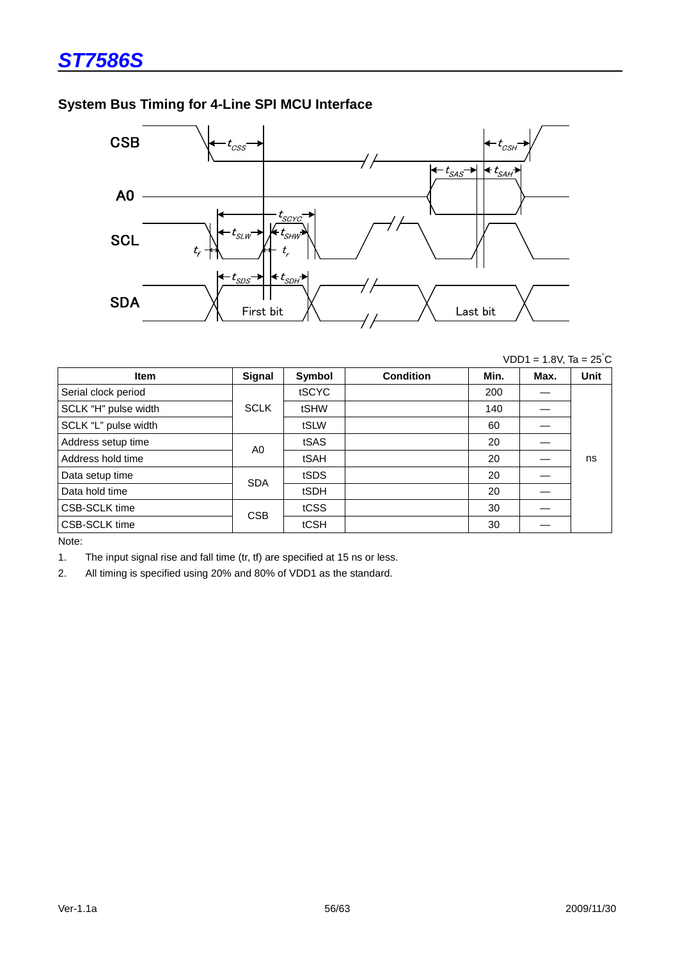# **System Bus Timing for 4-Line SPI MCU Interface**



 $VDD1 = 1.8V$ , Ta =  $25^{\circ}C$ 

| <b>Item</b>          | Signal      | Symbol | <b>Condition</b> | Min. | Max. | <b>Unit</b> |
|----------------------|-------------|--------|------------------|------|------|-------------|
| Serial clock period  |             | tSCYC  |                  | 200  |      |             |
| SCLK "H" pulse width | <b>SCLK</b> | tSHW   |                  | 140  |      |             |
| SCLK "L" pulse width |             | tSLW   |                  | 60   |      |             |
| Address setup time   | A0          | tSAS   |                  | 20   |      |             |
| Address hold time    |             | tSAH   |                  | 20   |      | ns          |
| Data setup time      | <b>SDA</b>  | tSDS   |                  | 20   |      |             |
| Data hold time       |             | tSDH   |                  | 20   |      |             |
| CSB-SCLK time        | <b>CSB</b>  | tCSS   |                  | 30   |      |             |
| CSB-SCLK time        |             | tCSH   |                  | 30   |      |             |

Note:

1. The input signal rise and fall time (tr, tf) are specified at 15 ns or less.

2. All timing is specified using 20% and 80% of VDD1 as the standard.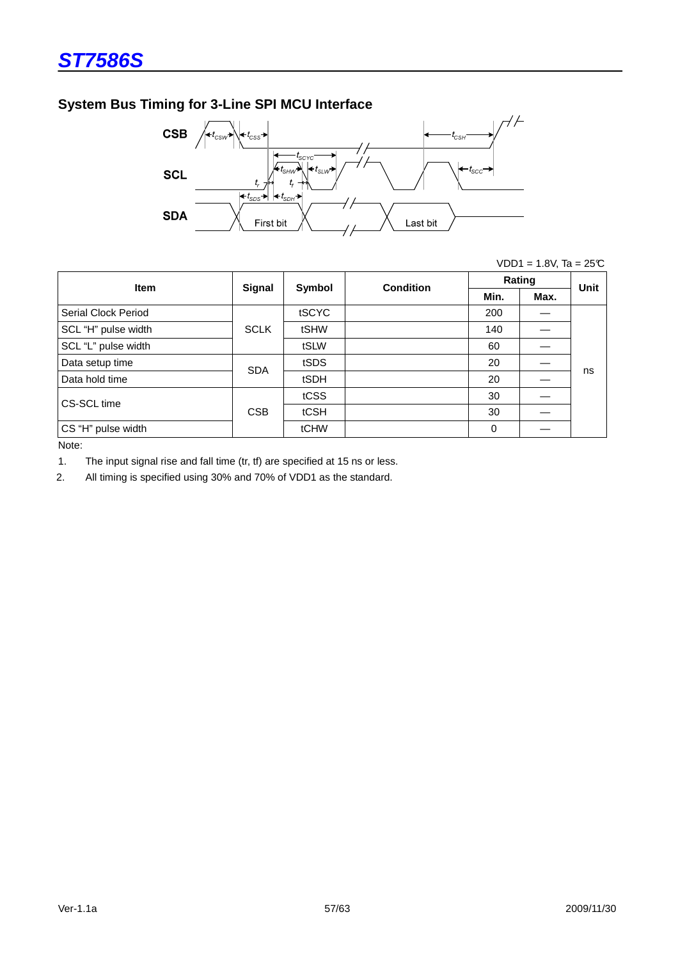# **System Bus Timing for 3-Line SPI MCU Interface**



|  |  | $VDD1 = 1.8V$ , Ta = 25°C |
|--|--|---------------------------|
|--|--|---------------------------|

| <b>Item</b>         | Signal      | Symbol | <b>Condition</b> | Rating |      | <b>Unit</b> |
|---------------------|-------------|--------|------------------|--------|------|-------------|
|                     |             |        |                  | Min.   | Max. |             |
| Serial Clock Period | <b>SCLK</b> | tSCYC  |                  | 200    |      |             |
| SCL "H" pulse width |             | tSHW   |                  | 140    |      |             |
| SCL "L" pulse width |             | tSLW   |                  | 60     |      |             |
| Data setup time     | <b>SDA</b>  | tSDS   |                  | 20     |      |             |
| Data hold time      |             | tSDH   |                  | 20     |      | ns          |
| CS-SCL time         | <b>CSB</b>  | tCSS   |                  | 30     |      |             |
|                     |             | tCSH   |                  | 30     |      |             |
| CS "H" pulse width  |             | tCHW   |                  | 0      |      |             |

Note:

1. The input signal rise and fall time (tr, tf) are specified at 15 ns or less.

2. All timing is specified using 30% and 70% of VDD1 as the standard.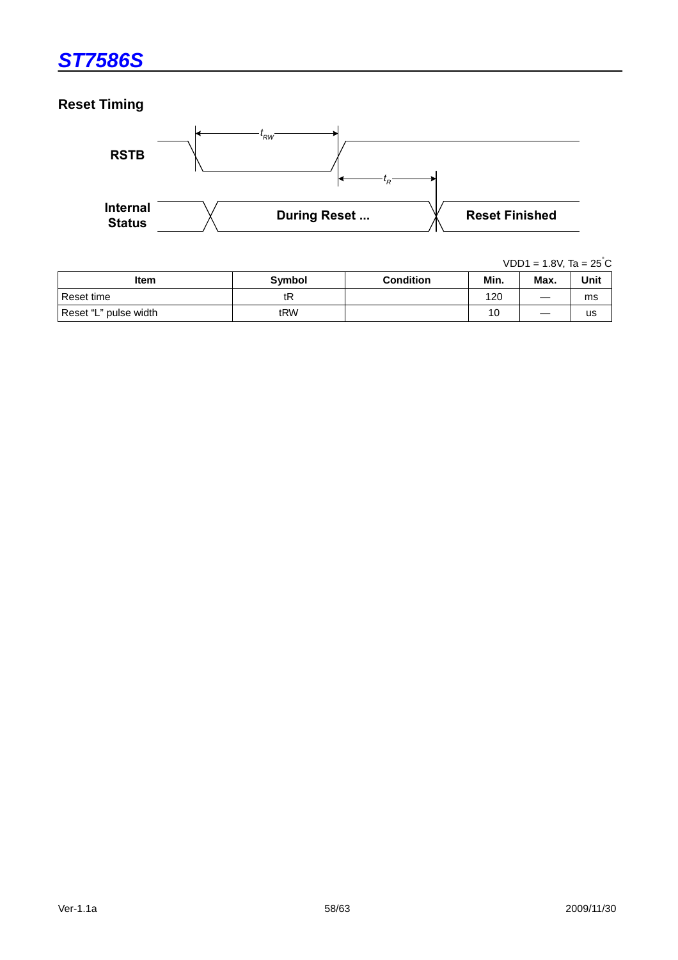# **Reset Timing**



|                       |               |                  |      | $VDD1 = 1.8V$ , Ta = 25 °C |      |  |
|-----------------------|---------------|------------------|------|----------------------------|------|--|
| <b>Item</b>           | <b>Symbol</b> | <b>Condition</b> | Min. | Max.                       | Unit |  |
| Reset time            | tR            |                  | 120  |                            | ms   |  |
| Reset "L" pulse width | tRW           |                  | 10   |                            | us   |  |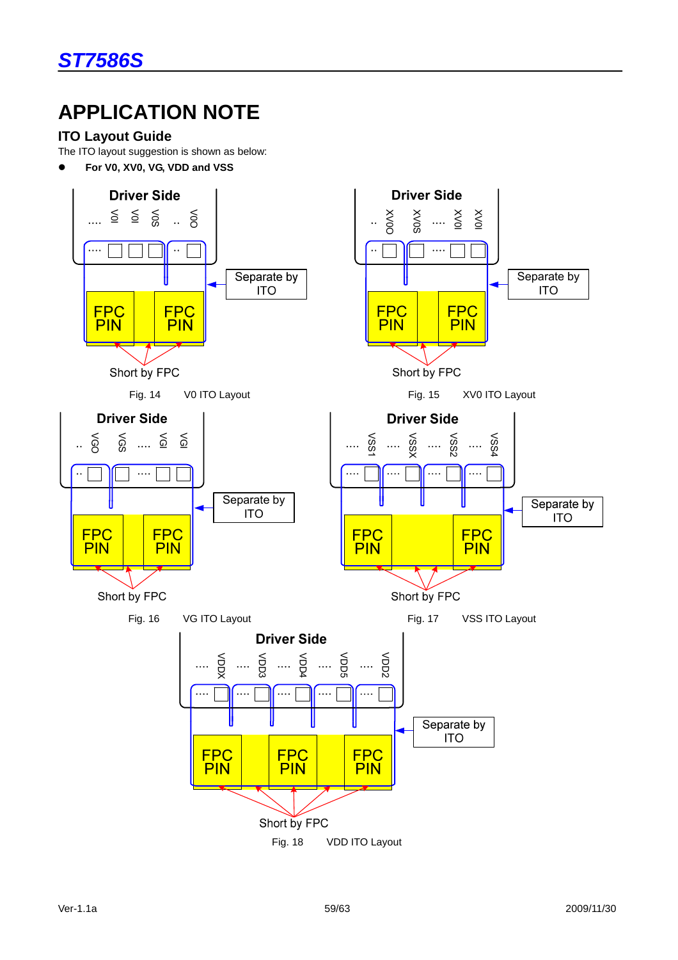# **APPLICATION NOTE**

# **ITO Layout Guide**

The ITO layout suggestion is shown as below:

**For V0, XV0, VG, VDD and VSS**

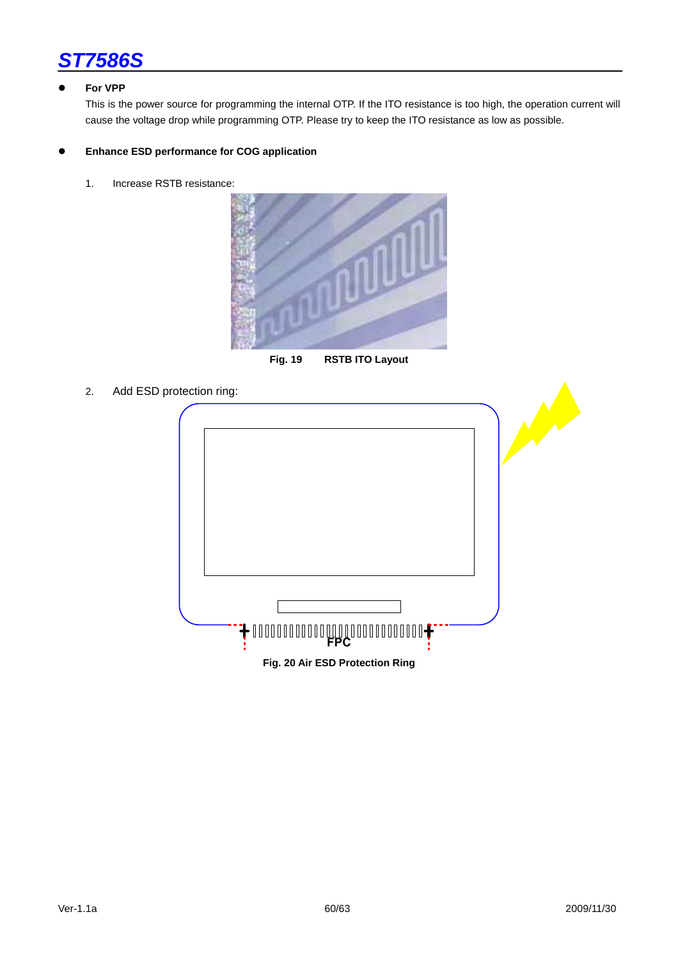

#### **For VPP**

This is the power source for programming the internal OTP. If the ITO resistance is too high, the operation current will cause the voltage drop while programming OTP. Please try to keep the ITO resistance as low as possible.

#### **Enhance ESD performance for COG application**

1. Increase RSTB resistance:



**Fig. 19 RSTB ITO Layout**

2. Add ESD protection ring:

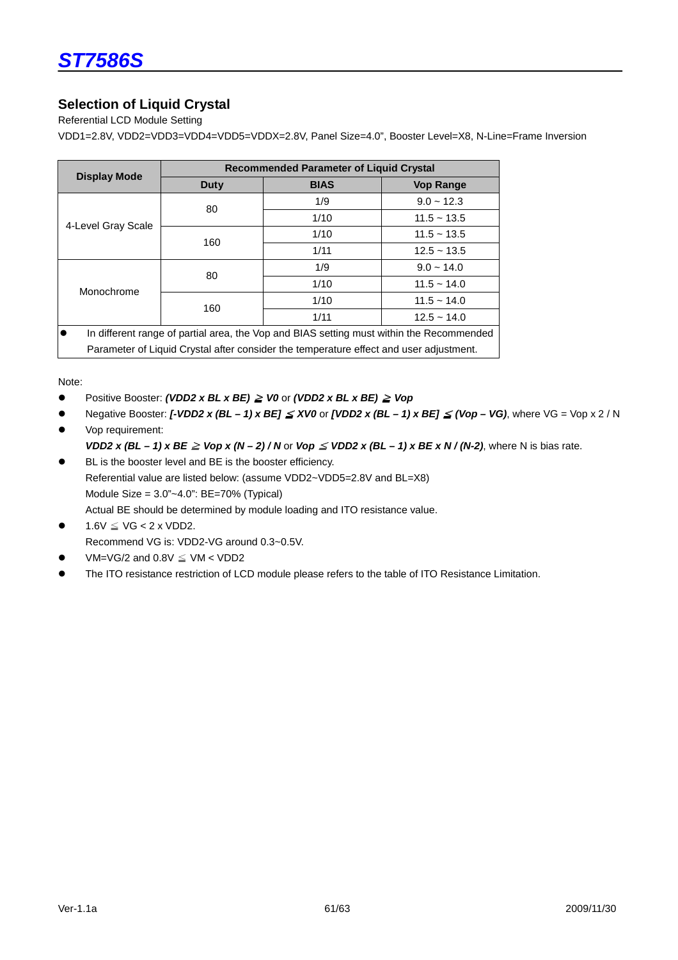# **Selection of Liquid Crystal**

Referential LCD Module Setting

VDD1=2.8V, VDD2=VDD3=VDD4=VDD5=VDDX=2.8V, Panel Size=4.0", Booster Level=X8, N-Line=Frame Inversion

|                                                                                                       | <b>Recommended Parameter of Liquid Crystal</b> |             |                  |  |
|-------------------------------------------------------------------------------------------------------|------------------------------------------------|-------------|------------------|--|
| <b>Display Mode</b>                                                                                   | Duty                                           | <b>BIAS</b> | <b>Vop Range</b> |  |
| 4-Level Gray Scale                                                                                    | 80                                             | 1/9         | $9.0 - 12.3$     |  |
|                                                                                                       |                                                | 1/10        | $11.5 - 13.5$    |  |
|                                                                                                       | 160                                            | 1/10        | $11.5 - 13.5$    |  |
|                                                                                                       |                                                | 1/11        | $12.5 - 13.5$    |  |
| Monochrome                                                                                            | 80                                             | 1/9         | $9.0 - 14.0$     |  |
|                                                                                                       |                                                | 1/10        | $11.5 - 14.0$    |  |
|                                                                                                       | 160                                            | 1/10        | $11.5 - 14.0$    |  |
|                                                                                                       |                                                | 1/11        | $12.5 - 14.0$    |  |
| $\bullet$<br>In different range of partial area, the Vop and BIAS setting must within the Recommended |                                                |             |                  |  |
| Parameter of Liquid Crystal after consider the temperature effect and user adjustment.                |                                                |             |                  |  |

Note:

- Positive Booster: **(VDD2 x BL x BE)** ≧ **V0** or **(VDD2 x BL x BE)** ≧ **Vop**
- Negative Booster: **[-VDD2 x (BL 1) x BE]** ≦ **XV0** or **[VDD2 x (BL 1) x BE]** ≦ **(Vop VG)**, where VG = Vop x 2 / N
- Vop requirement: **VDD2 x (BL – 1) x BE**  $\geq$  **Vop x (N – 2) / N or**  $V$ **op**  $\leq$  **VDD2 x (BL – 1) x BE x N / (N-2), where N is bias rate.**
- BL is the booster level and BE is the booster efficiency. Referential value are listed below: (assume VDD2~VDD5=2.8V and BL=X8) Module Size = 3.0"~4.0": BE=70% (Typical) Actual BE should be determined by module loading and ITO resistance value.
- $1.6V \leq VG < 2x VDD2$ . Recommend VG is: VDD2-VG around 0.3~0.5V.
- VM=VG/2 and  $0.8V \leq$  VM < VDD2
- The ITO resistance restriction of LCD module please refers to the table of ITO Resistance Limitation.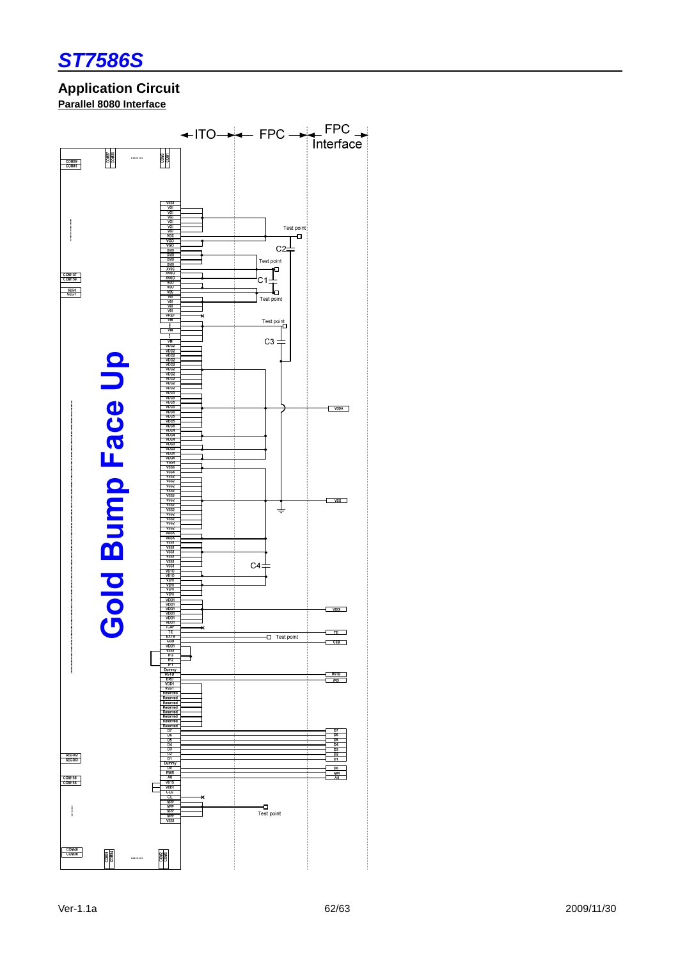

### **Application Circuit Parallel 8080 Interface**

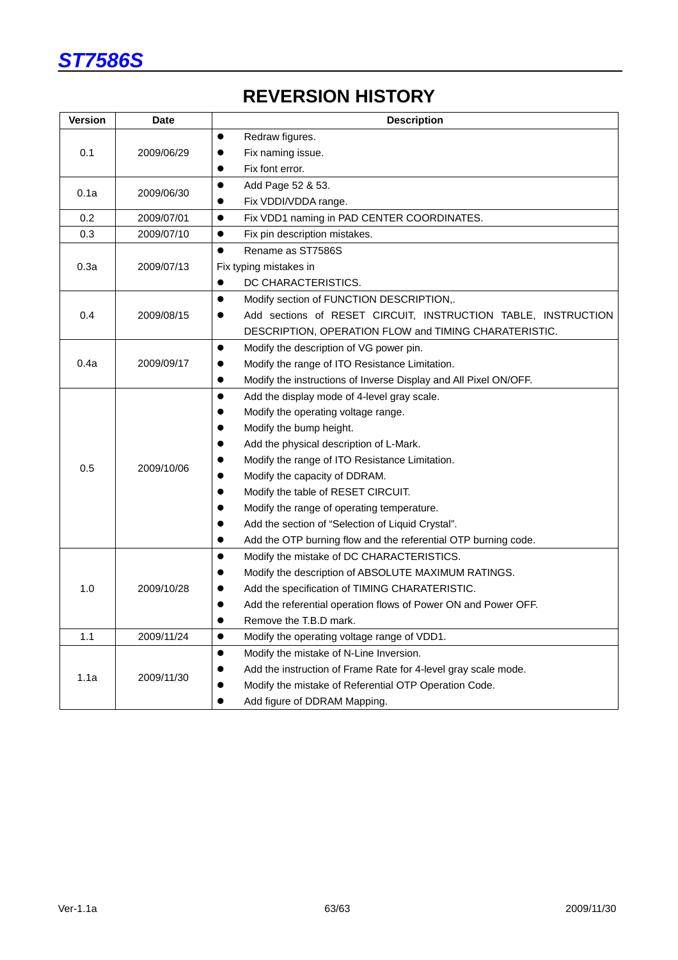

# **REVERSION HISTORY**

| <b>Version</b>     | <b>Date</b> | <b>Description</b>                                                            |  |  |
|--------------------|-------------|-------------------------------------------------------------------------------|--|--|
|                    |             | Redraw figures.<br>$\bullet$                                                  |  |  |
| 0.1                | 2009/06/29  | Fix naming issue.                                                             |  |  |
|                    |             | Fix font error.<br>$\bullet$                                                  |  |  |
|                    |             | Add Page 52 & 53.<br>$\bullet$                                                |  |  |
| 0.1a               | 2009/06/30  | Fix VDDI/VDDA range.                                                          |  |  |
| 0.2                | 2009/07/01  | $\bullet$<br>Fix VDD1 naming in PAD CENTER COORDINATES.                       |  |  |
| 0.3                | 2009/07/10  | Fix pin description mistakes.<br>$\bullet$                                    |  |  |
|                    |             | Rename as ST7586S<br>$\bullet$                                                |  |  |
| 0.3a               | 2009/07/13  | Fix typing mistakes in                                                        |  |  |
|                    |             | DC CHARACTERISTICS.                                                           |  |  |
|                    |             | Modify section of FUNCTION DESCRIPTION,.<br>$\bullet$                         |  |  |
| 0.4                | 2009/08/15  | Add sections of RESET CIRCUIT, INSTRUCTION TABLE, INSTRUCTION<br>$\bullet$    |  |  |
|                    |             | DESCRIPTION, OPERATION FLOW and TIMING CHARATERISTIC.                         |  |  |
| 0.4a<br>2009/09/17 |             | $\bullet$<br>Modify the description of VG power pin.                          |  |  |
|                    |             | Modify the range of ITO Resistance Limitation.                                |  |  |
|                    |             | Modify the instructions of Inverse Display and All Pixel ON/OFF.<br>$\bullet$ |  |  |
|                    |             | Add the display mode of 4-level gray scale.<br>$\bullet$                      |  |  |
|                    |             | Modify the operating voltage range.                                           |  |  |
|                    |             | Modify the bump height.                                                       |  |  |
|                    |             | Add the physical description of L-Mark.                                       |  |  |
| 0.5                | 2009/10/06  | Modify the range of ITO Resistance Limitation.                                |  |  |
|                    |             | Modify the capacity of DDRAM.                                                 |  |  |
|                    |             | Modify the table of RESET CIRCUIT.                                            |  |  |
|                    |             | Modify the range of operating temperature.                                    |  |  |
|                    |             | Add the section of "Selection of Liquid Crystal".                             |  |  |
|                    |             | Add the OTP burning flow and the referential OTP burning code.                |  |  |
| 1.0                | 2009/10/28  | Modify the mistake of DC CHARACTERISTICS.<br>$\bullet$                        |  |  |
|                    |             | Modify the description of ABSOLUTE MAXIMUM RATINGS.                           |  |  |
|                    |             | Add the specification of TIMING CHARATERISTIC.<br>●                           |  |  |
|                    |             | Add the referential operation flows of Power ON and Power OFF.                |  |  |
|                    |             | Remove the T.B.D mark.                                                        |  |  |
| 1.1                | 2009/11/24  | $\bullet$<br>Modify the operating voltage range of VDD1.                      |  |  |
|                    |             | Modify the mistake of N-Line Inversion.<br>$\bullet$                          |  |  |
|                    | 2009/11/30  | Add the instruction of Frame Rate for 4-level gray scale mode.                |  |  |
| 1.1a               |             | Modify the mistake of Referential OTP Operation Code.                         |  |  |
|                    |             | Add figure of DDRAM Mapping.                                                  |  |  |